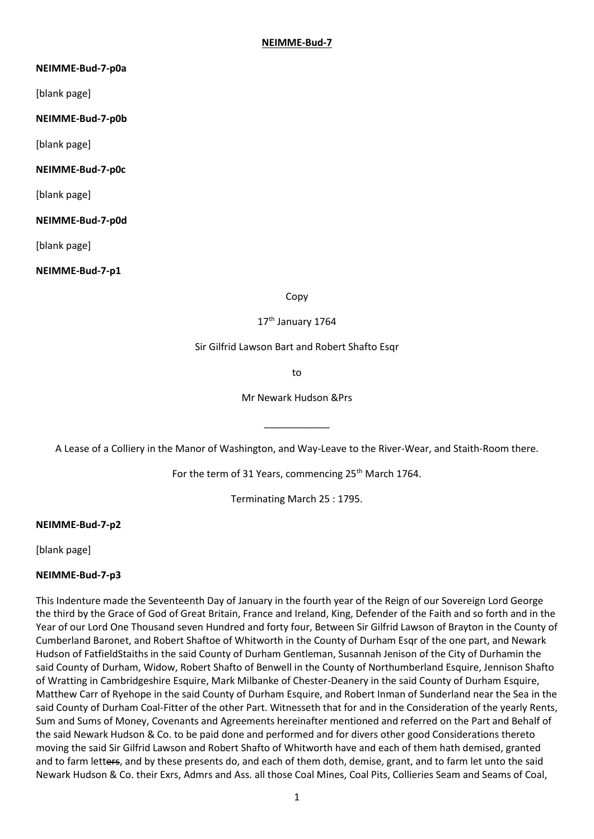### **NEIMME-Bud-7-p0a**

[blank page]

### **NEIMME-Bud-7-p0b**

[blank page]

### **NEIMME-Bud-7-p0c**

[blank page]

### **NEIMME-Bud-7-p0d**

[blank page]

### **NEIMME-Bud-7-p1**

Copy

### 17<sup>th</sup> January 1764

### Sir Gilfrid Lawson Bart and Robert Shafto Esqr

to

Mr Newark Hudson &Prs

A Lease of a Colliery in the Manor of Washington, and Way-Leave to the River-Wear, and Staith-Room there.

\_\_\_\_\_\_\_\_\_\_\_\_

For the term of 31 Years, commencing 25<sup>th</sup> March 1764.

Terminating March 25 : 1795.

### **NEIMME-Bud-7-p2**

[blank page]

# **NEIMME-Bud-7-p3**

This Indenture made the Seventeenth Day of January in the fourth year of the Reign of our Sovereign Lord George the third by the Grace of God of Great Britain, France and Ireland, King, Defender of the Faith and so forth and in the Year of our Lord One Thousand seven Hundred and forty four, Between Sir Gilfrid Lawson of Brayton in the County of Cumberland Baronet, and Robert Shaftoe of Whitworth in the County of Durham Esqr of the one part, and Newark Hudson of FatfieldStaiths in the said County of Durham Gentleman, Susannah Jenison of the City of Durhamin the said County of Durham, Widow, Robert Shafto of Benwell in the County of Northumberland Esquire, Jennison Shafto of Wratting in Cambridgeshire Esquire, Mark Milbanke of Chester-Deanery in the said County of Durham Esquire, Matthew Carr of Ryehope in the said County of Durham Esquire, and Robert Inman of Sunderland near the Sea in the said County of Durham Coal-Fitter of the other Part. Witnesseth that for and in the Consideration of the yearly Rents, Sum and Sums of Money, Covenants and Agreements hereinafter mentioned and referred on the Part and Behalf of the said Newark Hudson & Co. to be paid done and performed and for divers other good Considerations thereto moving the said Sir Gilfrid Lawson and Robert Shafto of Whitworth have and each of them hath demised, granted and to farm letters, and by these presents do, and each of them doth, demise, grant, and to farm let unto the said Newark Hudson & Co. their Exrs, Admrs and Ass. all those Coal Mines, Coal Pits, Collieries Seam and Seams of Coal,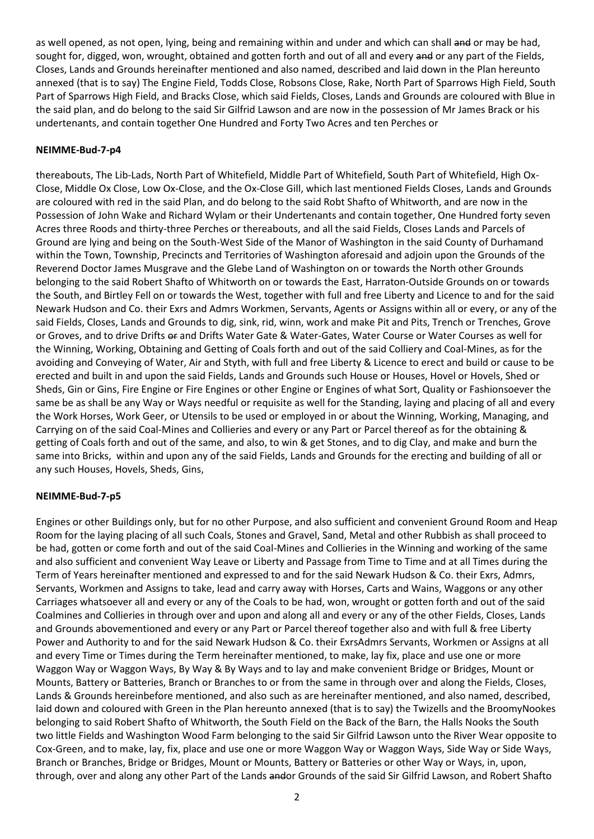as well opened, as not open, lying, being and remaining within and under and which can shall and or may be had, sought for, digged, won, wrought, obtained and gotten forth and out of all and every and or any part of the Fields, Closes, Lands and Grounds hereinafter mentioned and also named, described and laid down in the Plan hereunto annexed (that is to say) The Engine Field, Todds Close, Robsons Close, Rake, North Part of Sparrows High Field, South Part of Sparrows High Field, and Bracks Close, which said Fields, Closes, Lands and Grounds are coloured with Blue in the said plan, and do belong to the said Sir Gilfrid Lawson and are now in the possession of Mr James Brack or his undertenants, and contain together One Hundred and Forty Two Acres and ten Perches or

### **NEIMME-Bud-7-p4**

thereabouts, The Lib-Lads, North Part of Whitefield, Middle Part of Whitefield, South Part of Whitefield, High Ox-Close, Middle Ox Close, Low Ox-Close, and the Ox-Close Gill, which last mentioned Fields Closes, Lands and Grounds are coloured with red in the said Plan, and do belong to the said Robt Shafto of Whitworth, and are now in the Possession of John Wake and Richard Wylam or their Undertenants and contain together, One Hundred forty seven Acres three Roods and thirty-three Perches or thereabouts, and all the said Fields, Closes Lands and Parcels of Ground are lying and being on the South-West Side of the Manor of Washington in the said County of Durhamand within the Town, Township, Precincts and Territories of Washington aforesaid and adjoin upon the Grounds of the Reverend Doctor James Musgrave and the Glebe Land of Washington on or towards the North other Grounds belonging to the said Robert Shafto of Whitworth on or towards the East, Harraton-Outside Grounds on or towards the South, and Birtley Fell on or towards the West, together with full and free Liberty and Licence to and for the said Newark Hudson and Co. their Exrs and Admrs Workmen, Servants, Agents or Assigns within all or every, or any of the said Fields, Closes, Lands and Grounds to dig, sink, rid, winn, work and make Pit and Pits, Trench or Trenches, Grove or Groves, and to drive Drifts or and Drifts Water Gate & Water-Gates, Water Course or Water Courses as well for the Winning, Working, Obtaining and Getting of Coals forth and out of the said Colliery and Coal-Mines, as for the avoiding and Conveying of Water, Air and Styth, with full and free Liberty & Licence to erect and build or cause to be erected and built in and upon the said Fields, Lands and Grounds such House or Houses, Hovel or Hovels, Shed or Sheds, Gin or Gins, Fire Engine or Fire Engines or other Engine or Engines of what Sort, Quality or Fashionsoever the same be as shall be any Way or Ways needful or requisite as well for the Standing, laying and placing of all and every the Work Horses, Work Geer, or Utensils to be used or employed in or about the Winning, Working, Managing, and Carrying on of the said Coal-Mines and Collieries and every or any Part or Parcel thereof as for the obtaining & getting of Coals forth and out of the same, and also, to win & get Stones, and to dig Clay, and make and burn the same into Bricks, within and upon any of the said Fields, Lands and Grounds for the erecting and building of all or any such Houses, Hovels, Sheds, Gins,

### **NEIMME-Bud-7-p5**

Engines or other Buildings only, but for no other Purpose, and also sufficient and convenient Ground Room and Heap Room for the laying placing of all such Coals, Stones and Gravel, Sand, Metal and other Rubbish as shall proceed to be had, gotten or come forth and out of the said Coal-Mines and Collieries in the Winning and working of the same and also sufficient and convenient Way Leave or Liberty and Passage from Time to Time and at all Times during the Term of Years hereinafter mentioned and expressed to and for the said Newark Hudson & Co. their Exrs, Admrs, Servants, Workmen and Assigns to take, lead and carry away with Horses, Carts and Wains, Waggons or any other Carriages whatsoever all and every or any of the Coals to be had, won, wrought or gotten forth and out of the said Coalmines and Collieries in through over and upon and along all and every or any of the other Fields, Closes, Lands and Grounds abovementioned and every or any Part or Parcel thereof together also and with full & free Liberty Power and Authority to and for the said Newark Hudson & Co. their ExrsAdmrs Servants, Workmen or Assigns at all and every Time or Times during the Term hereinafter mentioned, to make, lay fix, place and use one or more Waggon Way or Waggon Ways, By Way & By Ways and to lay and make convenient Bridge or Bridges, Mount or Mounts, Battery or Batteries, Branch or Branches to or from the same in through over and along the Fields, Closes, Lands & Grounds hereinbefore mentioned, and also such as are hereinafter mentioned, and also named, described, laid down and coloured with Green in the Plan hereunto annexed (that is to say) the Twizells and the BroomyNookes belonging to said Robert Shafto of Whitworth, the South Field on the Back of the Barn, the Halls Nooks the South two little Fields and Washington Wood Farm belonging to the said Sir Gilfrid Lawson unto the River Wear opposite to Cox-Green, and to make, lay, fix, place and use one or more Waggon Way or Waggon Ways, Side Way or Side Ways, Branch or Branches, Bridge or Bridges, Mount or Mounts, Battery or Batteries or other Way or Ways, in, upon, through, over and along any other Part of the Lands andor Grounds of the said Sir Gilfrid Lawson, and Robert Shafto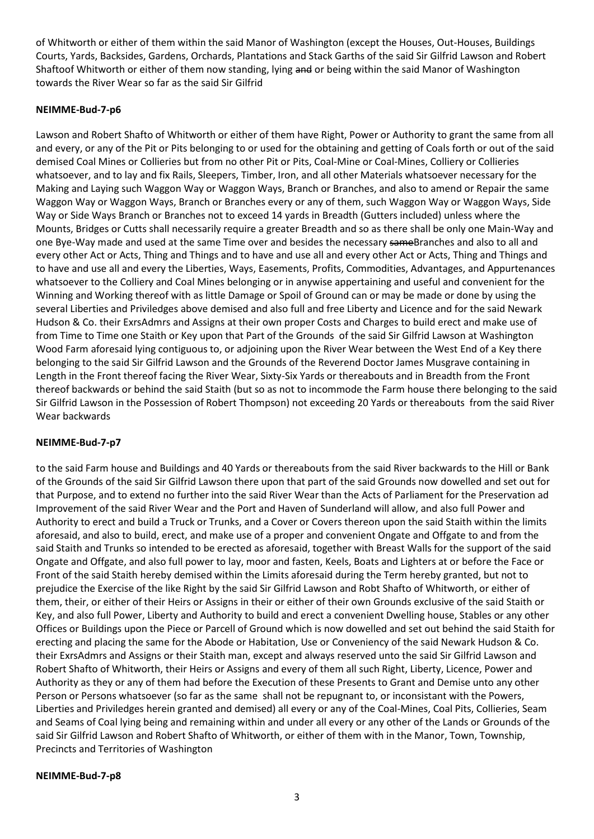of Whitworth or either of them within the said Manor of Washington (except the Houses, Out-Houses, Buildings Courts, Yards, Backsides, Gardens, Orchards, Plantations and Stack Garths of the said Sir Gilfrid Lawson and Robert Shaftoof Whitworth or either of them now standing, lying and or being within the said Manor of Washington towards the River Wear so far as the said Sir Gilfrid

### **NEIMME-Bud-7-p6**

Lawson and Robert Shafto of Whitworth or either of them have Right, Power or Authority to grant the same from all and every, or any of the Pit or Pits belonging to or used for the obtaining and getting of Coals forth or out of the said demised Coal Mines or Collieries but from no other Pit or Pits, Coal-Mine or Coal-Mines, Colliery or Collieries whatsoever, and to lay and fix Rails, Sleepers, Timber, Iron, and all other Materials whatsoever necessary for the Making and Laying such Waggon Way or Waggon Ways, Branch or Branches, and also to amend or Repair the same Waggon Way or Waggon Ways, Branch or Branches every or any of them, such Waggon Way or Waggon Ways, Side Way or Side Ways Branch or Branches not to exceed 14 yards in Breadth (Gutters included) unless where the Mounts, Bridges or Cutts shall necessarily require a greater Breadth and so as there shall be only one Main-Way and one Bye-Way made and used at the same Time over and besides the necessary sameBranches and also to all and every other Act or Acts, Thing and Things and to have and use all and every other Act or Acts, Thing and Things and to have and use all and every the Liberties, Ways, Easements, Profits, Commodities, Advantages, and Appurtenances whatsoever to the Colliery and Coal Mines belonging or in anywise appertaining and useful and convenient for the Winning and Working thereof with as little Damage or Spoil of Ground can or may be made or done by using the several Liberties and Priviledges above demised and also full and free Liberty and Licence and for the said Newark Hudson & Co. their ExrsAdmrs and Assigns at their own proper Costs and Charges to build erect and make use of from Time to Time one Staith or Key upon that Part of the Grounds of the said Sir Gilfrid Lawson at Washington Wood Farm aforesaid lying contiguous to, or adjoining upon the River Wear between the West End of a Key there belonging to the said Sir Gilfrid Lawson and the Grounds of the Reverend Doctor James Musgrave containing in Length in the Front thereof facing the River Wear, Sixty-Six Yards or thereabouts and in Breadth from the Front thereof backwards or behind the said Staith (but so as not to incommode the Farm house there belonging to the said Sir Gilfrid Lawson in the Possession of Robert Thompson) not exceeding 20 Yards or thereabouts from the said River Wear backwards

### **NEIMME-Bud-7-p7**

to the said Farm house and Buildings and 40 Yards or thereabouts from the said River backwards to the Hill or Bank of the Grounds of the said Sir Gilfrid Lawson there upon that part of the said Grounds now dowelled and set out for that Purpose, and to extend no further into the said River Wear than the Acts of Parliament for the Preservation ad Improvement of the said River Wear and the Port and Haven of Sunderland will allow, and also full Power and Authority to erect and build a Truck or Trunks, and a Cover or Covers thereon upon the said Staith within the limits aforesaid, and also to build, erect, and make use of a proper and convenient Ongate and Offgate to and from the said Staith and Trunks so intended to be erected as aforesaid, together with Breast Walls for the support of the said Ongate and Offgate, and also full power to lay, moor and fasten, Keels, Boats and Lighters at or before the Face or Front of the said Staith hereby demised within the Limits aforesaid during the Term hereby granted, but not to prejudice the Exercise of the like Right by the said Sir Gilfrid Lawson and Robt Shafto of Whitworth, or either of them, their, or either of their Heirs or Assigns in their or either of their own Grounds exclusive of the said Staith or Key, and also full Power, Liberty and Authority to build and erect a convenient Dwelling house, Stables or any other Offices or Buildings upon the Piece or Parcell of Ground which is now dowelled and set out behind the said Staith for erecting and placing the same for the Abode or Habitation, Use or Conveniency of the said Newark Hudson & Co. their ExrsAdmrs and Assigns or their Staith man, except and always reserved unto the said Sir Gilfrid Lawson and Robert Shafto of Whitworth, their Heirs or Assigns and every of them all such Right, Liberty, Licence, Power and Authority as they or any of them had before the Execution of these Presents to Grant and Demise unto any other Person or Persons whatsoever (so far as the same shall not be repugnant to, or inconsistant with the Powers, Liberties and Priviledges herein granted and demised) all every or any of the Coal-Mines, Coal Pits, Collieries, Seam and Seams of Coal lying being and remaining within and under all every or any other of the Lands or Grounds of the said Sir Gilfrid Lawson and Robert Shafto of Whitworth, or either of them with in the Manor, Town, Township, Precincts and Territories of Washington

**NEIMME-Bud-7-p8**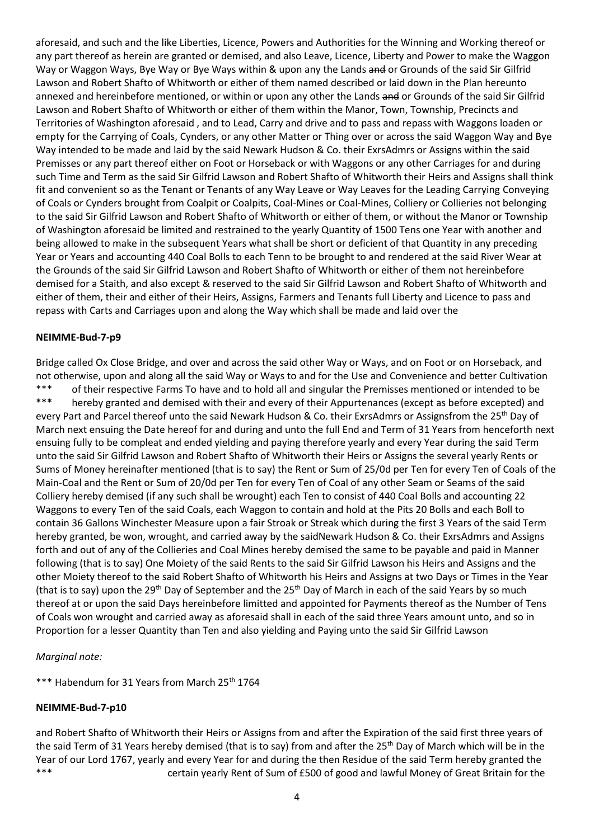aforesaid, and such and the like Liberties, Licence, Powers and Authorities for the Winning and Working thereof or any part thereof as herein are granted or demised, and also Leave, Licence, Liberty and Power to make the Waggon Way or Waggon Ways, Bye Way or Bye Ways within & upon any the Lands and or Grounds of the said Sir Gilfrid Lawson and Robert Shafto of Whitworth or either of them named described or laid down in the Plan hereunto annexed and hereinbefore mentioned, or within or upon any other the Lands and or Grounds of the said Sir Gilfrid Lawson and Robert Shafto of Whitworth or either of them within the Manor, Town, Township, Precincts and Territories of Washington aforesaid , and to Lead, Carry and drive and to pass and repass with Waggons loaden or empty for the Carrying of Coals, Cynders, or any other Matter or Thing over or across the said Waggon Way and Bye Way intended to be made and laid by the said Newark Hudson & Co. their ExrsAdmrs or Assigns within the said Premisses or any part thereof either on Foot or Horseback or with Waggons or any other Carriages for and during such Time and Term as the said Sir Gilfrid Lawson and Robert Shafto of Whitworth their Heirs and Assigns shall think fit and convenient so as the Tenant or Tenants of any Way Leave or Way Leaves for the Leading Carrying Conveying of Coals or Cynders brought from Coalpit or Coalpits, Coal-Mines or Coal-Mines, Colliery or Collieries not belonging to the said Sir Gilfrid Lawson and Robert Shafto of Whitworth or either of them, or without the Manor or Township of Washington aforesaid be limited and restrained to the yearly Quantity of 1500 Tens one Year with another and being allowed to make in the subsequent Years what shall be short or deficient of that Quantity in any preceding Year or Years and accounting 440 Coal Bolls to each Tenn to be brought to and rendered at the said River Wear at the Grounds of the said Sir Gilfrid Lawson and Robert Shafto of Whitworth or either of them not hereinbefore demised for a Staith, and also except & reserved to the said Sir Gilfrid Lawson and Robert Shafto of Whitworth and either of them, their and either of their Heirs, Assigns, Farmers and Tenants full Liberty and Licence to pass and repass with Carts and Carriages upon and along the Way which shall be made and laid over the

### **NEIMME-Bud-7-p9**

Bridge called Ox Close Bridge, and over and across the said other Way or Ways, and on Foot or on Horseback, and not otherwise, upon and along all the said Way or Ways to and for the Use and Convenience and better Cultivation \*\*\* of their respective Farms To have and to hold all and singular the Premisses mentioned or intended to be \*\*\* hereby granted and demised with their and every of their Appurtenances (except as before excepted) and every Part and Parcel thereof unto the said Newark Hudson & Co. their ExrsAdmrs or Assignsfrom the 25<sup>th</sup> Day of March next ensuing the Date hereof for and during and unto the full End and Term of 31 Years from henceforth next ensuing fully to be compleat and ended yielding and paying therefore yearly and every Year during the said Term unto the said Sir Gilfrid Lawson and Robert Shafto of Whitworth their Heirs or Assigns the several yearly Rents or Sums of Money hereinafter mentioned (that is to say) the Rent or Sum of 25/0d per Ten for every Ten of Coals of the Main-Coal and the Rent or Sum of 20/0d per Ten for every Ten of Coal of any other Seam or Seams of the said Colliery hereby demised (if any such shall be wrought) each Ten to consist of 440 Coal Bolls and accounting 22 Waggons to every Ten of the said Coals, each Waggon to contain and hold at the Pits 20 Bolls and each Boll to contain 36 Gallons Winchester Measure upon a fair Stroak or Streak which during the first 3 Years of the said Term hereby granted, be won, wrought, and carried away by the saidNewark Hudson & Co. their ExrsAdmrs and Assigns forth and out of any of the Collieries and Coal Mines hereby demised the same to be payable and paid in Manner following (that is to say) One Moiety of the said Rents to the said Sir Gilfrid Lawson his Heirs and Assigns and the other Moiety thereof to the said Robert Shafto of Whitworth his Heirs and Assigns at two Days or Times in the Year (that is to say) upon the 29<sup>th</sup> Day of September and the 25<sup>th</sup> Day of March in each of the said Years by so much thereof at or upon the said Days hereinbefore limitted and appointed for Payments thereof as the Number of Tens of Coals won wrought and carried away as aforesaid shall in each of the said three Years amount unto, and so in Proportion for a lesser Quantity than Ten and also yielding and Paying unto the said Sir Gilfrid Lawson

### *Marginal note:*

\*\*\* Habendum for 31 Years from March 25<sup>th</sup> 1764

### **NEIMME-Bud-7-p10**

and Robert Shafto of Whitworth their Heirs or Assigns from and after the Expiration of the said first three years of the said Term of 31 Years hereby demised (that is to say) from and after the 25<sup>th</sup> Day of March which will be in the Year of our Lord 1767, yearly and every Year for and during the then Residue of the said Term hereby granted the \*\*\* **certain yearly Rent of Sum of £500 of good and lawful Money of Great Britain for the**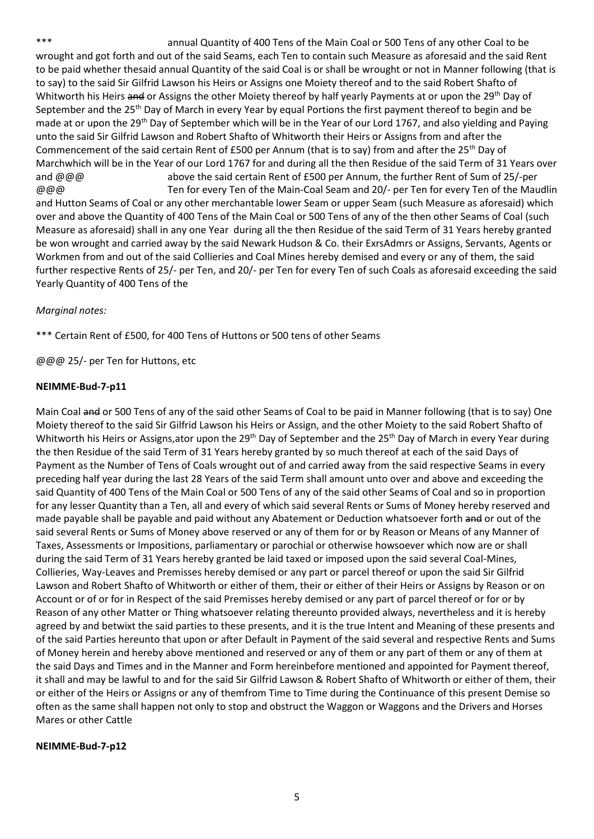\*\*\* annual Quantity of 400 Tens of the Main Coal or 500 Tens of any other Coal to be wrought and got forth and out of the said Seams, each Ten to contain such Measure as aforesaid and the said Rent to be paid whether thesaid annual Quantity of the said Coal is or shall be wrought or not in Manner following (that is to say) to the said Sir Gilfrid Lawson his Heirs or Assigns one Moiety thereof and to the said Robert Shafto of Whitworth his Heirs and or Assigns the other Moiety thereof by half yearly Payments at or upon the 29<sup>th</sup> Day of September and the 25<sup>th</sup> Day of March in every Year by equal Portions the first payment thereof to begin and be made at or upon the 29<sup>th</sup> Day of September which will be in the Year of our Lord 1767, and also yielding and Paying unto the said Sir Gilfrid Lawson and Robert Shafto of Whitworth their Heirs or Assigns from and after the Commencement of the said certain Rent of £500 per Annum (that is to say) from and after the 25<sup>th</sup> Day of Marchwhich will be in the Year of our Lord 1767 for and during all the then Residue of the said Term of 31 Years over and @@@ above the said certain Rent of £500 per Annum, the further Rent of Sum of 25/-per @@@ Ten for every Ten of the Main-Coal Seam and 20/- per Ten for every Ten of the Maudlin and Hutton Seams of Coal or any other merchantable lower Seam or upper Seam (such Measure as aforesaid) which over and above the Quantity of 400 Tens of the Main Coal or 500 Tens of any of the then other Seams of Coal (such Measure as aforesaid) shall in any one Year during all the then Residue of the said Term of 31 Years hereby granted be won wrought and carried away by the said Newark Hudson & Co. their ExrsAdmrs or Assigns, Servants, Agents or Workmen from and out of the said Collieries and Coal Mines hereby demised and every or any of them, the said further respective Rents of 25/- per Ten, and 20/- per Ten for every Ten of such Coals as aforesaid exceeding the said Yearly Quantity of 400 Tens of the

### *Marginal notes:*

\*\*\* Certain Rent of £500, for 400 Tens of Huttons or 500 tens of other Seams

@@@ 25/- per Ten for Huttons, etc

### **NEIMME-Bud-7-p11**

Main Coal and or 500 Tens of any of the said other Seams of Coal to be paid in Manner following (that is to say) One Moiety thereof to the said Sir Gilfrid Lawson his Heirs or Assign, and the other Moiety to the said Robert Shafto of Whitworth his Heirs or Assigns,ator upon the 29<sup>th</sup> Day of September and the 25<sup>th</sup> Day of March in every Year during the then Residue of the said Term of 31 Years hereby granted by so much thereof at each of the said Days of Payment as the Number of Tens of Coals wrought out of and carried away from the said respective Seams in every preceding half year during the last 28 Years of the said Term shall amount unto over and above and exceeding the said Quantity of 400 Tens of the Main Coal or 500 Tens of any of the said other Seams of Coal and so in proportion for any lesser Quantity than a Ten, all and every of which said several Rents or Sums of Money hereby reserved and made payable shall be payable and paid without any Abatement or Deduction whatsoever forth and or out of the said several Rents or Sums of Money above reserved or any of them for or by Reason or Means of any Manner of Taxes, Assessments or Impositions, parliamentary or parochial or otherwise howsoever which now are or shall during the said Term of 31 Years hereby granted be laid taxed or imposed upon the said several Coal-Mines, Collieries, Way-Leaves and Premisses hereby demised or any part or parcel thereof or upon the said Sir Gilfrid Lawson and Robert Shafto of Whitworth or either of them, their or either of their Heirs or Assigns by Reason or on Account or of or for in Respect of the said Premisses hereby demised or any part of parcel thereof or for or by Reason of any other Matter or Thing whatsoever relating thereunto provided always, nevertheless and it is hereby agreed by and betwixt the said parties to these presents, and it is the true Intent and Meaning of these presents and of the said Parties hereunto that upon or after Default in Payment of the said several and respective Rents and Sums of Money herein and hereby above mentioned and reserved or any of them or any part of them or any of them at the said Days and Times and in the Manner and Form hereinbefore mentioned and appointed for Payment thereof, it shall and may be lawful to and for the said Sir Gilfrid Lawson & Robert Shafto of Whitworth or either of them, their or either of the Heirs or Assigns or any of themfrom Time to Time during the Continuance of this present Demise so often as the same shall happen not only to stop and obstruct the Waggon or Waggons and the Drivers and Horses Mares or other Cattle

### **NEIMME-Bud-7-p12**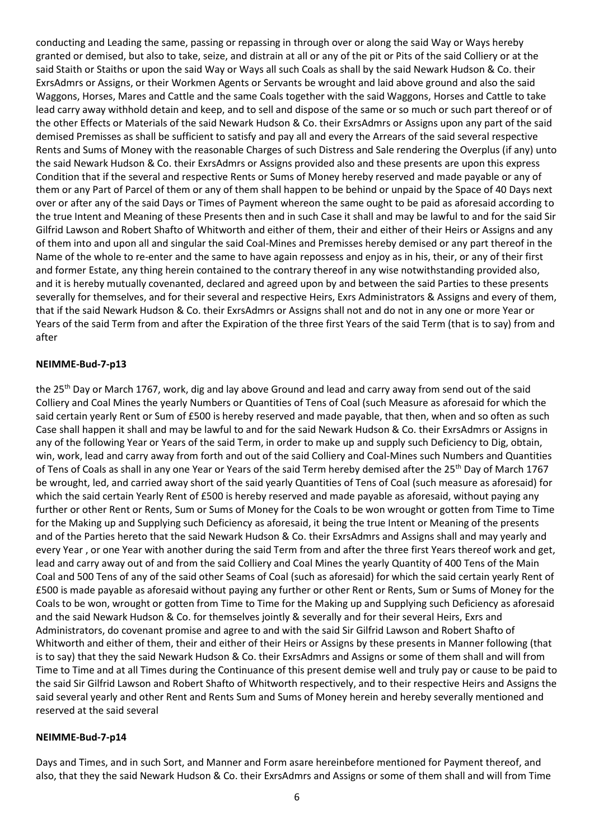conducting and Leading the same, passing or repassing in through over or along the said Way or Ways hereby granted or demised, but also to take, seize, and distrain at all or any of the pit or Pits of the said Colliery or at the said Staith or Staiths or upon the said Way or Ways all such Coals as shall by the said Newark Hudson & Co. their ExrsAdmrs or Assigns, or their Workmen Agents or Servants be wrought and laid above ground and also the said Waggons, Horses, Mares and Cattle and the same Coals together with the said Waggons, Horses and Cattle to take lead carry away withhold detain and keep, and to sell and dispose of the same or so much or such part thereof or of the other Effects or Materials of the said Newark Hudson & Co. their ExrsAdmrs or Assigns upon any part of the said demised Premisses as shall be sufficient to satisfy and pay all and every the Arrears of the said several respective Rents and Sums of Money with the reasonable Charges of such Distress and Sale rendering the Overplus (if any) unto the said Newark Hudson & Co. their ExrsAdmrs or Assigns provided also and these presents are upon this express Condition that if the several and respective Rents or Sums of Money hereby reserved and made payable or any of them or any Part of Parcel of them or any of them shall happen to be behind or unpaid by the Space of 40 Days next over or after any of the said Days or Times of Payment whereon the same ought to be paid as aforesaid according to the true Intent and Meaning of these Presents then and in such Case it shall and may be lawful to and for the said Sir Gilfrid Lawson and Robert Shafto of Whitworth and either of them, their and either of their Heirs or Assigns and any of them into and upon all and singular the said Coal-Mines and Premisses hereby demised or any part thereof in the Name of the whole to re-enter and the same to have again repossess and enjoy as in his, their, or any of their first and former Estate, any thing herein contained to the contrary thereof in any wise notwithstanding provided also, and it is hereby mutually covenanted, declared and agreed upon by and between the said Parties to these presents severally for themselves, and for their several and respective Heirs, Exrs Administrators & Assigns and every of them, that if the said Newark Hudson & Co. their ExrsAdmrs or Assigns shall not and do not in any one or more Year or Years of the said Term from and after the Expiration of the three first Years of the said Term (that is to say) from and after

### **NEIMME-Bud-7-p13**

the 25<sup>th</sup> Day or March 1767, work, dig and lay above Ground and lead and carry away from send out of the said Colliery and Coal Mines the yearly Numbers or Quantities of Tens of Coal (such Measure as aforesaid for which the said certain yearly Rent or Sum of £500 is hereby reserved and made payable, that then, when and so often as such Case shall happen it shall and may be lawful to and for the said Newark Hudson & Co. their ExrsAdmrs or Assigns in any of the following Year or Years of the said Term, in order to make up and supply such Deficiency to Dig, obtain, win, work, lead and carry away from forth and out of the said Colliery and Coal-Mines such Numbers and Quantities of Tens of Coals as shall in any one Year or Years of the said Term hereby demised after the 25th Day of March 1767 be wrought, led, and carried away short of the said yearly Quantities of Tens of Coal (such measure as aforesaid) for which the said certain Yearly Rent of £500 is hereby reserved and made payable as aforesaid, without paying any further or other Rent or Rents, Sum or Sums of Money for the Coals to be won wrought or gotten from Time to Time for the Making up and Supplying such Deficiency as aforesaid, it being the true Intent or Meaning of the presents and of the Parties hereto that the said Newark Hudson & Co. their ExrsAdmrs and Assigns shall and may yearly and every Year , or one Year with another during the said Term from and after the three first Years thereof work and get, lead and carry away out of and from the said Colliery and Coal Mines the yearly Quantity of 400 Tens of the Main Coal and 500 Tens of any of the said other Seams of Coal (such as aforesaid) for which the said certain yearly Rent of £500 is made payable as aforesaid without paying any further or other Rent or Rents, Sum or Sums of Money for the Coals to be won, wrought or gotten from Time to Time for the Making up and Supplying such Deficiency as aforesaid and the said Newark Hudson & Co. for themselves jointly & severally and for their several Heirs, Exrs and Administrators, do covenant promise and agree to and with the said Sir Gilfrid Lawson and Robert Shafto of Whitworth and either of them, their and either of their Heirs or Assigns by these presents in Manner following (that is to say) that they the said Newark Hudson & Co. their ExrsAdmrs and Assigns or some of them shall and will from Time to Time and at all Times during the Continuance of this present demise well and truly pay or cause to be paid to the said Sir Gilfrid Lawson and Robert Shafto of Whitworth respectively, and to their respective Heirs and Assigns the said several yearly and other Rent and Rents Sum and Sums of Money herein and hereby severally mentioned and reserved at the said several

### **NEIMME-Bud-7-p14**

Days and Times, and in such Sort, and Manner and Form asare hereinbefore mentioned for Payment thereof, and also, that they the said Newark Hudson & Co. their ExrsAdmrs and Assigns or some of them shall and will from Time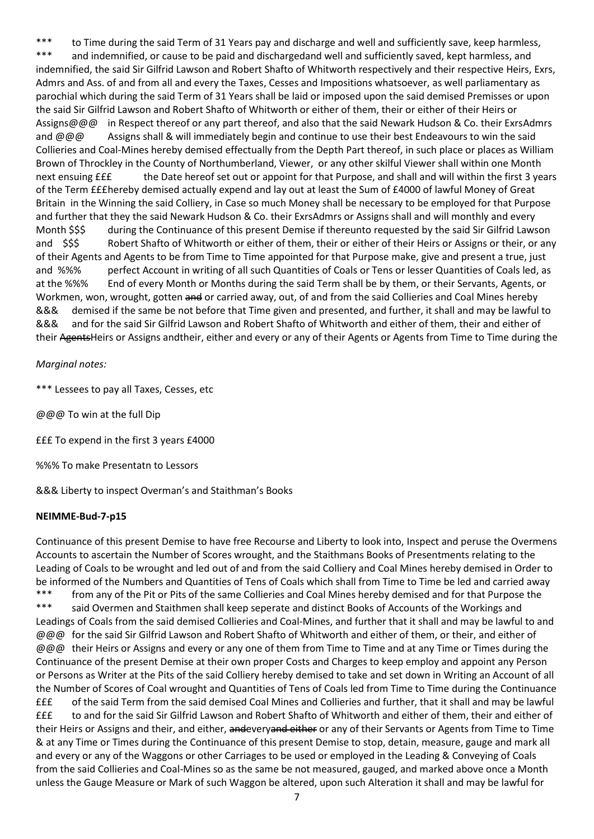\*\*\* to Time during the said Term of 31 Years pay and discharge and well and sufficiently save, keep harmless, \*\*\* and indemnified, or cause to be paid and dischargedand well and sufficiently saved, kept harmless, and indemnified, the said Sir Gilfrid Lawson and Robert Shafto of Whitworth respectively and their respective Heirs, Exrs, Admrs and Ass. of and from all and every the Taxes, Cesses and Impositions whatsoever, as well parliamentary as parochial which during the said Term of 31 Years shall be laid or imposed upon the said demised Premisses or upon the said Sir Gilfrid Lawson and Robert Shafto of Whitworth or either of them, their or either of their Heirs or Assigns@@@ in Respect thereof or any part thereof, and also that the said Newark Hudson & Co. their ExrsAdmrs and @@@ Assigns shall & will immediately begin and continue to use their best Endeavours to win the said Collieries and Coal-Mines hereby demised effectually from the Depth Part thereof, in such place or places as William Brown of Throckley in the County of Northumberland, Viewer, or any other skilful Viewer shall within one Month next ensuing £££ the Date hereof set out or appoint for that Purpose, and shall and will within the first 3 years of the Term £££hereby demised actually expend and lay out at least the Sum of £4000 of lawful Money of Great Britain in the Winning the said Colliery, in Case so much Money shall be necessary to be employed for that Purpose and further that they the said Newark Hudson & Co. their ExrsAdmrs or Assigns shall and will monthly and every Month \$\$\$ during the Continuance of this present Demise if thereunto requested by the said Sir Gilfrid Lawson and \$\$\$ Robert Shafto of Whitworth or either of them, their or either of their Heirs or Assigns or their, or any of their Agents and Agents to be from Time to Time appointed for that Purpose make, give and present a true, just and %%% perfect Account in writing of all such Quantities of Coals or Tens or lesser Quantities of Coals led, as at the %%% End of every Month or Months during the said Term shall be by them, or their Servants, Agents, or Workmen, won, wrought, gotten and or carried away, out, of and from the said Collieries and Coal Mines hereby &&& demised if the same be not before that Time given and presented, and further, it shall and may be lawful to &&& and for the said Sir Gilfrid Lawson and Robert Shafto of Whitworth and either of them, their and either of their AgentsHeirs or Assigns andtheir, either and every or any of their Agents or Agents from Time to Time during the

### *Marginal notes:*

\*\*\* Lessees to pay all Taxes, Cesses, etc

@@@ To win at the full Dip

£££ To expend in the first 3 years £4000

%%% To make Presentatn to Lessors

&&& Liberty to inspect Overman's and Staithman's Books

### **NEIMME-Bud-7-p15**

Continuance of this present Demise to have free Recourse and Liberty to look into, Inspect and peruse the Overmens Accounts to ascertain the Number of Scores wrought, and the Staithmans Books of Presentments relating to the Leading of Coals to be wrought and led out of and from the said Colliery and Coal Mines hereby demised in Order to be informed of the Numbers and Quantities of Tens of Coals which shall from Time to Time be led and carried away \*\*\* from any of the Pit or Pits of the same Collieries and Coal Mines hereby demised and for that Purpose the \*\*\* said Overmen and Staithmen shall keep seperate and distinct Books of Accounts of the Workings and Leadings of Coals from the said demised Collieries and Coal-Mines, and further that it shall and may be lawful to and @@@ for the said Sir Gilfrid Lawson and Robert Shafto of Whitworth and either of them, or their, and either of @@@ their Heirs or Assigns and every or any one of them from Time to Time and at any Time or Times during the Continuance of the present Demise at their own proper Costs and Charges to keep employ and appoint any Person or Persons as Writer at the Pits of the said Colliery hereby demised to take and set down in Writing an Account of all the Number of Scores of Coal wrought and Quantities of Tens of Coals led from Time to Time during the Continuance £££ of the said Term from the said demised Coal Mines and Collieries and further, that it shall and may be lawful £££ to and for the said Sir Gilfrid Lawson and Robert Shafto of Whitworth and either of them, their and either of their Heirs or Assigns and their, and either, andeveryand either or any of their Servants or Agents from Time to Time & at any Time or Times during the Continuance of this present Demise to stop, detain, measure, gauge and mark all and every or any of the Waggons or other Carriages to be used or employed in the Leading & Conveying of Coals from the said Collieries and Coal-Mines so as the same be not measured, gauged, and marked above once a Month unless the Gauge Measure or Mark of such Waggon be altered, upon such Alteration it shall and may be lawful for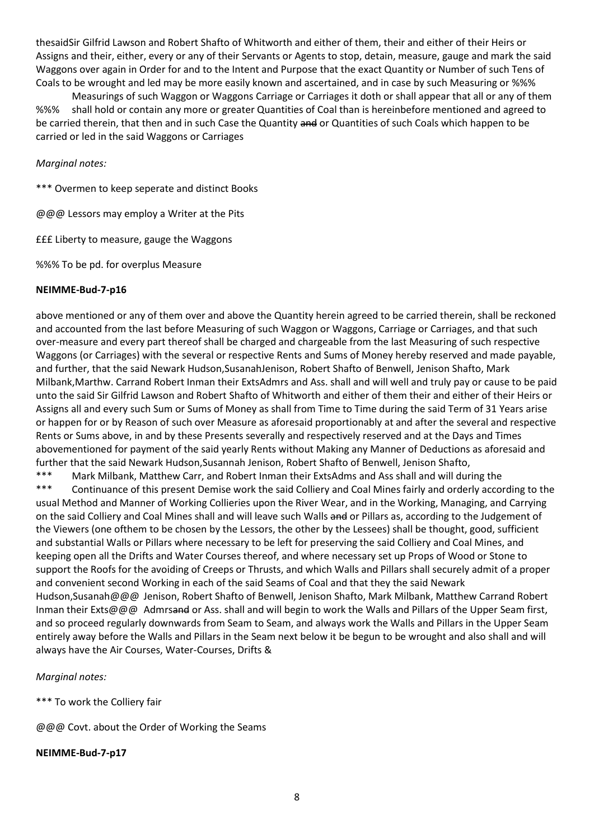thesaidSir Gilfrid Lawson and Robert Shafto of Whitworth and either of them, their and either of their Heirs or Assigns and their, either, every or any of their Servants or Agents to stop, detain, measure, gauge and mark the said Waggons over again in Order for and to the Intent and Purpose that the exact Quantity or Number of such Tens of Coals to be wrought and led may be more easily known and ascertained, and in case by such Measuring or %%%

Measurings of such Waggon or Waggons Carriage or Carriages it doth or shall appear that all or any of them %%% shall hold or contain any more or greater Quantities of Coal than is hereinbefore mentioned and agreed to be carried therein, that then and in such Case the Quantity and or Quantities of such Coals which happen to be carried or led in the said Waggons or Carriages

*Marginal notes:* 

\*\*\* Overmen to keep seperate and distinct Books

@@@ Lessors may employ a Writer at the Pits

£££ Liberty to measure, gauge the Waggons

%%% To be pd. for overplus Measure

### **NEIMME-Bud-7-p16**

above mentioned or any of them over and above the Quantity herein agreed to be carried therein, shall be reckoned and accounted from the last before Measuring of such Waggon or Waggons, Carriage or Carriages, and that such over-measure and every part thereof shall be charged and chargeable from the last Measuring of such respective Waggons (or Carriages) with the several or respective Rents and Sums of Money hereby reserved and made payable, and further, that the said Newark Hudson,SusanahJenison, Robert Shafto of Benwell, Jenison Shafto, Mark Milbank,Marthw. Carrand Robert Inman their ExtsAdmrs and Ass. shall and will well and truly pay or cause to be paid unto the said Sir Gilfrid Lawson and Robert Shafto of Whitworth and either of them their and either of their Heirs or Assigns all and every such Sum or Sums of Money as shall from Time to Time during the said Term of 31 Years arise or happen for or by Reason of such over Measure as aforesaid proportionably at and after the several and respective Rents or Sums above, in and by these Presents severally and respectively reserved and at the Days and Times abovementioned for payment of the said yearly Rents without Making any Manner of Deductions as aforesaid and further that the said Newark Hudson,Susannah Jenison, Robert Shafto of Benwell, Jenison Shafto,

\*\*\* Mark Milbank, Matthew Carr, and Robert Inman their ExtsAdms and Ass shall and will during the \*\*\* Continuance of this present Demise work the said Colliery and Coal Mines fairly and orderly according to the usual Method and Manner of Working Collieries upon the River Wear, and in the Working, Managing, and Carrying on the said Colliery and Coal Mines shall and will leave such Walls and or Pillars as, according to the Judgement of the Viewers (one ofthem to be chosen by the Lessors, the other by the Lessees) shall be thought, good, sufficient and substantial Walls or Pillars where necessary to be left for preserving the said Colliery and Coal Mines, and keeping open all the Drifts and Water Courses thereof, and where necessary set up Props of Wood or Stone to support the Roofs for the avoiding of Creeps or Thrusts, and which Walls and Pillars shall securely admit of a proper and convenient second Working in each of the said Seams of Coal and that they the said Newark Hudson,Susanah@@@ Jenison, Robert Shafto of Benwell, Jenison Shafto, Mark Milbank, Matthew Carrand Robert Inman their Exts@@@ Admrsand or Ass. shall and will begin to work the Walls and Pillars of the Upper Seam first, and so proceed regularly downwards from Seam to Seam, and always work the Walls and Pillars in the Upper Seam entirely away before the Walls and Pillars in the Seam next below it be begun to be wrought and also shall and will always have the Air Courses, Water-Courses, Drifts &

*Marginal notes:* 

\*\*\* To work the Colliery fair

@@@ Covt. about the Order of Working the Seams

**NEIMME-Bud-7-p17**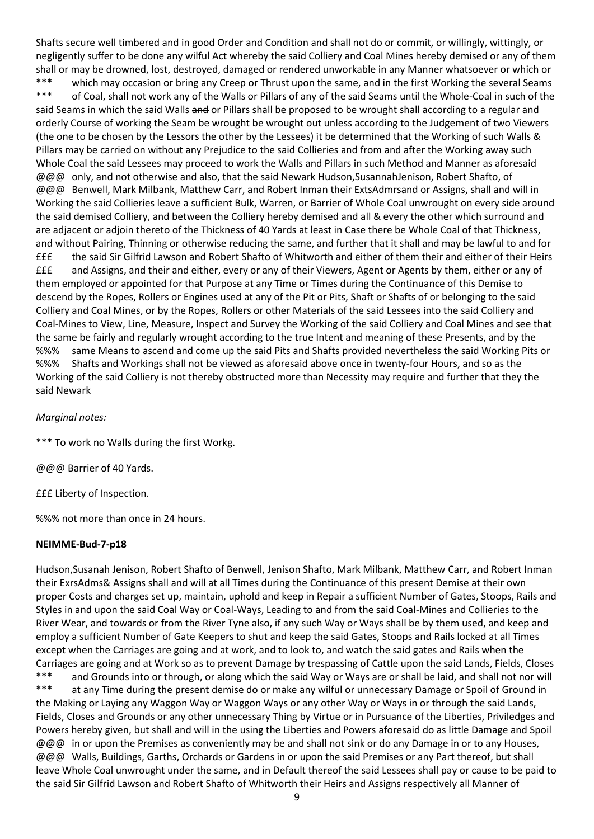Shafts secure well timbered and in good Order and Condition and shall not do or commit, or willingly, wittingly, or negligently suffer to be done any wilful Act whereby the said Colliery and Coal Mines hereby demised or any of them shall or may be drowned, lost, destroyed, damaged or rendered unworkable in any Manner whatsoever or which or \*\*\* which may occasion or bring any Creep or Thrust upon the same, and in the first Working the several Seams \*\*\* of Coal, shall not work any of the Walls or Pillars of any of the said Seams until the Whole-Coal in such of the said Seams in which the said Walls and or Pillars shall be proposed to be wrought shall according to a regular and orderly Course of working the Seam be wrought be wrought out unless according to the Judgement of two Viewers (the one to be chosen by the Lessors the other by the Lessees) it be determined that the Working of such Walls & Pillars may be carried on without any Prejudice to the said Collieries and from and after the Working away such Whole Coal the said Lessees may proceed to work the Walls and Pillars in such Method and Manner as aforesaid @@@ only, and not otherwise and also, that the said Newark Hudson,SusannahJenison, Robert Shafto, of @@@ Benwell, Mark Milbank, Matthew Carr, and Robert Inman their ExtsAdmrsand or Assigns, shall and will in Working the said Collieries leave a sufficient Bulk, Warren, or Barrier of Whole Coal unwrought on every side around the said demised Colliery, and between the Colliery hereby demised and all & every the other which surround and are adjacent or adjoin thereto of the Thickness of 40 Yards at least in Case there be Whole Coal of that Thickness, and without Pairing, Thinning or otherwise reducing the same, and further that it shall and may be lawful to and for £££ the said Sir Gilfrid Lawson and Robert Shafto of Whitworth and either of them their and either of their Heirs £££ and Assigns, and their and either, every or any of their Viewers, Agent or Agents by them, either or any of them employed or appointed for that Purpose at any Time or Times during the Continuance of this Demise to descend by the Ropes, Rollers or Engines used at any of the Pit or Pits, Shaft or Shafts of or belonging to the said Colliery and Coal Mines, or by the Ropes, Rollers or other Materials of the said Lessees into the said Colliery and Coal-Mines to View, Line, Measure, Inspect and Survey the Working of the said Colliery and Coal Mines and see that the same be fairly and regularly wrought according to the true Intent and meaning of these Presents, and by the %%% same Means to ascend and come up the said Pits and Shafts provided nevertheless the said Working Pits or %%% Shafts and Workings shall not be viewed as aforesaid above once in twenty-four Hours, and so as the Working of the said Colliery is not thereby obstructed more than Necessity may require and further that they the said Newark

*Marginal notes:* 

\*\*\* To work no Walls during the first Workg.

@@@ Barrier of 40 Yards.

£££ Liberty of Inspection.

%%% not more than once in 24 hours.

### **NEIMME-Bud-7-p18**

Hudson,Susanah Jenison, Robert Shafto of Benwell, Jenison Shafto, Mark Milbank, Matthew Carr, and Robert Inman their ExrsAdms& Assigns shall and will at all Times during the Continuance of this present Demise at their own proper Costs and charges set up, maintain, uphold and keep in Repair a sufficient Number of Gates, Stoops, Rails and Styles in and upon the said Coal Way or Coal-Ways, Leading to and from the said Coal-Mines and Collieries to the River Wear, and towards or from the River Tyne also, if any such Way or Ways shall be by them used, and keep and employ a sufficient Number of Gate Keepers to shut and keep the said Gates, Stoops and Rails locked at all Times except when the Carriages are going and at work, and to look to, and watch the said gates and Rails when the Carriages are going and at Work so as to prevent Damage by trespassing of Cattle upon the said Lands, Fields, Closes \*\*\* and Grounds into or through, or along which the said Way or Ways are or shall be laid, and shall not nor will \*\*\* at any Time during the present demise do or make any wilful or unnecessary Damage or Spoil of Ground in the Making or Laying any Waggon Way or Waggon Ways or any other Way or Ways in or through the said Lands, Fields, Closes and Grounds or any other unnecessary Thing by Virtue or in Pursuance of the Liberties, Priviledges and Powers hereby given, but shall and will in the using the Liberties and Powers aforesaid do as little Damage and Spoil @@@ in or upon the Premises as conveniently may be and shall not sink or do any Damage in or to any Houses, @@@ Walls, Buildings, Garths, Orchards or Gardens in or upon the said Premises or any Part thereof, but shall leave Whole Coal unwrought under the same, and in Default thereof the said Lessees shall pay or cause to be paid to the said Sir Gilfrid Lawson and Robert Shafto of Whitworth their Heirs and Assigns respectively all Manner of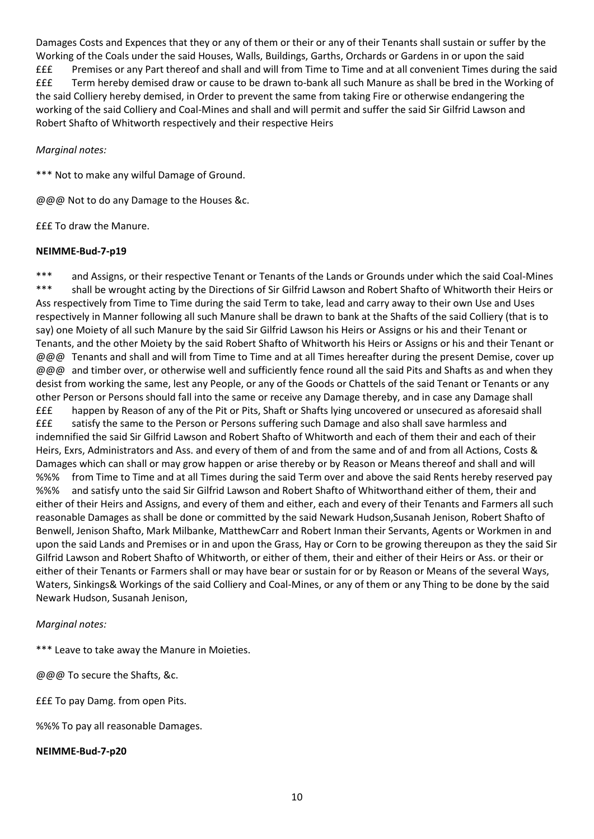Damages Costs and Expences that they or any of them or their or any of their Tenants shall sustain or suffer by the Working of the Coals under the said Houses, Walls, Buildings, Garths, Orchards or Gardens in or upon the said £££ Premises or any Part thereof and shall and will from Time to Time and at all convenient Times during the said £££ Term hereby demised draw or cause to be drawn to-bank all such Manure as shall be bred in the Working of the said Colliery hereby demised, in Order to prevent the same from taking Fire or otherwise endangering the working of the said Colliery and Coal-Mines and shall and will permit and suffer the said Sir Gilfrid Lawson and Robert Shafto of Whitworth respectively and their respective Heirs

### *Marginal notes:*

\*\*\* Not to make any wilful Damage of Ground.

@@@ Not to do any Damage to the Houses &c.

£££ To draw the Manure.

### **NEIMME-Bud-7-p19**

\*\*\* and Assigns, or their respective Tenant or Tenants of the Lands or Grounds under which the said Coal-Mines \*\*\* shall be wrought acting by the Directions of Sir Gilfrid Lawson and Robert Shafto of Whitworth their Heirs or Ass respectively from Time to Time during the said Term to take, lead and carry away to their own Use and Uses respectively in Manner following all such Manure shall be drawn to bank at the Shafts of the said Colliery (that is to say) one Moiety of all such Manure by the said Sir Gilfrid Lawson his Heirs or Assigns or his and their Tenant or Tenants, and the other Moiety by the said Robert Shafto of Whitworth his Heirs or Assigns or his and their Tenant or @@@ Tenants and shall and will from Time to Time and at all Times hereafter during the present Demise, cover up @@@ and timber over, or otherwise well and sufficiently fence round all the said Pits and Shafts as and when they desist from working the same, lest any People, or any of the Goods or Chattels of the said Tenant or Tenants or any other Person or Persons should fall into the same or receive any Damage thereby, and in case any Damage shall £££ happen by Reason of any of the Pit or Pits, Shaft or Shafts lying uncovered or unsecured as aforesaid shall £££ satisfy the same to the Person or Persons suffering such Damage and also shall save harmless and indemnified the said Sir Gilfrid Lawson and Robert Shafto of Whitworth and each of them their and each of their Heirs, Exrs, Administrators and Ass. and every of them of and from the same and of and from all Actions, Costs & Damages which can shall or may grow happen or arise thereby or by Reason or Means thereof and shall and will %%% from Time to Time and at all Times during the said Term over and above the said Rents hereby reserved pay %%% and satisfy unto the said Sir Gilfrid Lawson and Robert Shafto of Whitworthand either of them, their and either of their Heirs and Assigns, and every of them and either, each and every of their Tenants and Farmers all such reasonable Damages as shall be done or committed by the said Newark Hudson,Susanah Jenison, Robert Shafto of Benwell, Jenison Shafto, Mark Milbanke, MatthewCarr and Robert Inman their Servants, Agents or Workmen in and upon the said Lands and Premises or in and upon the Grass, Hay or Corn to be growing thereupon as they the said Sir Gilfrid Lawson and Robert Shafto of Whitworth, or either of them, their and either of their Heirs or Ass. or their or either of their Tenants or Farmers shall or may have bear or sustain for or by Reason or Means of the several Ways, Waters, Sinkings& Workings of the said Colliery and Coal-Mines, or any of them or any Thing to be done by the said Newark Hudson, Susanah Jenison,

# *Marginal notes:*

\*\*\* Leave to take away the Manure in Moieties.

@@@ To secure the Shafts, &c.

£££ To pay Damg. from open Pits.

%%% To pay all reasonable Damages.

**NEIMME-Bud-7-p20**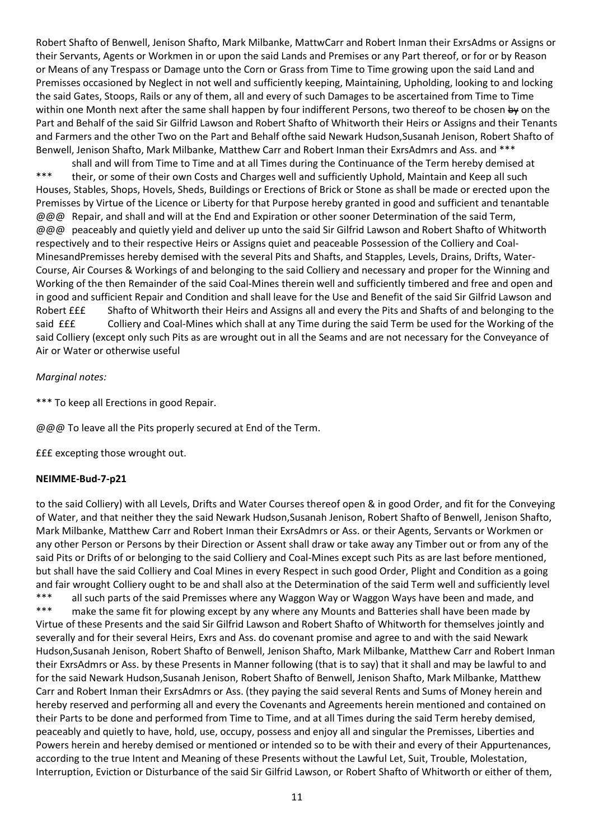Robert Shafto of Benwell, Jenison Shafto, Mark Milbanke, MattwCarr and Robert Inman their ExrsAdms or Assigns or their Servants, Agents or Workmen in or upon the said Lands and Premises or any Part thereof, or for or by Reason or Means of any Trespass or Damage unto the Corn or Grass from Time to Time growing upon the said Land and Premisses occasioned by Neglect in not well and sufficiently keeping, Maintaining, Upholding, looking to and locking the said Gates, Stoops, Rails or any of them, all and every of such Damages to be ascertained from Time to Time within one Month next after the same shall happen by four indifferent Persons, two thereof to be chosen by on the Part and Behalf of the said Sir Gilfrid Lawson and Robert Shafto of Whitworth their Heirs or Assigns and their Tenants and Farmers and the other Two on the Part and Behalf ofthe said Newark Hudson,Susanah Jenison, Robert Shafto of Benwell, Jenison Shafto, Mark Milbanke, Matthew Carr and Robert Inman their ExrsAdmrs and Ass. and \*\*\*

shall and will from Time to Time and at all Times during the Continuance of the Term hereby demised at \*\*\* their, or some of their own Costs and Charges well and sufficiently Uphold, Maintain and Keep all such Houses, Stables, Shops, Hovels, Sheds, Buildings or Erections of Brick or Stone as shall be made or erected upon the Premisses by Virtue of the Licence or Liberty for that Purpose hereby granted in good and sufficient and tenantable @@@ Repair, and shall and will at the End and Expiration or other sooner Determination of the said Term, @@@ peaceably and quietly yield and deliver up unto the said Sir Gilfrid Lawson and Robert Shafto of Whitworth respectively and to their respective Heirs or Assigns quiet and peaceable Possession of the Colliery and Coal-MinesandPremisses hereby demised with the several Pits and Shafts, and Stapples, Levels, Drains, Drifts, Water-Course, Air Courses & Workings of and belonging to the said Colliery and necessary and proper for the Winning and Working of the then Remainder of the said Coal-Mines therein well and sufficiently timbered and free and open and in good and sufficient Repair and Condition and shall leave for the Use and Benefit of the said Sir Gilfrid Lawson and Robert £££ Shafto of Whitworth their Heirs and Assigns all and every the Pits and Shafts of and belonging to the said £££ Colliery and Coal-Mines which shall at any Time during the said Term be used for the Working of the said Colliery (except only such Pits as are wrought out in all the Seams and are not necessary for the Conveyance of Air or Water or otherwise useful

### *Marginal notes:*

\*\*\* To keep all Erections in good Repair.

@@@ To leave all the Pits properly secured at End of the Term.

£££ excepting those wrought out.

#### **NEIMME-Bud-7-p21**

to the said Colliery) with all Levels, Drifts and Water Courses thereof open & in good Order, and fit for the Conveying of Water, and that neither they the said Newark Hudson,Susanah Jenison, Robert Shafto of Benwell, Jenison Shafto, Mark Milbanke, Matthew Carr and Robert Inman their ExrsAdmrs or Ass. or their Agents, Servants or Workmen or any other Person or Persons by their Direction or Assent shall draw or take away any Timber out or from any of the said Pits or Drifts of or belonging to the said Colliery and Coal-Mines except such Pits as are last before mentioned, but shall have the said Colliery and Coal Mines in every Respect in such good Order, Plight and Condition as a going and fair wrought Colliery ought to be and shall also at the Determination of the said Term well and sufficiently level \*\*\* all such parts of the said Premisses where any Waggon Way or Waggon Ways have been and made, and \*\*\* make the same fit for plowing except by any where any Mounts and Batteries shall have been made by Virtue of these Presents and the said Sir Gilfrid Lawson and Robert Shafto of Whitworth for themselves jointly and severally and for their several Heirs, Exrs and Ass. do covenant promise and agree to and with the said Newark Hudson,Susanah Jenison, Robert Shafto of Benwell, Jenison Shafto, Mark Milbanke, Matthew Carr and Robert Inman their ExrsAdmrs or Ass. by these Presents in Manner following (that is to say) that it shall and may be lawful to and for the said Newark Hudson,Susanah Jenison, Robert Shafto of Benwell, Jenison Shafto, Mark Milbanke, Matthew Carr and Robert Inman their ExrsAdmrs or Ass. (they paying the said several Rents and Sums of Money herein and hereby reserved and performing all and every the Covenants and Agreements herein mentioned and contained on their Parts to be done and performed from Time to Time, and at all Times during the said Term hereby demised, peaceably and quietly to have, hold, use, occupy, possess and enjoy all and singular the Premisses, Liberties and Powers herein and hereby demised or mentioned or intended so to be with their and every of their Appurtenances, according to the true Intent and Meaning of these Presents without the Lawful Let, Suit, Trouble, Molestation, Interruption, Eviction or Disturbance of the said Sir Gilfrid Lawson, or Robert Shafto of Whitworth or either of them,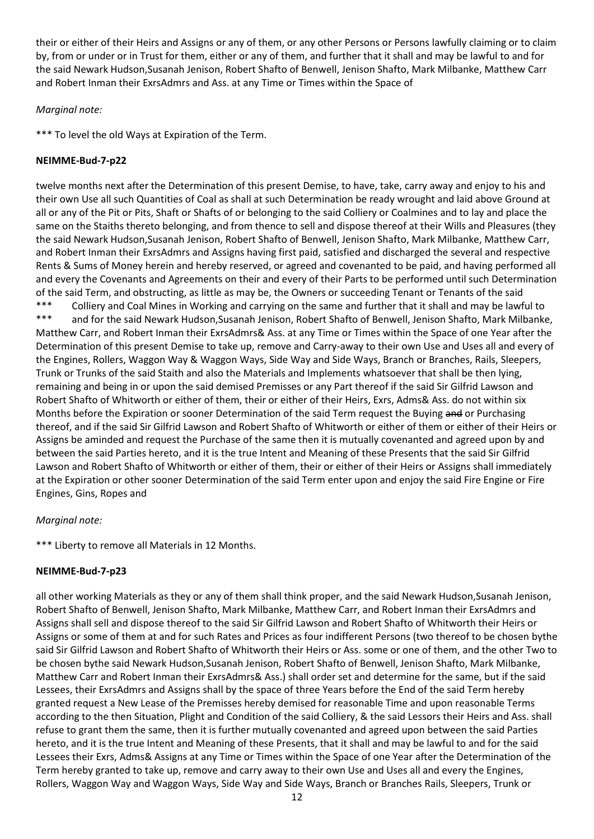their or either of their Heirs and Assigns or any of them, or any other Persons or Persons lawfully claiming or to claim by, from or under or in Trust for them, either or any of them, and further that it shall and may be lawful to and for the said Newark Hudson,Susanah Jenison, Robert Shafto of Benwell, Jenison Shafto, Mark Milbanke, Matthew Carr and Robert Inman their ExrsAdmrs and Ass. at any Time or Times within the Space of

### *Marginal note:*

\*\*\* To level the old Ways at Expiration of the Term.

# **NEIMME-Bud-7-p22**

twelve months next after the Determination of this present Demise, to have, take, carry away and enjoy to his and their own Use all such Quantities of Coal as shall at such Determination be ready wrought and laid above Ground at all or any of the Pit or Pits, Shaft or Shafts of or belonging to the said Colliery or Coalmines and to lay and place the same on the Staiths thereto belonging, and from thence to sell and dispose thereof at their Wills and Pleasures (they the said Newark Hudson,Susanah Jenison, Robert Shafto of Benwell, Jenison Shafto, Mark Milbanke, Matthew Carr, and Robert Inman their ExrsAdmrs and Assigns having first paid, satisfied and discharged the several and respective Rents & Sums of Money herein and hereby reserved, or agreed and covenanted to be paid, and having performed all and every the Covenants and Agreements on their and every of their Parts to be performed until such Determination of the said Term, and obstructing, as little as may be, the Owners or succeeding Tenant or Tenants of the said \*\*\* Colliery and Coal Mines in Working and carrying on the same and further that it shall and may be lawful to \*\*\* and for the said Newark Hudson,Susanah Jenison, Robert Shafto of Benwell, Jenison Shafto, Mark Milbanke, Matthew Carr, and Robert Inman their ExrsAdmrs& Ass. at any Time or Times within the Space of one Year after the Determination of this present Demise to take up, remove and Carry-away to their own Use and Uses all and every of the Engines, Rollers, Waggon Way & Waggon Ways, Side Way and Side Ways, Branch or Branches, Rails, Sleepers, Trunk or Trunks of the said Staith and also the Materials and Implements whatsoever that shall be then lying, remaining and being in or upon the said demised Premisses or any Part thereof if the said Sir Gilfrid Lawson and Robert Shafto of Whitworth or either of them, their or either of their Heirs, Exrs, Adms& Ass. do not within six Months before the Expiration or sooner Determination of the said Term request the Buying and or Purchasing thereof, and if the said Sir Gilfrid Lawson and Robert Shafto of Whitworth or either of them or either of their Heirs or Assigns be aminded and request the Purchase of the same then it is mutually covenanted and agreed upon by and between the said Parties hereto, and it is the true Intent and Meaning of these Presents that the said Sir Gilfrid Lawson and Robert Shafto of Whitworth or either of them, their or either of their Heirs or Assigns shall immediately at the Expiration or other sooner Determination of the said Term enter upon and enjoy the said Fire Engine or Fire Engines, Gins, Ropes and

# *Marginal note:*

\*\*\* Liberty to remove all Materials in 12 Months.

# **NEIMME-Bud-7-p23**

all other working Materials as they or any of them shall think proper, and the said Newark Hudson,Susanah Jenison, Robert Shafto of Benwell, Jenison Shafto, Mark Milbanke, Matthew Carr, and Robert Inman their ExrsAdmrs and Assigns shall sell and dispose thereof to the said Sir Gilfrid Lawson and Robert Shafto of Whitworth their Heirs or Assigns or some of them at and for such Rates and Prices as four indifferent Persons (two thereof to be chosen bythe said Sir Gilfrid Lawson and Robert Shafto of Whitworth their Heirs or Ass. some or one of them, and the other Two to be chosen bythe said Newark Hudson,Susanah Jenison, Robert Shafto of Benwell, Jenison Shafto, Mark Milbanke, Matthew Carr and Robert Inman their ExrsAdmrs& Ass.) shall order set and determine for the same, but if the said Lessees, their ExrsAdmrs and Assigns shall by the space of three Years before the End of the said Term hereby granted request a New Lease of the Premisses hereby demised for reasonable Time and upon reasonable Terms according to the then Situation, Plight and Condition of the said Colliery, & the said Lessors their Heirs and Ass. shall refuse to grant them the same, then it is further mutually covenanted and agreed upon between the said Parties hereto, and it is the true Intent and Meaning of these Presents, that it shall and may be lawful to and for the said Lessees their Exrs, Adms& Assigns at any Time or Times within the Space of one Year after the Determination of the Term hereby granted to take up, remove and carry away to their own Use and Uses all and every the Engines, Rollers, Waggon Way and Waggon Ways, Side Way and Side Ways, Branch or Branches Rails, Sleepers, Trunk or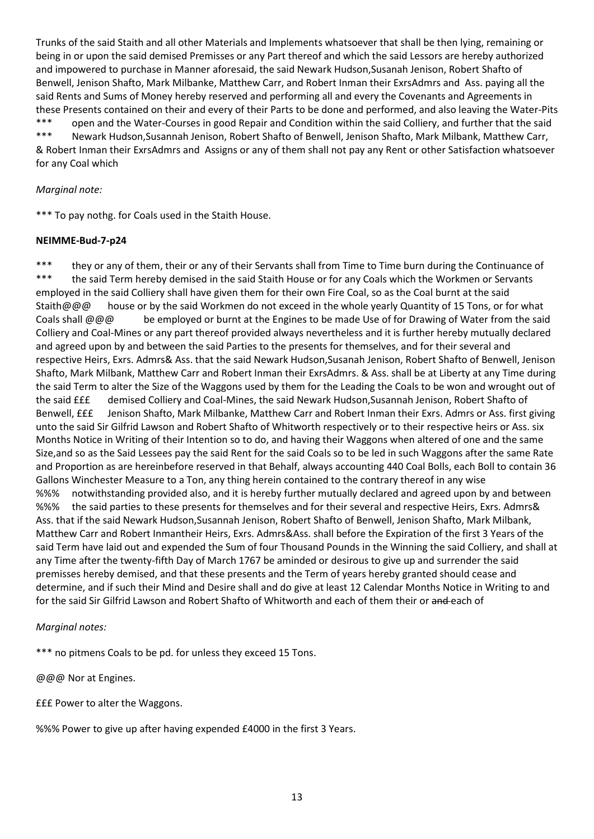Trunks of the said Staith and all other Materials and Implements whatsoever that shall be then lying, remaining or being in or upon the said demised Premisses or any Part thereof and which the said Lessors are hereby authorized and impowered to purchase in Manner aforesaid, the said Newark Hudson,Susanah Jenison, Robert Shafto of Benwell, Jenison Shafto, Mark Milbanke, Matthew Carr, and Robert Inman their ExrsAdmrs and Ass. paying all the said Rents and Sums of Money hereby reserved and performing all and every the Covenants and Agreements in these Presents contained on their and every of their Parts to be done and performed, and also leaving the Water-Pits \*\*\* open and the Water-Courses in good Repair and Condition within the said Colliery, and further that the said \*\*\* Newark Hudson,Susannah Jenison, Robert Shafto of Benwell, Jenison Shafto, Mark Milbank, Matthew Carr, & Robert Inman their ExrsAdmrs and Assigns or any of them shall not pay any Rent or other Satisfaction whatsoever for any Coal which

### *Marginal note:*

\*\*\* To pay nothg. for Coals used in the Staith House.

### **NEIMME-Bud-7-p24**

\*\*\* they or any of them, their or any of their Servants shall from Time to Time burn during the Continuance of \*\*\* the said Term hereby demised in the said Staith House or for any Coals which the Workmen or Servants employed in the said Colliery shall have given them for their own Fire Coal, so as the Coal burnt at the said Staith@@@ house or by the said Workmen do not exceed in the whole yearly Quantity of 15 Tons, or for what Coals shall @@@ be employed or burnt at the Engines to be made Use of for Drawing of Water from the said Colliery and Coal-Mines or any part thereof provided always nevertheless and it is further hereby mutually declared and agreed upon by and between the said Parties to the presents for themselves, and for their several and respective Heirs, Exrs. Admrs& Ass. that the said Newark Hudson,Susanah Jenison, Robert Shafto of Benwell, Jenison Shafto, Mark Milbank, Matthew Carr and Robert Inman their ExrsAdmrs. & Ass. shall be at Liberty at any Time during the said Term to alter the Size of the Waggons used by them for the Leading the Coals to be won and wrought out of the said £££ demised Colliery and Coal-Mines, the said Newark Hudson,Susannah Jenison, Robert Shafto of Benwell, £££ Jenison Shafto, Mark Milbanke, Matthew Carr and Robert Inman their Exrs. Admrs or Ass. first giving unto the said Sir Gilfrid Lawson and Robert Shafto of Whitworth respectively or to their respective heirs or Ass. six Months Notice in Writing of their Intention so to do, and having their Waggons when altered of one and the same Size,and so as the Said Lessees pay the said Rent for the said Coals so to be led in such Waggons after the same Rate and Proportion as are hereinbefore reserved in that Behalf, always accounting 440 Coal Bolls, each Boll to contain 36 Gallons Winchester Measure to a Ton, any thing herein contained to the contrary thereof in any wise %%% notwithstanding provided also, and it is hereby further mutually declared and agreed upon by and between %%% the said parties to these presents for themselves and for their several and respective Heirs, Exrs. Admrs& Ass. that if the said Newark Hudson,Susannah Jenison, Robert Shafto of Benwell, Jenison Shafto, Mark Milbank, Matthew Carr and Robert Inmantheir Heirs, Exrs. Admrs&Ass. shall before the Expiration of the first 3 Years of the said Term have laid out and expended the Sum of four Thousand Pounds in the Winning the said Colliery, and shall at any Time after the twenty-fifth Day of March 1767 be aminded or desirous to give up and surrender the said premisses hereby demised, and that these presents and the Term of years hereby granted should cease and determine, and if such their Mind and Desire shall and do give at least 12 Calendar Months Notice in Writing to and for the said Sir Gilfrid Lawson and Robert Shafto of Whitworth and each of them their or and each of

### *Marginal notes:*

\*\*\* no pitmens Coals to be pd. for unless they exceed 15 Tons.

@@@ Nor at Engines.

£££ Power to alter the Waggons.

%%% Power to give up after having expended £4000 in the first 3 Years.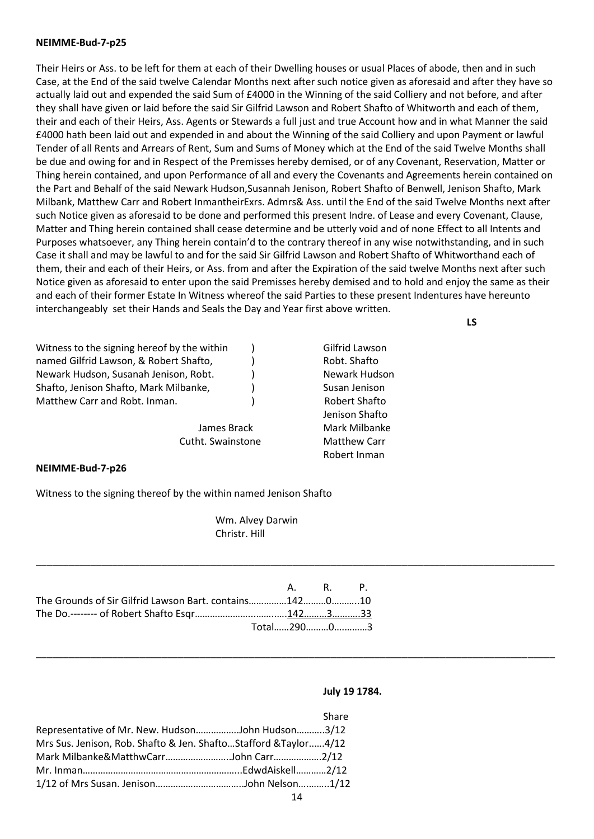#### **NEIMME-Bud-7-p25**

Their Heirs or Ass. to be left for them at each of their Dwelling houses or usual Places of abode, then and in such Case, at the End of the said twelve Calendar Months next after such notice given as aforesaid and after they have so actually laid out and expended the said Sum of £4000 in the Winning of the said Colliery and not before, and after they shall have given or laid before the said Sir Gilfrid Lawson and Robert Shafto of Whitworth and each of them, their and each of their Heirs, Ass. Agents or Stewards a full just and true Account how and in what Manner the said £4000 hath been laid out and expended in and about the Winning of the said Colliery and upon Payment or lawful Tender of all Rents and Arrears of Rent, Sum and Sums of Money which at the End of the said Twelve Months shall be due and owing for and in Respect of the Premisses hereby demised, or of any Covenant, Reservation, Matter or Thing herein contained, and upon Performance of all and every the Covenants and Agreements herein contained on the Part and Behalf of the said Newark Hudson,Susannah Jenison, Robert Shafto of Benwell, Jenison Shafto, Mark Milbank, Matthew Carr and Robert InmantheirExrs. Admrs& Ass. until the End of the said Twelve Months next after such Notice given as aforesaid to be done and performed this present Indre. of Lease and every Covenant, Clause, Matter and Thing herein contained shall cease determine and be utterly void and of none Effect to all Intents and Purposes whatsoever, any Thing herein contain'd to the contrary thereof in any wise notwithstanding, and in such Case it shall and may be lawful to and for the said Sir Gilfrid Lawson and Robert Shafto of Whitworthand each of them, their and each of their Heirs, or Ass. from and after the Expiration of the said twelve Months next after such Notice given as aforesaid to enter upon the said Premisses hereby demised and to hold and enjoy the same as their and each of their former Estate In Witness whereof the said Parties to these present Indentures have hereunto interchangeably set their Hands and Seals the Day and Year first above written.

**LS**

| Witness to the signing hereof by the within | Gilfrid Lawson      |  |  |  |
|---------------------------------------------|---------------------|--|--|--|
|                                             |                     |  |  |  |
| named Gilfrid Lawson, & Robert Shafto,      | Robt. Shafto        |  |  |  |
| Newark Hudson, Susanah Jenison, Robt.       | Newark Hudson       |  |  |  |
| Shafto, Jenison Shafto, Mark Milbanke,      | Susan Jenison       |  |  |  |
| Matthew Carr and Robt. Inman.               | Robert Shafto       |  |  |  |
|                                             | Jenison Shafto      |  |  |  |
| James Brack                                 | Mark Milbanke       |  |  |  |
| Cutht. Swainstone                           | <b>Matthew Carr</b> |  |  |  |
|                                             | Robert Inman        |  |  |  |

#### **NEIMME-Bud-7-p26**

Witness to the signing thereof by the within named Jenison Shafto

Wm. Alvey Darwin Christr. Hill

\_\_\_\_\_\_\_\_\_\_\_\_\_\_\_\_\_\_\_\_\_\_\_\_\_\_\_\_\_\_\_\_\_\_\_\_\_\_\_\_\_\_\_\_\_\_\_\_\_\_\_\_\_\_\_\_\_\_\_\_\_\_\_\_\_\_\_\_\_\_\_\_\_\_\_\_\_\_\_\_\_\_\_\_\_\_\_\_\_\_\_\_\_\_\_

\_\_\_\_\_\_\_\_\_\_\_\_\_\_\_\_\_\_\_\_\_\_\_\_\_\_\_\_\_\_\_\_\_\_\_\_\_\_\_\_\_\_\_\_\_\_\_\_\_\_\_\_\_\_\_\_\_\_\_\_\_\_\_\_\_\_\_\_\_\_\_\_\_\_\_\_\_\_\_\_\_\_\_\_\_\_\_\_\_\_\_\_\_\_\_

|                                                        | A. R. P.   |  |
|--------------------------------------------------------|------------|--|
| The Grounds of Sir Gilfrid Lawson Bart. contains142010 |            |  |
|                                                        |            |  |
|                                                        | Total29003 |  |

#### **July 19 1784.**

|                                                                  | Share |
|------------------------------------------------------------------|-------|
| Representative of Mr. New. HudsonJohn Hudson3/12                 |       |
| Mrs Sus. Jenison, Rob. Shafto & Jen. ShaftoStafford & Taylor4/12 |       |
| Mark Milbanke&MatthwCarrJohn Carr2/12                            |       |
|                                                                  |       |
|                                                                  |       |
|                                                                  |       |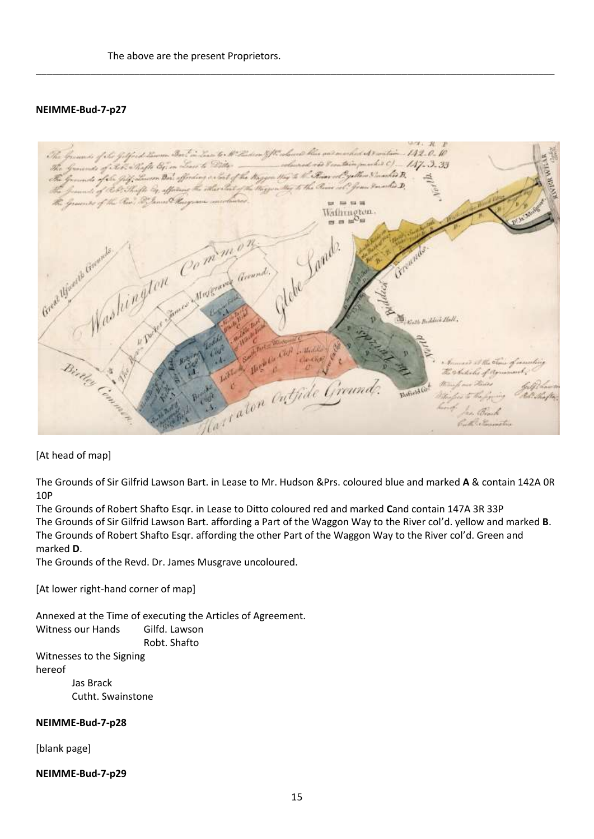### **NEIMME-Bud-7-p27**



\_\_\_\_\_\_\_\_\_\_\_\_\_\_\_\_\_\_\_\_\_\_\_\_\_\_\_\_\_\_\_\_\_\_\_\_\_\_\_\_\_\_\_\_\_\_\_\_\_\_\_\_\_\_\_\_\_\_\_\_\_\_\_\_\_\_\_\_\_\_\_\_\_\_\_\_\_\_\_\_\_\_\_\_\_\_\_\_\_\_\_\_\_\_\_

[At head of map]

The Grounds of Sir Gilfrid Lawson Bart. in Lease to Mr. Hudson &Prs. coloured blue and marked **A** & contain 142A 0R 10P

The Grounds of Robert Shafto Esqr. in Lease to Ditto coloured red and marked **C**and contain 147A 3R 33P The Grounds of Sir Gilfrid Lawson Bart. affording a Part of the Waggon Way to the River col'd. yellow and marked **B**. The Grounds of Robert Shafto Esqr. affording the other Part of the Waggon Way to the River col'd. Green and marked **D**.

The Grounds of the Revd. Dr. James Musgrave uncoloured.

[At lower right-hand corner of map]

Annexed at the Time of executing the Articles of Agreement. Witness our Hands Gilfd. Lawson Robt. Shafto

Witnesses to the Signing hereof

> Jas Brack Cutht. Swainstone

**NEIMME-Bud-7-p28**

[blank page]

**NEIMME-Bud-7-p29**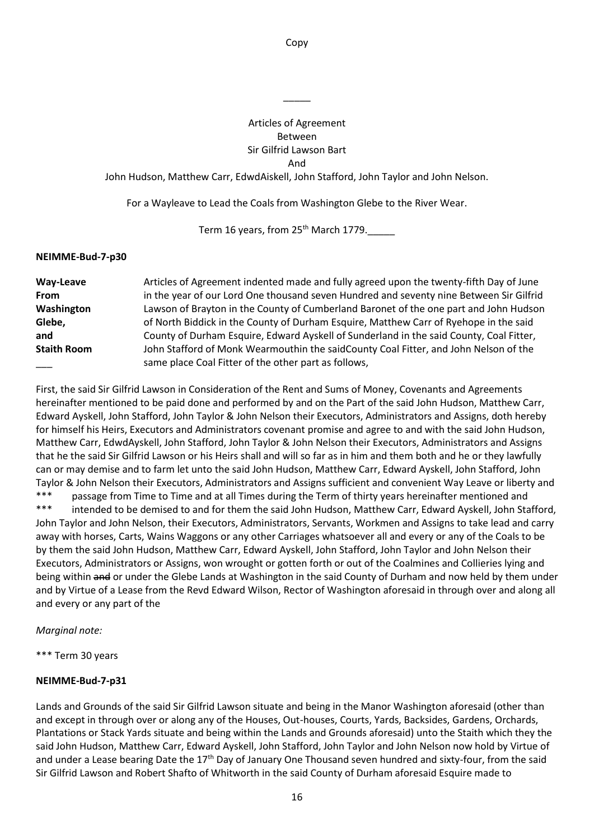Copy

### Articles of Agreement Between Sir Gilfrid Lawson Bart And

 $\overline{\phantom{a}}$ 

John Hudson, Matthew Carr, EdwdAiskell, John Stafford, John Taylor and John Nelson.

For a Wayleave to Lead the Coals from Washington Glebe to the River Wear.

Term 16 years, from 25<sup>th</sup> March 1779.

### **NEIMME-Bud-7-p30**

| Way-Leave          | Articles of Agreement indented made and fully agreed upon the twenty-fifth Day of June  |
|--------------------|-----------------------------------------------------------------------------------------|
| <b>From</b>        | in the year of our Lord One thousand seven Hundred and seventy nine Between Sir Gilfrid |
| Washington         | Lawson of Brayton in the County of Cumberland Baronet of the one part and John Hudson   |
| Glebe,             | of North Biddick in the County of Durham Esquire, Matthew Carr of Ryehope in the said   |
| and                | County of Durham Esquire, Edward Ayskell of Sunderland in the said County, Coal Fitter, |
| <b>Staith Room</b> | John Stafford of Monk Wearmouthin the saidCounty Coal Fitter, and John Nelson of the    |
|                    | same place Coal Fitter of the other part as follows,                                    |

First, the said Sir Gilfrid Lawson in Consideration of the Rent and Sums of Money, Covenants and Agreements hereinafter mentioned to be paid done and performed by and on the Part of the said John Hudson, Matthew Carr, Edward Ayskell, John Stafford, John Taylor & John Nelson their Executors, Administrators and Assigns, doth hereby for himself his Heirs, Executors and Administrators covenant promise and agree to and with the said John Hudson, Matthew Carr, EdwdAyskell, John Stafford, John Taylor & John Nelson their Executors, Administrators and Assigns that he the said Sir Gilfrid Lawson or his Heirs shall and will so far as in him and them both and he or they lawfully can or may demise and to farm let unto the said John Hudson, Matthew Carr, Edward Ayskell, John Stafford, John Taylor & John Nelson their Executors, Administrators and Assigns sufficient and convenient Way Leave or liberty and \*\*\* passage from Time to Time and at all Times during the Term of thirty years hereinafter mentioned and \*\*\* intended to be demised to and for them the said John Hudson, Matthew Carr, Edward Ayskell, John Stafford, John Taylor and John Nelson, their Executors, Administrators, Servants, Workmen and Assigns to take lead and carry away with horses, Carts, Wains Waggons or any other Carriages whatsoever all and every or any of the Coals to be by them the said John Hudson, Matthew Carr, Edward Ayskell, John Stafford, John Taylor and John Nelson their Executors, Administrators or Assigns, won wrought or gotten forth or out of the Coalmines and Collieries lying and being within and or under the Glebe Lands at Washington in the said County of Durham and now held by them under and by Virtue of a Lease from the Revd Edward Wilson, Rector of Washington aforesaid in through over and along all and every or any part of the

*Marginal note:* 

\*\*\* Term 30 years

### **NEIMME-Bud-7-p31**

Lands and Grounds of the said Sir Gilfrid Lawson situate and being in the Manor Washington aforesaid (other than and except in through over or along any of the Houses, Out-houses, Courts, Yards, Backsides, Gardens, Orchards, Plantations or Stack Yards situate and being within the Lands and Grounds aforesaid) unto the Staith which they the said John Hudson, Matthew Carr, Edward Ayskell, John Stafford, John Taylor and John Nelson now hold by Virtue of and under a Lease bearing Date the 17<sup>th</sup> Day of January One Thousand seven hundred and sixty-four, from the said Sir Gilfrid Lawson and Robert Shafto of Whitworth in the said County of Durham aforesaid Esquire made to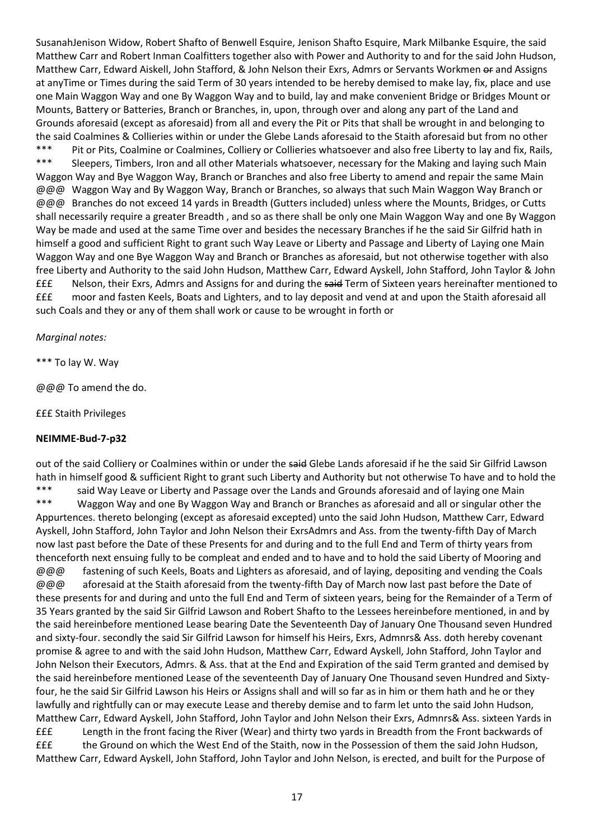SusanahJenison Widow, Robert Shafto of Benwell Esquire, Jenison Shafto Esquire, Mark Milbanke Esquire, the said Matthew Carr and Robert Inman Coalfitters together also with Power and Authority to and for the said John Hudson, Matthew Carr, Edward Aiskell, John Stafford, & John Nelson their Exrs, Admrs or Servants Workmen or and Assigns at anyTime or Times during the said Term of 30 years intended to be hereby demised to make lay, fix, place and use one Main Waggon Way and one By Waggon Way and to build, lay and make convenient Bridge or Bridges Mount or Mounts, Battery or Batteries, Branch or Branches, in, upon, through over and along any part of the Land and Grounds aforesaid (except as aforesaid) from all and every the Pit or Pits that shall be wrought in and belonging to the said Coalmines & Collieries within or under the Glebe Lands aforesaid to the Staith aforesaid but from no other \*\*\* Pit or Pits, Coalmine or Coalmines, Colliery or Collieries whatsoever and also free Liberty to lay and fix, Rails, \*\*\* Sleepers, Timbers, Iron and all other Materials whatsoever, necessary for the Making and laying such Main Waggon Way and Bye Waggon Way, Branch or Branches and also free Liberty to amend and repair the same Main @@@ Waggon Way and By Waggon Way, Branch or Branches, so always that such Main Waggon Way Branch or @@@ Branches do not exceed 14 yards in Breadth (Gutters included) unless where the Mounts, Bridges, or Cutts shall necessarily require a greater Breadth , and so as there shall be only one Main Waggon Way and one By Waggon Way be made and used at the same Time over and besides the necessary Branches if he the said Sir Gilfrid hath in himself a good and sufficient Right to grant such Way Leave or Liberty and Passage and Liberty of Laying one Main Waggon Way and one Bye Waggon Way and Branch or Branches as aforesaid, but not otherwise together with also free Liberty and Authority to the said John Hudson, Matthew Carr, Edward Ayskell, John Stafford, John Taylor & John £££ Nelson, their Exrs, Admrs and Assigns for and during the said Term of Sixteen years hereinafter mentioned to £££ moor and fasten Keels, Boats and Lighters, and to lay deposit and vend at and upon the Staith aforesaid all such Coals and they or any of them shall work or cause to be wrought in forth or

### *Marginal notes:*

\*\*\* To lay W. Way

@@@ To amend the do.

£££ Staith Privileges

# **NEIMME-Bud-7-p32**

out of the said Colliery or Coalmines within or under the said Glebe Lands aforesaid if he the said Sir Gilfrid Lawson hath in himself good & sufficient Right to grant such Liberty and Authority but not otherwise To have and to hold the \*\*\* said Way Leave or Liberty and Passage over the Lands and Grounds aforesaid and of laying one Main \*\*\* Waggon Way and one By Waggon Way and Branch or Branches as aforesaid and all or singular other the Appurtences. thereto belonging (except as aforesaid excepted) unto the said John Hudson, Matthew Carr, Edward Ayskell, John Stafford, John Taylor and John Nelson their ExrsAdmrs and Ass. from the twenty-fifth Day of March now last past before the Date of these Presents for and during and to the full End and Term of thirty years from thenceforth next ensuing fully to be compleat and ended and to have and to hold the said Liberty of Mooring and @@@ fastening of such Keels, Boats and Lighters as aforesaid, and of laying, depositing and vending the Coals @@@ aforesaid at the Staith aforesaid from the twenty-fifth Day of March now last past before the Date of these presents for and during and unto the full End and Term of sixteen years, being for the Remainder of a Term of 35 Years granted by the said Sir Gilfrid Lawson and Robert Shafto to the Lessees hereinbefore mentioned, in and by the said hereinbefore mentioned Lease bearing Date the Seventeenth Day of January One Thousand seven Hundred and sixty-four. secondly the said Sir Gilfrid Lawson for himself his Heirs, Exrs, Admnrs& Ass. doth hereby covenant promise & agree to and with the said John Hudson, Matthew Carr, Edward Ayskell, John Stafford, John Taylor and John Nelson their Executors, Admrs. & Ass. that at the End and Expiration of the said Term granted and demised by the said hereinbefore mentioned Lease of the seventeenth Day of January One Thousand seven Hundred and Sixtyfour, he the said Sir Gilfrid Lawson his Heirs or Assigns shall and will so far as in him or them hath and he or they lawfully and rightfully can or may execute Lease and thereby demise and to farm let unto the said John Hudson, Matthew Carr, Edward Ayskell, John Stafford, John Taylor and John Nelson their Exrs, Admnrs& Ass. sixteen Yards in £££ Length in the front facing the River (Wear) and thirty two yards in Breadth from the Front backwards of £££ the Ground on which the West End of the Staith, now in the Possession of them the said John Hudson, Matthew Carr, Edward Ayskell, John Stafford, John Taylor and John Nelson, is erected, and built for the Purpose of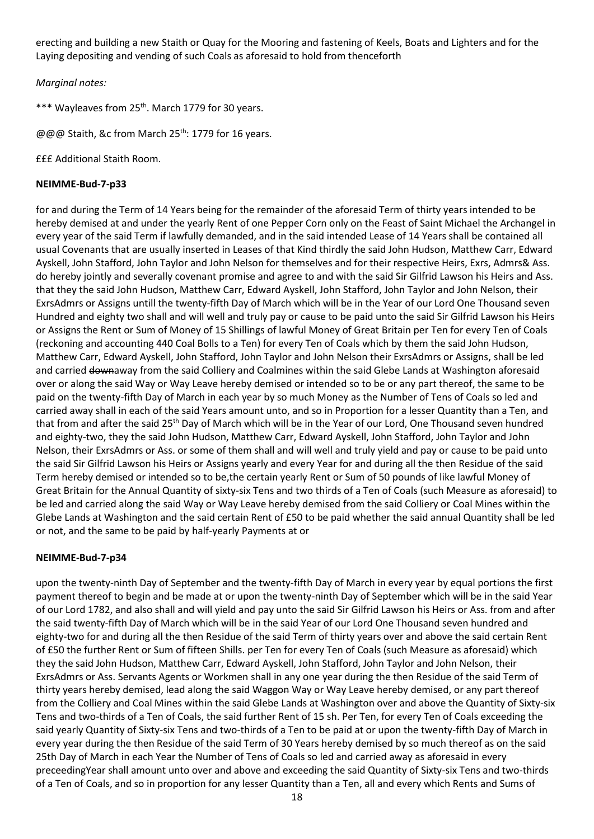erecting and building a new Staith or Quay for the Mooring and fastening of Keels, Boats and Lighters and for the Laying depositing and vending of such Coals as aforesaid to hold from thenceforth

*Marginal notes:* 

\*\*\* Wayleaves from 25<sup>th</sup>. March 1779 for 30 years.

@@@ Staith, &c from March 25<sup>th</sup>: 1779 for 16 years.

£££ Additional Staith Room.

### **NEIMME-Bud-7-p33**

for and during the Term of 14 Years being for the remainder of the aforesaid Term of thirty years intended to be hereby demised at and under the yearly Rent of one Pepper Corn only on the Feast of Saint Michael the Archangel in every year of the said Term if lawfully demanded, and in the said intended Lease of 14 Years shall be contained all usual Covenants that are usually inserted in Leases of that Kind thirdly the said John Hudson, Matthew Carr, Edward Ayskell, John Stafford, John Taylor and John Nelson for themselves and for their respective Heirs, Exrs, Admrs& Ass. do hereby jointly and severally covenant promise and agree to and with the said Sir Gilfrid Lawson his Heirs and Ass. that they the said John Hudson, Matthew Carr, Edward Ayskell, John Stafford, John Taylor and John Nelson, their ExrsAdmrs or Assigns untill the twenty-fifth Day of March which will be in the Year of our Lord One Thousand seven Hundred and eighty two shall and will well and truly pay or cause to be paid unto the said Sir Gilfrid Lawson his Heirs or Assigns the Rent or Sum of Money of 15 Shillings of lawful Money of Great Britain per Ten for every Ten of Coals (reckoning and accounting 440 Coal Bolls to a Ten) for every Ten of Coals which by them the said John Hudson, Matthew Carr, Edward Ayskell, John Stafford, John Taylor and John Nelson their ExrsAdmrs or Assigns, shall be led and carried downaway from the said Colliery and Coalmines within the said Glebe Lands at Washington aforesaid over or along the said Way or Way Leave hereby demised or intended so to be or any part thereof, the same to be paid on the twenty-fifth Day of March in each year by so much Money as the Number of Tens of Coals so led and carried away shall in each of the said Years amount unto, and so in Proportion for a lesser Quantity than a Ten, and that from and after the said 25<sup>th</sup> Day of March which will be in the Year of our Lord, One Thousand seven hundred and eighty-two, they the said John Hudson, Matthew Carr, Edward Ayskell, John Stafford, John Taylor and John Nelson, their ExrsAdmrs or Ass. or some of them shall and will well and truly yield and pay or cause to be paid unto the said Sir Gilfrid Lawson his Heirs or Assigns yearly and every Year for and during all the then Residue of the said Term hereby demised or intended so to be,the certain yearly Rent or Sum of 50 pounds of like lawful Money of Great Britain for the Annual Quantity of sixty-six Tens and two thirds of a Ten of Coals (such Measure as aforesaid) to be led and carried along the said Way or Way Leave hereby demised from the said Colliery or Coal Mines within the Glebe Lands at Washington and the said certain Rent of £50 to be paid whether the said annual Quantity shall be led or not, and the same to be paid by half-yearly Payments at or

# **NEIMME-Bud-7-p34**

upon the twenty-ninth Day of September and the twenty-fifth Day of March in every year by equal portions the first payment thereof to begin and be made at or upon the twenty-ninth Day of September which will be in the said Year of our Lord 1782, and also shall and will yield and pay unto the said Sir Gilfrid Lawson his Heirs or Ass. from and after the said twenty-fifth Day of March which will be in the said Year of our Lord One Thousand seven hundred and eighty-two for and during all the then Residue of the said Term of thirty years over and above the said certain Rent of £50 the further Rent or Sum of fifteen Shills. per Ten for every Ten of Coals (such Measure as aforesaid) which they the said John Hudson, Matthew Carr, Edward Ayskell, John Stafford, John Taylor and John Nelson, their ExrsAdmrs or Ass. Servants Agents or Workmen shall in any one year during the then Residue of the said Term of thirty years hereby demised, lead along the said Waggon Way or Way Leave hereby demised, or any part thereof from the Colliery and Coal Mines within the said Glebe Lands at Washington over and above the Quantity of Sixty-six Tens and two-thirds of a Ten of Coals, the said further Rent of 15 sh. Per Ten, for every Ten of Coals exceeding the said yearly Quantity of Sixty-six Tens and two-thirds of a Ten to be paid at or upon the twenty-fifth Day of March in every year during the then Residue of the said Term of 30 Years hereby demised by so much thereof as on the said 25th Day of March in each Year the Number of Tens of Coals so led and carried away as aforesaid in every preceedingYear shall amount unto over and above and exceeding the said Quantity of Sixty-six Tens and two-thirds of a Ten of Coals, and so in proportion for any lesser Quantity than a Ten, all and every which Rents and Sums of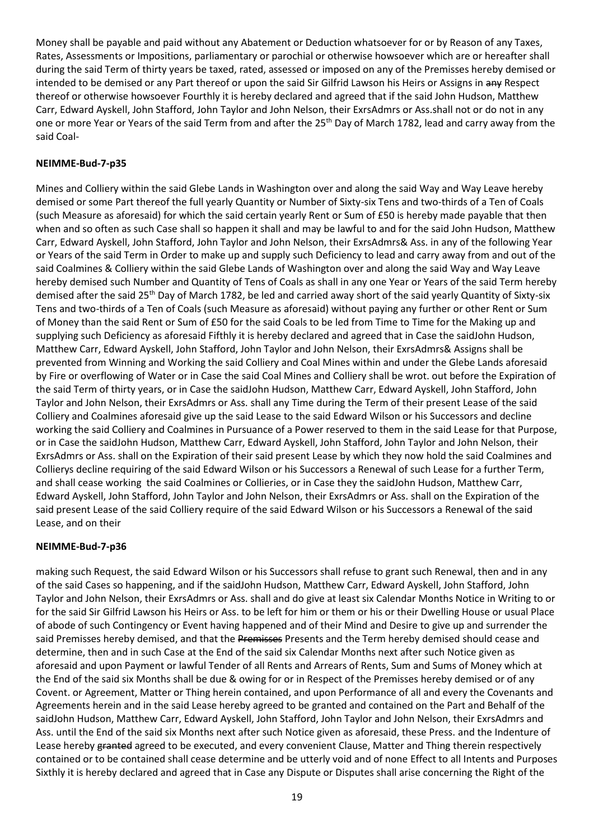Money shall be payable and paid without any Abatement or Deduction whatsoever for or by Reason of any Taxes, Rates, Assessments or Impositions, parliamentary or parochial or otherwise howsoever which are or hereafter shall during the said Term of thirty years be taxed, rated, assessed or imposed on any of the Premisses hereby demised or intended to be demised or any Part thereof or upon the said Sir Gilfrid Lawson his Heirs or Assigns in any Respect thereof or otherwise howsoever Fourthly it is hereby declared and agreed that if the said John Hudson, Matthew Carr, Edward Ayskell, John Stafford, John Taylor and John Nelson, their ExrsAdmrs or Ass.shall not or do not in any one or more Year or Years of the said Term from and after the 25<sup>th</sup> Day of March 1782, lead and carry away from the said Coal-

### **NEIMME-Bud-7-p35**

Mines and Colliery within the said Glebe Lands in Washington over and along the said Way and Way Leave hereby demised or some Part thereof the full yearly Quantity or Number of Sixty-six Tens and two-thirds of a Ten of Coals (such Measure as aforesaid) for which the said certain yearly Rent or Sum of £50 is hereby made payable that then when and so often as such Case shall so happen it shall and may be lawful to and for the said John Hudson, Matthew Carr, Edward Ayskell, John Stafford, John Taylor and John Nelson, their ExrsAdmrs& Ass. in any of the following Year or Years of the said Term in Order to make up and supply such Deficiency to lead and carry away from and out of the said Coalmines & Colliery within the said Glebe Lands of Washington over and along the said Way and Way Leave hereby demised such Number and Quantity of Tens of Coals as shall in any one Year or Years of the said Term hereby demised after the said 25<sup>th</sup> Day of March 1782, be led and carried away short of the said yearly Quantity of Sixty-six Tens and two-thirds of a Ten of Coals (such Measure as aforesaid) without paying any further or other Rent or Sum of Money than the said Rent or Sum of £50 for the said Coals to be led from Time to Time for the Making up and supplying such Deficiency as aforesaid Fifthly it is hereby declared and agreed that in Case the saidJohn Hudson, Matthew Carr, Edward Ayskell, John Stafford, John Taylor and John Nelson, their ExrsAdmrs& Assigns shall be prevented from Winning and Working the said Colliery and Coal Mines within and under the Glebe Lands aforesaid by Fire or overflowing of Water or in Case the said Coal Mines and Colliery shall be wrot. out before the Expiration of the said Term of thirty years, or in Case the saidJohn Hudson, Matthew Carr, Edward Ayskell, John Stafford, John Taylor and John Nelson, their ExrsAdmrs or Ass. shall any Time during the Term of their present Lease of the said Colliery and Coalmines aforesaid give up the said Lease to the said Edward Wilson or his Successors and decline working the said Colliery and Coalmines in Pursuance of a Power reserved to them in the said Lease for that Purpose, or in Case the saidJohn Hudson, Matthew Carr, Edward Ayskell, John Stafford, John Taylor and John Nelson, their ExrsAdmrs or Ass. shall on the Expiration of their said present Lease by which they now hold the said Coalmines and Collierys decline requiring of the said Edward Wilson or his Successors a Renewal of such Lease for a further Term, and shall cease working the said Coalmines or Collieries, or in Case they the saidJohn Hudson, Matthew Carr, Edward Ayskell, John Stafford, John Taylor and John Nelson, their ExrsAdmrs or Ass. shall on the Expiration of the said present Lease of the said Colliery require of the said Edward Wilson or his Successors a Renewal of the said Lease, and on their

### **NEIMME-Bud-7-p36**

making such Request, the said Edward Wilson or his Successors shall refuse to grant such Renewal, then and in any of the said Cases so happening, and if the saidJohn Hudson, Matthew Carr, Edward Ayskell, John Stafford, John Taylor and John Nelson, their ExrsAdmrs or Ass. shall and do give at least six Calendar Months Notice in Writing to or for the said Sir Gilfrid Lawson his Heirs or Ass. to be left for him or them or his or their Dwelling House or usual Place of abode of such Contingency or Event having happened and of their Mind and Desire to give up and surrender the said Premisses hereby demised, and that the Premisses Presents and the Term hereby demised should cease and determine, then and in such Case at the End of the said six Calendar Months next after such Notice given as aforesaid and upon Payment or lawful Tender of all Rents and Arrears of Rents, Sum and Sums of Money which at the End of the said six Months shall be due & owing for or in Respect of the Premisses hereby demised or of any Covent. or Agreement, Matter or Thing herein contained, and upon Performance of all and every the Covenants and Agreements herein and in the said Lease hereby agreed to be granted and contained on the Part and Behalf of the saidJohn Hudson, Matthew Carr, Edward Ayskell, John Stafford, John Taylor and John Nelson, their ExrsAdmrs and Ass. until the End of the said six Months next after such Notice given as aforesaid, these Press. and the Indenture of Lease hereby granted agreed to be executed, and every convenient Clause, Matter and Thing therein respectively contained or to be contained shall cease determine and be utterly void and of none Effect to all Intents and Purposes Sixthly it is hereby declared and agreed that in Case any Dispute or Disputes shall arise concerning the Right of the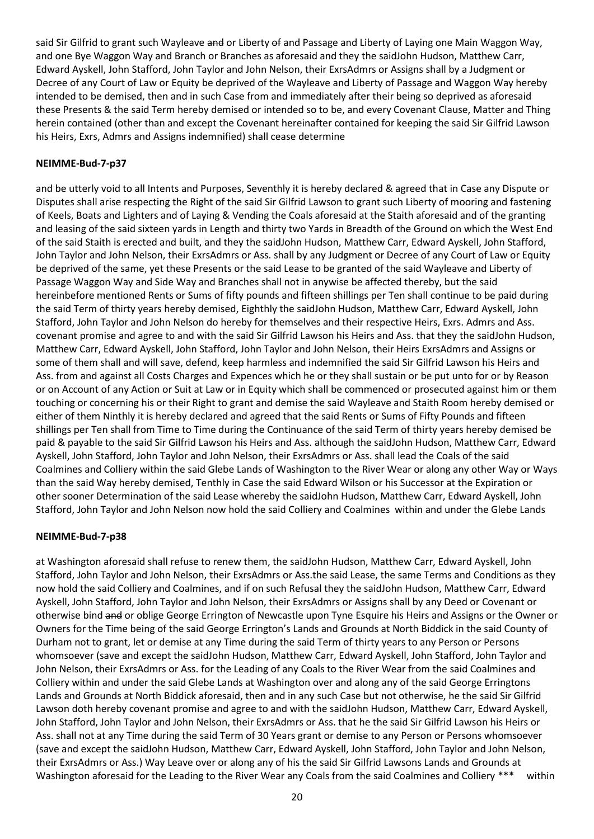said Sir Gilfrid to grant such Wayleave and or Liberty of and Passage and Liberty of Laying one Main Waggon Way, and one Bye Waggon Way and Branch or Branches as aforesaid and they the saidJohn Hudson, Matthew Carr, Edward Ayskell, John Stafford, John Taylor and John Nelson, their ExrsAdmrs or Assigns shall by a Judgment or Decree of any Court of Law or Equity be deprived of the Wayleave and Liberty of Passage and Waggon Way hereby intended to be demised, then and in such Case from and immediately after their being so deprived as aforesaid these Presents & the said Term hereby demised or intended so to be, and every Covenant Clause, Matter and Thing herein contained (other than and except the Covenant hereinafter contained for keeping the said Sir Gilfrid Lawson his Heirs, Exrs, Admrs and Assigns indemnified) shall cease determine

### **NEIMME-Bud-7-p37**

and be utterly void to all Intents and Purposes, Seventhly it is hereby declared & agreed that in Case any Dispute or Disputes shall arise respecting the Right of the said Sir Gilfrid Lawson to grant such Liberty of mooring and fastening of Keels, Boats and Lighters and of Laying & Vending the Coals aforesaid at the Staith aforesaid and of the granting and leasing of the said sixteen yards in Length and thirty two Yards in Breadth of the Ground on which the West End of the said Staith is erected and built, and they the saidJohn Hudson, Matthew Carr, Edward Ayskell, John Stafford, John Taylor and John Nelson, their ExrsAdmrs or Ass. shall by any Judgment or Decree of any Court of Law or Equity be deprived of the same, yet these Presents or the said Lease to be granted of the said Wayleave and Liberty of Passage Waggon Way and Side Way and Branches shall not in anywise be affected thereby, but the said hereinbefore mentioned Rents or Sums of fifty pounds and fifteen shillings per Ten shall continue to be paid during the said Term of thirty years hereby demised, Eighthly the saidJohn Hudson, Matthew Carr, Edward Ayskell, John Stafford, John Taylor and John Nelson do hereby for themselves and their respective Heirs, Exrs. Admrs and Ass. covenant promise and agree to and with the said Sir Gilfrid Lawson his Heirs and Ass. that they the saidJohn Hudson, Matthew Carr, Edward Ayskell, John Stafford, John Taylor and John Nelson, their Heirs ExrsAdmrs and Assigns or some of them shall and will save, defend, keep harmless and indemnified the said Sir Gilfrid Lawson his Heirs and Ass. from and against all Costs Charges and Expences which he or they shall sustain or be put unto for or by Reason or on Account of any Action or Suit at Law or in Equity which shall be commenced or prosecuted against him or them touching or concerning his or their Right to grant and demise the said Wayleave and Staith Room hereby demised or either of them Ninthly it is hereby declared and agreed that the said Rents or Sums of Fifty Pounds and fifteen shillings per Ten shall from Time to Time during the Continuance of the said Term of thirty years hereby demised be paid & payable to the said Sir Gilfrid Lawson his Heirs and Ass. although the saidJohn Hudson, Matthew Carr, Edward Ayskell, John Stafford, John Taylor and John Nelson, their ExrsAdmrs or Ass. shall lead the Coals of the said Coalmines and Colliery within the said Glebe Lands of Washington to the River Wear or along any other Way or Ways than the said Way hereby demised, Tenthly in Case the said Edward Wilson or his Successor at the Expiration or other sooner Determination of the said Lease whereby the saidJohn Hudson, Matthew Carr, Edward Ayskell, John Stafford, John Taylor and John Nelson now hold the said Colliery and Coalmines within and under the Glebe Lands

# **NEIMME-Bud-7-p38**

at Washington aforesaid shall refuse to renew them, the saidJohn Hudson, Matthew Carr, Edward Ayskell, John Stafford, John Taylor and John Nelson, their ExrsAdmrs or Ass.the said Lease, the same Terms and Conditions as they now hold the said Colliery and Coalmines, and if on such Refusal they the saidJohn Hudson, Matthew Carr, Edward Ayskell, John Stafford, John Taylor and John Nelson, their ExrsAdmrs or Assigns shall by any Deed or Covenant or otherwise bind and or oblige George Errington of Newcastle upon Tyne Esquire his Heirs and Assigns or the Owner or Owners for the Time being of the said George Errington's Lands and Grounds at North Biddick in the said County of Durham not to grant, let or demise at any Time during the said Term of thirty years to any Person or Persons whomsoever (save and except the saidJohn Hudson, Matthew Carr, Edward Ayskell, John Stafford, John Taylor and John Nelson, their ExrsAdmrs or Ass. for the Leading of any Coals to the River Wear from the said Coalmines and Colliery within and under the said Glebe Lands at Washington over and along any of the said George Erringtons Lands and Grounds at North Biddick aforesaid, then and in any such Case but not otherwise, he the said Sir Gilfrid Lawson doth hereby covenant promise and agree to and with the saidJohn Hudson, Matthew Carr, Edward Ayskell, John Stafford, John Taylor and John Nelson, their ExrsAdmrs or Ass. that he the said Sir Gilfrid Lawson his Heirs or Ass. shall not at any Time during the said Term of 30 Years grant or demise to any Person or Persons whomsoever (save and except the saidJohn Hudson, Matthew Carr, Edward Ayskell, John Stafford, John Taylor and John Nelson, their ExrsAdmrs or Ass.) Way Leave over or along any of his the said Sir Gilfrid Lawsons Lands and Grounds at Washington aforesaid for the Leading to the River Wear any Coals from the said Coalmines and Colliery \*\*\* within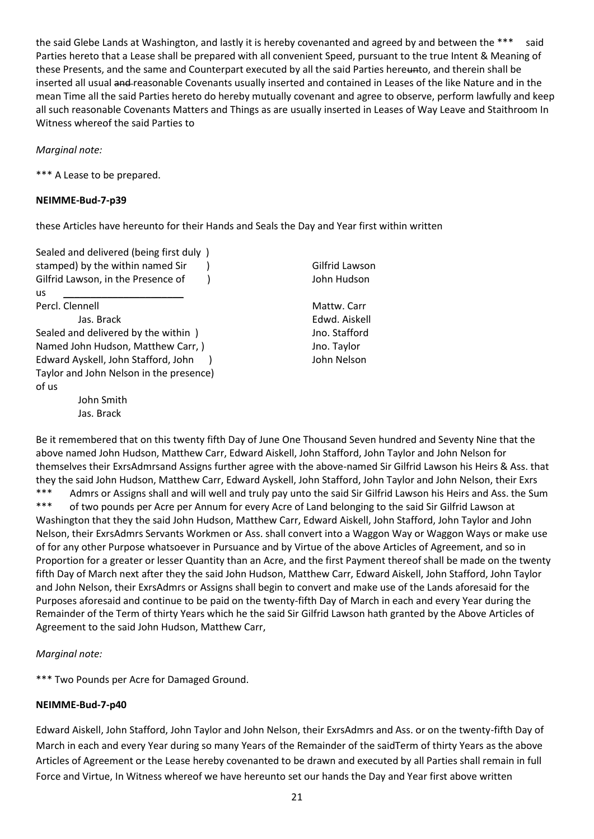the said Glebe Lands at Washington, and lastly it is hereby covenanted and agreed by and between the \*\*\* said Parties hereto that a Lease shall be prepared with all convenient Speed, pursuant to the true Intent & Meaning of these Presents, and the same and Counterpart executed by all the said Parties hereunto, and therein shall be inserted all usual and reasonable Covenants usually inserted and contained in Leases of the like Nature and in the mean Time all the said Parties hereto do hereby mutually covenant and agree to observe, perform lawfully and keep all such reasonable Covenants Matters and Things as are usually inserted in Leases of Way Leave and Staithroom In Witness whereof the said Parties to

### *Marginal note:*

\*\*\* A Lease to be prepared.

### **NEIMME-Bud-7-p39**

these Articles have hereunto for their Hands and Seals the Day and Year first within written

Sealed and delivered (being first duly ) stamped) by the within named Sir (a) and the Gilfrid Lawson Gilfrid Lawson, in the Presence of ) John Hudson us \_\_\_\_\_\_\_\_\_\_\_\_\_\_\_\_\_\_\_\_\_\_ Percl. Clennell **Mattw. Carr** Mattw. Carr Jas. Brack Edwd. Aiskell Sealed and delivered by the within ) Sealed and delivered by the within  $\int$ Named John Hudson, Matthew Carr, ) [10] Jno. Taylor Edward Ayskell, John Stafford, John ) John Nelson Taylor and John Nelson in the presence) of us John Smith Jas. Brack

Be it remembered that on this twenty fifth Day of June One Thousand Seven hundred and Seventy Nine that the above named John Hudson, Matthew Carr, Edward Aiskell, John Stafford, John Taylor and John Nelson for themselves their ExrsAdmrsand Assigns further agree with the above-named Sir Gilfrid Lawson his Heirs & Ass. that they the said John Hudson, Matthew Carr, Edward Ayskell, John Stafford, John Taylor and John Nelson, their Exrs \*\*\* Admrs or Assigns shall and will well and truly pay unto the said Sir Gilfrid Lawson his Heirs and Ass. the Sum<br>\*\*\* of two pounds per Asso per Appum for overy Asso of Land belonging to the said Sir Gilfrid Lawson at of two pounds per Acre per Annum for every Acre of Land belonging to the said Sir Gilfrid Lawson at Washington that they the said John Hudson, Matthew Carr, Edward Aiskell, John Stafford, John Taylor and John Nelson, their ExrsAdmrs Servants Workmen or Ass. shall convert into a Waggon Way or Waggon Ways or make use of for any other Purpose whatsoever in Pursuance and by Virtue of the above Articles of Agreement, and so in Proportion for a greater or lesser Quantity than an Acre, and the first Payment thereof shall be made on the twenty fifth Day of March next after they the said John Hudson, Matthew Carr, Edward Aiskell, John Stafford, John Taylor and John Nelson, their ExrsAdmrs or Assigns shall begin to convert and make use of the Lands aforesaid for the Purposes aforesaid and continue to be paid on the twenty-fifth Day of March in each and every Year during the Remainder of the Term of thirty Years which he the said Sir Gilfrid Lawson hath granted by the Above Articles of Agreement to the said John Hudson, Matthew Carr,

# *Marginal note:*

\*\*\* Two Pounds per Acre for Damaged Ground.

### **NEIMME-Bud-7-p40**

Edward Aiskell, John Stafford, John Taylor and John Nelson, their ExrsAdmrs and Ass. or on the twenty-fifth Day of March in each and every Year during so many Years of the Remainder of the saidTerm of thirty Years as the above Articles of Agreement or the Lease hereby covenanted to be drawn and executed by all Parties shall remain in full Force and Virtue, In Witness whereof we have hereunto set our hands the Day and Year first above written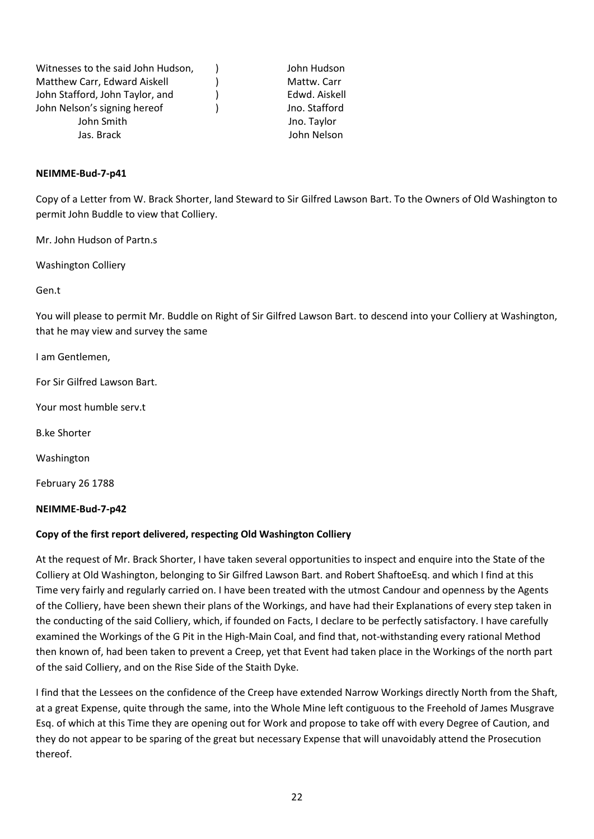| Witnesses to the said John Hudson, | John Hudson   |
|------------------------------------|---------------|
| Matthew Carr, Edward Aiskell       | Mattw. Carr   |
| John Stafford, John Taylor, and    | Edwd. Aiskell |
| John Nelson's signing hereof       | Jno. Stafford |
| John Smith                         | Jno. Taylor   |
| Jas. Brack                         | John Nelson   |
|                                    |               |

#### **NEIMME-Bud-7-p41**

Copy of a Letter from W. Brack Shorter, land Steward to Sir Gilfred Lawson Bart. To the Owners of Old Washington to permit John Buddle to view that Colliery.

Mr. John Hudson of Partn.s

Washington Colliery

Gen.t

You will please to permit Mr. Buddle on Right of Sir Gilfred Lawson Bart. to descend into your Colliery at Washington, that he may view and survey the same

I am Gentlemen,

For Sir Gilfred Lawson Bart.

Your most humble serv.t

B.ke Shorter

Washington

February 26 1788

#### **NEIMME-Bud-7-p42**

### **Copy of the first report delivered, respecting Old Washington Colliery**

At the request of Mr. Brack Shorter, I have taken several opportunities to inspect and enquire into the State of the Colliery at Old Washington, belonging to Sir Gilfred Lawson Bart. and Robert ShaftoeEsq. and which I find at this Time very fairly and regularly carried on. I have been treated with the utmost Candour and openness by the Agents of the Colliery, have been shewn their plans of the Workings, and have had their Explanations of every step taken in the conducting of the said Colliery, which, if founded on Facts, I declare to be perfectly satisfactory. I have carefully examined the Workings of the G Pit in the High-Main Coal, and find that, not-withstanding every rational Method then known of, had been taken to prevent a Creep, yet that Event had taken place in the Workings of the north part of the said Colliery, and on the Rise Side of the Staith Dyke.

I find that the Lessees on the confidence of the Creep have extended Narrow Workings directly North from the Shaft, at a great Expense, quite through the same, into the Whole Mine left contiguous to the Freehold of James Musgrave Esq. of which at this Time they are opening out for Work and propose to take off with every Degree of Caution, and they do not appear to be sparing of the great but necessary Expense that will unavoidably attend the Prosecution thereof.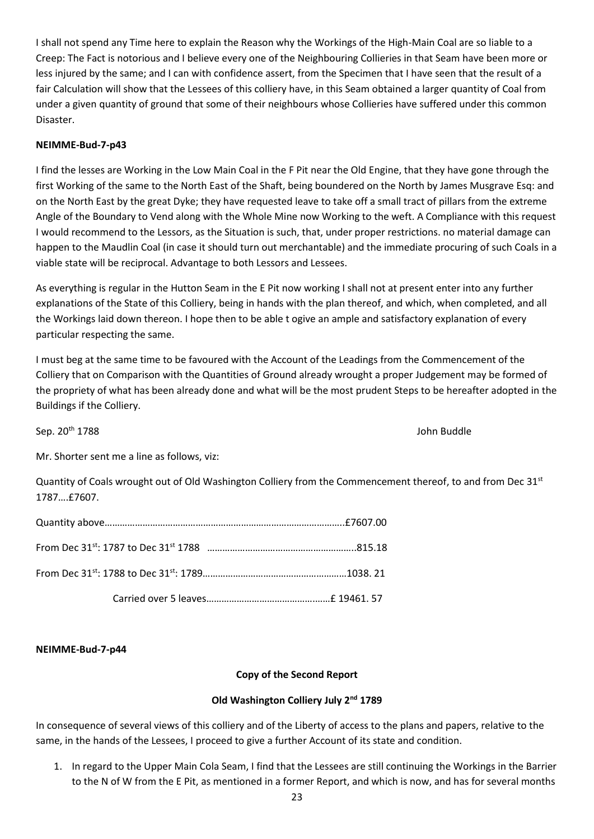I shall not spend any Time here to explain the Reason why the Workings of the High-Main Coal are so liable to a Creep: The Fact is notorious and I believe every one of the Neighbouring Collieries in that Seam have been more or less injured by the same; and I can with confidence assert, from the Specimen that I have seen that the result of a fair Calculation will show that the Lessees of this colliery have, in this Seam obtained a larger quantity of Coal from under a given quantity of ground that some of their neighbours whose Collieries have suffered under this common Disaster.

### **NEIMME-Bud-7-p43**

I find the lesses are Working in the Low Main Coal in the F Pit near the Old Engine, that they have gone through the first Working of the same to the North East of the Shaft, being boundered on the North by James Musgrave Esq: and on the North East by the great Dyke; they have requested leave to take off a small tract of pillars from the extreme Angle of the Boundary to Vend along with the Whole Mine now Working to the weft. A Compliance with this request I would recommend to the Lessors, as the Situation is such, that, under proper restrictions. no material damage can happen to the Maudlin Coal (in case it should turn out merchantable) and the immediate procuring of such Coals in a viable state will be reciprocal. Advantage to both Lessors and Lessees.

As everything is regular in the Hutton Seam in the E Pit now working I shall not at present enter into any further explanations of the State of this Colliery, being in hands with the plan thereof, and which, when completed, and all the Workings laid down thereon. I hope then to be able t ogive an ample and satisfactory explanation of every particular respecting the same.

I must beg at the same time to be favoured with the Account of the Leadings from the Commencement of the Colliery that on Comparison with the Quantities of Ground already wrought a proper Judgement may be formed of the propriety of what has been already done and what will be the most prudent Steps to be hereafter adopted in the Buildings if the Colliery.

Sep. 20th 1788 John Buddle

Mr. Shorter sent me a line as follows, viz:

Quantity of Coals wrought out of Old Washington Colliery from the Commencement thereof, to and from Dec 31<sup>st</sup> 1787….£7607.

### **NEIMME-Bud-7-p44**

# **Copy of the Second Report**

# **Old Washington Colliery July 2nd 1789**

In consequence of several views of this colliery and of the Liberty of access to the plans and papers, relative to the same, in the hands of the Lessees, I proceed to give a further Account of its state and condition.

1. In regard to the Upper Main Cola Seam, I find that the Lessees are still continuing the Workings in the Barrier to the N of W from the E Pit, as mentioned in a former Report, and which is now, and has for several months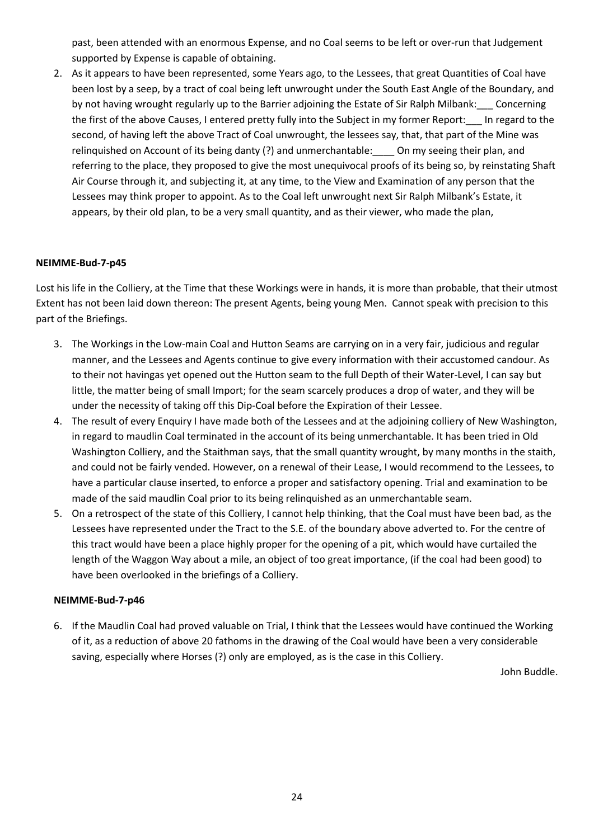past, been attended with an enormous Expense, and no Coal seems to be left or over-run that Judgement supported by Expense is capable of obtaining.

2. As it appears to have been represented, some Years ago, to the Lessees, that great Quantities of Coal have been lost by a seep, by a tract of coal being left unwrought under the South East Angle of the Boundary, and by not having wrought regularly up to the Barrier adjoining the Estate of Sir Ralph Milbank:\_\_\_ Concerning the first of the above Causes, I entered pretty fully into the Subject in my former Report:\_\_\_ In regard to the second, of having left the above Tract of Coal unwrought, the lessees say, that, that part of the Mine was relinquished on Account of its being danty (?) and unmerchantable: On my seeing their plan, and referring to the place, they proposed to give the most unequivocal proofs of its being so, by reinstating Shaft Air Course through it, and subjecting it, at any time, to the View and Examination of any person that the Lessees may think proper to appoint. As to the Coal left unwrought next Sir Ralph Milbank's Estate, it appears, by their old plan, to be a very small quantity, and as their viewer, who made the plan,

# **NEIMME-Bud-7-p45**

Lost his life in the Colliery, at the Time that these Workings were in hands, it is more than probable, that their utmost Extent has not been laid down thereon: The present Agents, being young Men. Cannot speak with precision to this part of the Briefings.

- 3. The Workings in the Low-main Coal and Hutton Seams are carrying on in a very fair, judicious and regular manner, and the Lessees and Agents continue to give every information with their accustomed candour. As to their not havingas yet opened out the Hutton seam to the full Depth of their Water-Level, I can say but little, the matter being of small Import; for the seam scarcely produces a drop of water, and they will be under the necessity of taking off this Dip-Coal before the Expiration of their Lessee.
- 4. The result of every Enquiry I have made both of the Lessees and at the adjoining colliery of New Washington, in regard to maudlin Coal terminated in the account of its being unmerchantable. It has been tried in Old Washington Colliery, and the Staithman says, that the small quantity wrought, by many months in the staith, and could not be fairly vended. However, on a renewal of their Lease, I would recommend to the Lessees, to have a particular clause inserted, to enforce a proper and satisfactory opening. Trial and examination to be made of the said maudlin Coal prior to its being relinquished as an unmerchantable seam.
- 5. On a retrospect of the state of this Colliery, I cannot help thinking, that the Coal must have been bad, as the Lessees have represented under the Tract to the S.E. of the boundary above adverted to. For the centre of this tract would have been a place highly proper for the opening of a pit, which would have curtailed the length of the Waggon Way about a mile, an object of too great importance, (if the coal had been good) to have been overlooked in the briefings of a Colliery.

### **NEIMME-Bud-7-p46**

6. If the Maudlin Coal had proved valuable on Trial, I think that the Lessees would have continued the Working of it, as a reduction of above 20 fathoms in the drawing of the Coal would have been a very considerable saving, especially where Horses (?) only are employed, as is the case in this Colliery.

John Buddle.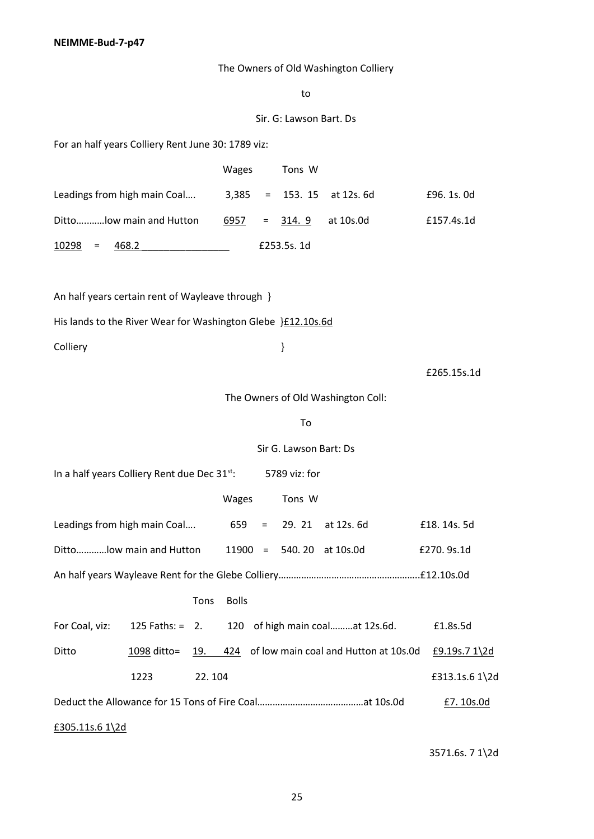**NEIMME-Bud-7-p47**

The Owners of Old Washington Colliery

to

#### Sir. G: Lawson Bart. Ds

For an half years Colliery Rent June 30: 1789 viz:

|                              | <b>Wages</b> | Tons W                       |             |
|------------------------------|--------------|------------------------------|-------------|
| Leadings from high main Coal |              | $3,385 = 153. 15$ at 12s. 6d | £96, 1s, 0d |
| Dittolow main and Hutton     | 6957         | $= 314.9$<br>at 10s.0d       | £157.4s.1d  |
| 10298<br>468.2<br>$\equiv$   |              | £253.5s. 1d                  |             |

An half years certain rent of Wayleave through }

His lands to the River Wear for Washington Glebe } £12.10s.6d

Colliery }

£265.15s.1d

The Owners of Old Washington Coll:

To

Sir G. Lawson Bart: Ds

In a half years Colliery Rent due Dec 31<sup>st</sup>: 5789 viz: for

|                                                       |      |        | Wages        |  | Tons W |                                                                |                |
|-------------------------------------------------------|------|--------|--------------|--|--------|----------------------------------------------------------------|----------------|
| Leadings from high main Coal $659 = 29.21$ at 12s. 6d |      |        |              |  |        |                                                                | £18, 14s, 5d   |
| Dittolow main and Hutton $11900 = 540.20$ at 10s.0d   |      |        |              |  |        | £270.9s.1d                                                     |                |
|                                                       |      |        |              |  |        |                                                                |                |
|                                                       |      | Tons   | <b>Bolls</b> |  |        |                                                                |                |
|                                                       |      |        |              |  |        | For Coal, viz: 125 Faths: = 2. 120 of high main coalat 12s.6d. | £1.8s.5d       |
| Ditto                                                 |      |        |              |  |        | 1098 ditto= 19. 424 of low main coal and Hutton at 10s.0d      | £9.19s.7 1\2d  |
|                                                       | 1223 | 22.104 |              |  |        |                                                                | £313.1s.6 1\2d |
|                                                       |      |        |              |  |        |                                                                | £7.10s.0d      |
| £305.11s.6 $1\$ 2d                                    |      |        |              |  |        |                                                                |                |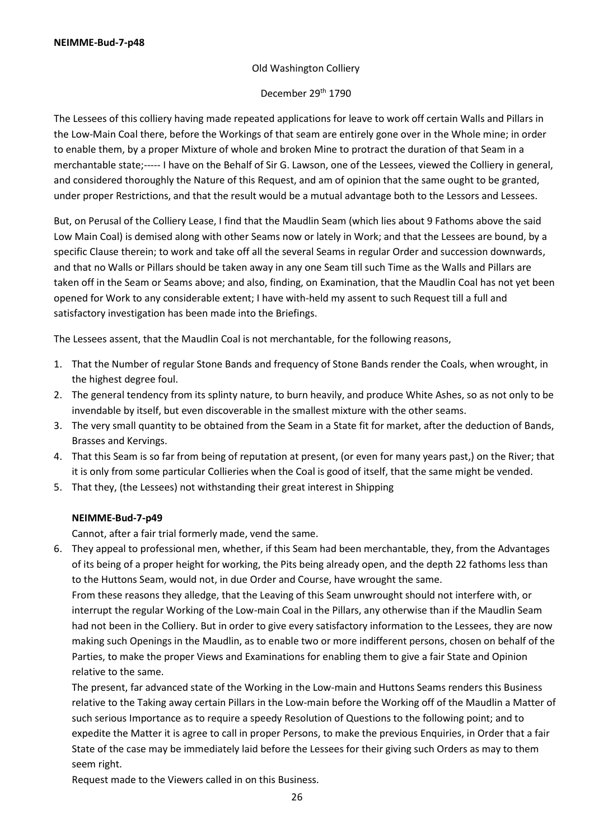### Old Washington Colliery

### December 29<sup>th</sup> 1790

The Lessees of this colliery having made repeated applications for leave to work off certain Walls and Pillars in the Low-Main Coal there, before the Workings of that seam are entirely gone over in the Whole mine; in order to enable them, by a proper Mixture of whole and broken Mine to protract the duration of that Seam in a merchantable state;----- I have on the Behalf of Sir G. Lawson, one of the Lessees, viewed the Colliery in general, and considered thoroughly the Nature of this Request, and am of opinion that the same ought to be granted, under proper Restrictions, and that the result would be a mutual advantage both to the Lessors and Lessees.

But, on Perusal of the Colliery Lease, I find that the Maudlin Seam (which lies about 9 Fathoms above the said Low Main Coal) is demised along with other Seams now or lately in Work; and that the Lessees are bound, by a specific Clause therein; to work and take off all the several Seams in regular Order and succession downwards, and that no Walls or Pillars should be taken away in any one Seam till such Time as the Walls and Pillars are taken off in the Seam or Seams above; and also, finding, on Examination, that the Maudlin Coal has not yet been opened for Work to any considerable extent; I have with-held my assent to such Request till a full and satisfactory investigation has been made into the Briefings.

The Lessees assent, that the Maudlin Coal is not merchantable, for the following reasons,

- 1. That the Number of regular Stone Bands and frequency of Stone Bands render the Coals, when wrought, in the highest degree foul.
- 2. The general tendency from its splinty nature, to burn heavily, and produce White Ashes, so as not only to be invendable by itself, but even discoverable in the smallest mixture with the other seams.
- 3. The very small quantity to be obtained from the Seam in a State fit for market, after the deduction of Bands, Brasses and Kervings.
- 4. That this Seam is so far from being of reputation at present, (or even for many years past,) on the River; that it is only from some particular Collieries when the Coal is good of itself, that the same might be vended.
- 5. That they, (the Lessees) not withstanding their great interest in Shipping

### **NEIMME-Bud-7-p49**

Cannot, after a fair trial formerly made, vend the same.

6. They appeal to professional men, whether, if this Seam had been merchantable, they, from the Advantages of its being of a proper height for working, the Pits being already open, and the depth 22 fathoms less than to the Huttons Seam, would not, in due Order and Course, have wrought the same.

From these reasons they alledge, that the Leaving of this Seam unwrought should not interfere with, or interrupt the regular Working of the Low-main Coal in the Pillars, any otherwise than if the Maudlin Seam had not been in the Colliery. But in order to give every satisfactory information to the Lessees, they are now making such Openings in the Maudlin, as to enable two or more indifferent persons, chosen on behalf of the Parties, to make the proper Views and Examinations for enabling them to give a fair State and Opinion relative to the same.

The present, far advanced state of the Working in the Low-main and Huttons Seams renders this Business relative to the Taking away certain Pillars in the Low-main before the Working off of the Maudlin a Matter of such serious Importance as to require a speedy Resolution of Questions to the following point; and to expedite the Matter it is agree to call in proper Persons, to make the previous Enquiries, in Order that a fair State of the case may be immediately laid before the Lessees for their giving such Orders as may to them seem right.

Request made to the Viewers called in on this Business.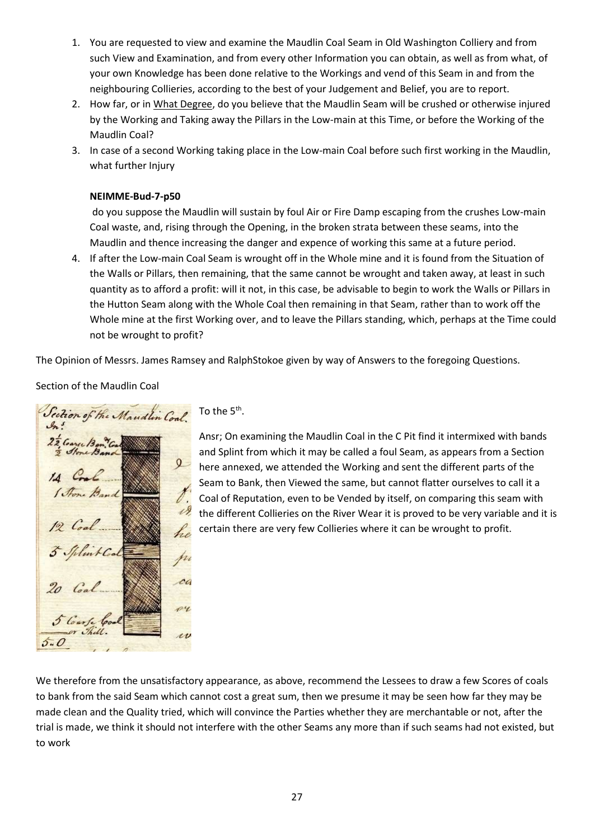- 1. You are requested to view and examine the Maudlin Coal Seam in Old Washington Colliery and from such View and Examination, and from every other Information you can obtain, as well as from what, of your own Knowledge has been done relative to the Workings and vend of this Seam in and from the neighbouring Collieries, according to the best of your Judgement and Belief, you are to report.
- 2. How far, or in What Degree, do you believe that the Maudlin Seam will be crushed or otherwise injured by the Working and Taking away the Pillars in the Low-main at this Time, or before the Working of the Maudlin Coal?
- 3. In case of a second Working taking place in the Low-main Coal before such first working in the Maudlin, what further Injury

### **NEIMME-Bud-7-p50**

do you suppose the Maudlin will sustain by foul Air or Fire Damp escaping from the crushes Low-main Coal waste, and, rising through the Opening, in the broken strata between these seams, into the Maudlin and thence increasing the danger and expence of working this same at a future period.

4. If after the Low-main Coal Seam is wrought off in the Whole mine and it is found from the Situation of the Walls or Pillars, then remaining, that the same cannot be wrought and taken away, at least in such quantity as to afford a profit: will it not, in this case, be advisable to begin to work the Walls or Pillars in the Hutton Seam along with the Whole Coal then remaining in that Seam, rather than to work off the Whole mine at the first Working over, and to leave the Pillars standing, which, perhaps at the Time could not be wrought to profit?

The Opinion of Messrs. James Ramsey and RalphStokoe given by way of Answers to the foregoing Questions.

# Section of the Maudlin Coal

Section of the Maudlin Cal  $\mathcal{A}^s$ 22 Cargo Ban Co  $\Omega$ VI. he pro ca py  $\iota\nu$  $5 - 0$ 

### To the  $5<sup>th</sup>$ .

Ansr; On examining the Maudlin Coal in the C Pit find it intermixed with bands and Splint from which it may be called a foul Seam, as appears from a Section here annexed, we attended the Working and sent the different parts of the Seam to Bank, then Viewed the same, but cannot flatter ourselves to call it a Coal of Reputation, even to be Vended by itself, on comparing this seam with the different Collieries on the River Wear it is proved to be very variable and it is certain there are very few Collieries where it can be wrought to profit.

We therefore from the unsatisfactory appearance, as above, recommend the Lessees to draw a few Scores of coals to bank from the said Seam which cannot cost a great sum, then we presume it may be seen how far they may be made clean and the Quality tried, which will convince the Parties whether they are merchantable or not, after the trial is made, we think it should not interfere with the other Seams any more than if such seams had not existed, but to work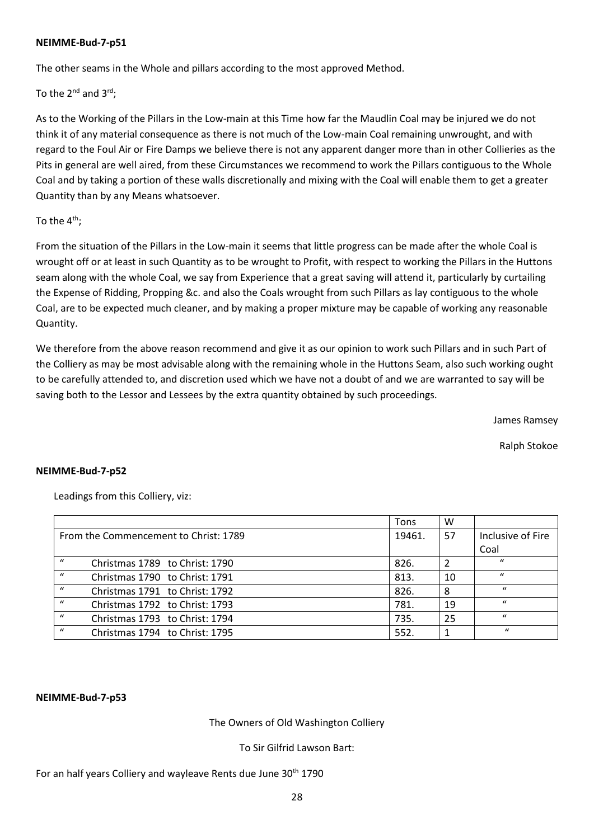#### **NEIMME-Bud-7-p51**

The other seams in the Whole and pillars according to the most approved Method.

To the  $2^{nd}$  and  $3^{rd}$ ;

As to the Working of the Pillars in the Low-main at this Time how far the Maudlin Coal may be injured we do not think it of any material consequence as there is not much of the Low-main Coal remaining unwrought, and with regard to the Foul Air or Fire Damps we believe there is not any apparent danger more than in other Collieries as the Pits in general are well aired, from these Circumstances we recommend to work the Pillars contiguous to the Whole Coal and by taking a portion of these walls discretionally and mixing with the Coal will enable them to get a greater Quantity than by any Means whatsoever.

### To the  $4<sup>th</sup>$ :

From the situation of the Pillars in the Low-main it seems that little progress can be made after the whole Coal is wrought off or at least in such Quantity as to be wrought to Profit, with respect to working the Pillars in the Huttons seam along with the whole Coal, we say from Experience that a great saving will attend it, particularly by curtailing the Expense of Ridding, Propping &c. and also the Coals wrought from such Pillars as lay contiguous to the whole Coal, are to be expected much cleaner, and by making a proper mixture may be capable of working any reasonable Quantity.

We therefore from the above reason recommend and give it as our opinion to work such Pillars and in such Part of the Colliery as may be most advisable along with the remaining whole in the Huttons Seam, also such working ought to be carefully attended to, and discretion used which we have not a doubt of and we are warranted to say will be saving both to the Lessor and Lessees by the extra quantity obtained by such proceedings.

James Ramsey

Ralph Stokoe

### **NEIMME-Bud-7-p52**

Leadings from this Colliery, viz:

|                                                    | Tons   | w  |                   |
|----------------------------------------------------|--------|----|-------------------|
| From the Commencement to Christ: 1789              | 19461. | 57 | Inclusive of Fire |
|                                                    |        |    | Coal              |
| $\prime\prime$<br>Christmas 1789 to Christ: 1790   | 826.   |    | $\prime\prime$    |
| $\prime\prime$<br>Christmas 1790 to Christ: 1791   | 813.   | 10 | $\mathbf{u}$      |
| $\bf{u}$<br>Christmas 1791 to Christ: 1792         | 826.   | 8  | $\prime$          |
| $\prime\prime$<br>Christmas 1792 to Christ: 1793   | 781.   | 19 | $\prime$          |
| $\prime$<br>Christmas 1793 to Christ: 1794         | 735.   | 25 | $\prime$          |
| $\boldsymbol{u}$<br>Christmas 1794 to Christ: 1795 | 552.   |    | $\bf{u}$          |

#### **NEIMME-Bud-7-p53**

The Owners of Old Washington Colliery

To Sir Gilfrid Lawson Bart:

### For an half years Colliery and wayleave Rents due June 30<sup>th</sup> 1790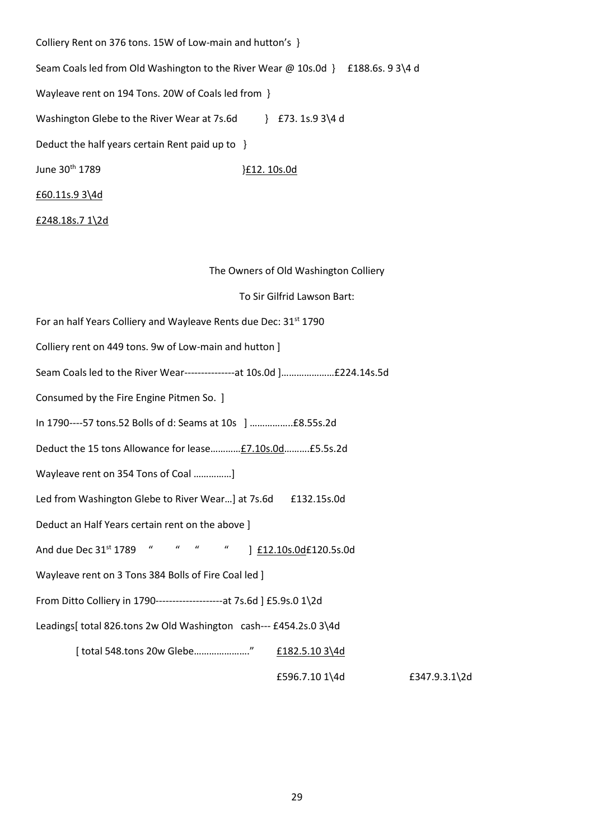| Colliery Rent on 376 tons. 15W of Low-main and hutton's }              |                                  |
|------------------------------------------------------------------------|----------------------------------|
| Seam Coals led from Old Washington to the River Wear $\omega$ 10s.0d } | £188.6s. 9 3\4 d                 |
| Wayleave rent on 194 Tons. 20W of Coals led from }                     |                                  |
| Washington Glebe to the River Wear at 7s.6d                            | £73. 1s.9 3\4 d<br>$\mathcal{F}$ |
| Deduct the half years certain Rent paid up to }                        |                                  |
| June 30 <sup>th</sup> 1789                                             | E12. 10s.0d                      |
| £60.11s.9 3\4d                                                         |                                  |
| £248.18s.7 $1\$ 2d                                                     |                                  |

The Owners of Old Washington Colliery

To Sir Gilfrid Lawson Bart:

| For an half Years Colliery and Wayleave Rents due Dec: 31 <sup>st</sup> 1790 |
|------------------------------------------------------------------------------|
| Colliery rent on 449 tons. 9w of Low-main and hutton ]                       |
| Seam Coals led to the River Wear----------------at 10s.0d ]£224.14s.5d       |
| Consumed by the Fire Engine Pitmen So. ]                                     |
|                                                                              |
| Deduct the 15 tons Allowance for lease £7.10s.0d £5.5s.2d                    |
| Wayleave rent on 354 Tons of Coal ]                                          |
| Led from Washington Glebe to River Wear] at 7s.6d £132.15s.0d                |
| Deduct an Half Years certain rent on the above ]                             |
| And due Dec 31 <sup>st</sup> 1789 " " " " ] £12.10s.0d£120.5s.0d             |
| Wayleave rent on 3 Tons 384 Bolls of Fire Coal led ]                         |
| From Ditto Colliery in 1790----------------------- at 7s.6d ] £5.9s.0 1\2d   |
| Leadings[ total 826.tons 2w Old Washington cash--- £454.2s.0 3\4d            |
| [total 548.tons 20w Glebe" £182.5.10 3\4d                                    |
| £596.7.10 1\4d<br>£347.9.3.1\2d                                              |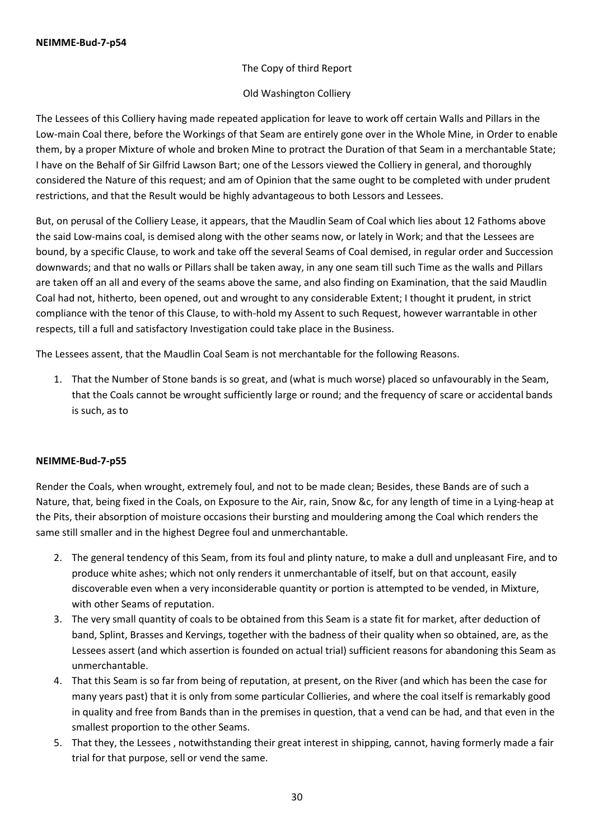### The Copy of third Report

### Old Washington Colliery

The Lessees of this Colliery having made repeated application for leave to work off certain Walls and Pillars in the Low-main Coal there, before the Workings of that Seam are entirely gone over in the Whole Mine, in Order to enable them, by a proper Mixture of whole and broken Mine to protract the Duration of that Seam in a merchantable State; I have on the Behalf of Sir Gilfrid Lawson Bart; one of the Lessors viewed the Colliery in general, and thoroughly considered the Nature of this request; and am of Opinion that the same ought to be completed with under prudent restrictions, and that the Result would be highly advantageous to both Lessors and Lessees.

But, on perusal of the Colliery Lease, it appears, that the Maudlin Seam of Coal which lies about 12 Fathoms above the said Low-mains coal, is demised along with the other seams now, or lately in Work; and that the Lessees are bound, by a specific Clause, to work and take off the several Seams of Coal demised, in regular order and Succession downwards; and that no walls or Pillars shall be taken away, in any one seam till such Time as the walls and Pillars are taken off an all and every of the seams above the same, and also finding on Examination, that the said Maudlin Coal had not, hitherto, been opened, out and wrought to any considerable Extent; I thought it prudent, in strict compliance with the tenor of this Clause, to with-hold my Assent to such Request, however warrantable in other respects, till a full and satisfactory Investigation could take place in the Business.

The Lessees assent, that the Maudlin Coal Seam is not merchantable for the following Reasons.

1. That the Number of Stone bands is so great, and (what is much worse) placed so unfavourably in the Seam, that the Coals cannot be wrought sufficiently large or round; and the frequency of scare or accidental bands is such, as to

### **NEIMME-Bud-7-p55**

Render the Coals, when wrought, extremely foul, and not to be made clean; Besides, these Bands are of such a Nature, that, being fixed in the Coals, on Exposure to the Air, rain, Snow &c, for any length of time in a Lying-heap at the Pits, their absorption of moisture occasions their bursting and mouldering among the Coal which renders the same still smaller and in the highest Degree foul and unmerchantable.

- 2. The general tendency of this Seam, from its foul and plinty nature, to make a dull and unpleasant Fire, and to produce white ashes; which not only renders it unmerchantable of itself, but on that account, easily discoverable even when a very inconsiderable quantity or portion is attempted to be vended, in Mixture, with other Seams of reputation.
- 3. The very small quantity of coals to be obtained from this Seam is a state fit for market, after deduction of band, Splint, Brasses and Kervings, together with the badness of their quality when so obtained, are, as the Lessees assert (and which assertion is founded on actual trial) sufficient reasons for abandoning this Seam as unmerchantable.
- 4. That this Seam is so far from being of reputation, at present, on the River (and which has been the case for many years past) that it is only from some particular Collieries, and where the coal itself is remarkably good in quality and free from Bands than in the premises in question, that a vend can be had, and that even in the smallest proportion to the other Seams.
- 5. That they, the Lessees , notwithstanding their great interest in shipping, cannot, having formerly made a fair trial for that purpose, sell or vend the same.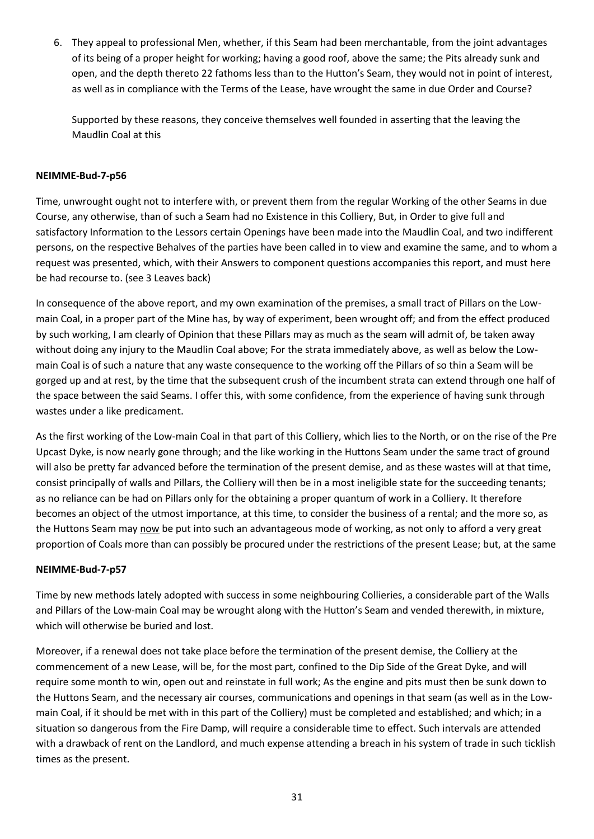6. They appeal to professional Men, whether, if this Seam had been merchantable, from the joint advantages of its being of a proper height for working; having a good roof, above the same; the Pits already sunk and open, and the depth thereto 22 fathoms less than to the Hutton's Seam, they would not in point of interest, as well as in compliance with the Terms of the Lease, have wrought the same in due Order and Course?

Supported by these reasons, they conceive themselves well founded in asserting that the leaving the Maudlin Coal at this

### **NEIMME-Bud-7-p56**

Time, unwrought ought not to interfere with, or prevent them from the regular Working of the other Seams in due Course, any otherwise, than of such a Seam had no Existence in this Colliery, But, in Order to give full and satisfactory Information to the Lessors certain Openings have been made into the Maudlin Coal, and two indifferent persons, on the respective Behalves of the parties have been called in to view and examine the same, and to whom a request was presented, which, with their Answers to component questions accompanies this report, and must here be had recourse to. (see 3 Leaves back)

In consequence of the above report, and my own examination of the premises, a small tract of Pillars on the Lowmain Coal, in a proper part of the Mine has, by way of experiment, been wrought off; and from the effect produced by such working, I am clearly of Opinion that these Pillars may as much as the seam will admit of, be taken away without doing any injury to the Maudlin Coal above; For the strata immediately above, as well as below the Lowmain Coal is of such a nature that any waste consequence to the working off the Pillars of so thin a Seam will be gorged up and at rest, by the time that the subsequent crush of the incumbent strata can extend through one half of the space between the said Seams. I offer this, with some confidence, from the experience of having sunk through wastes under a like predicament.

As the first working of the Low-main Coal in that part of this Colliery, which lies to the North, or on the rise of the Pre Upcast Dyke, is now nearly gone through; and the like working in the Huttons Seam under the same tract of ground will also be pretty far advanced before the termination of the present demise, and as these wastes will at that time, consist principally of walls and Pillars, the Colliery will then be in a most ineligible state for the succeeding tenants; as no reliance can be had on Pillars only for the obtaining a proper quantum of work in a Colliery. It therefore becomes an object of the utmost importance, at this time, to consider the business of a rental; and the more so, as the Huttons Seam may now be put into such an advantageous mode of working, as not only to afford a very great proportion of Coals more than can possibly be procured under the restrictions of the present Lease; but, at the same

### **NEIMME-Bud-7-p57**

Time by new methods lately adopted with success in some neighbouring Collieries, a considerable part of the Walls and Pillars of the Low-main Coal may be wrought along with the Hutton's Seam and vended therewith, in mixture, which will otherwise be buried and lost.

Moreover, if a renewal does not take place before the termination of the present demise, the Colliery at the commencement of a new Lease, will be, for the most part, confined to the Dip Side of the Great Dyke, and will require some month to win, open out and reinstate in full work; As the engine and pits must then be sunk down to the Huttons Seam, and the necessary air courses, communications and openings in that seam (as well as in the Lowmain Coal, if it should be met with in this part of the Colliery) must be completed and established; and which; in a situation so dangerous from the Fire Damp, will require a considerable time to effect. Such intervals are attended with a drawback of rent on the Landlord, and much expense attending a breach in his system of trade in such ticklish times as the present.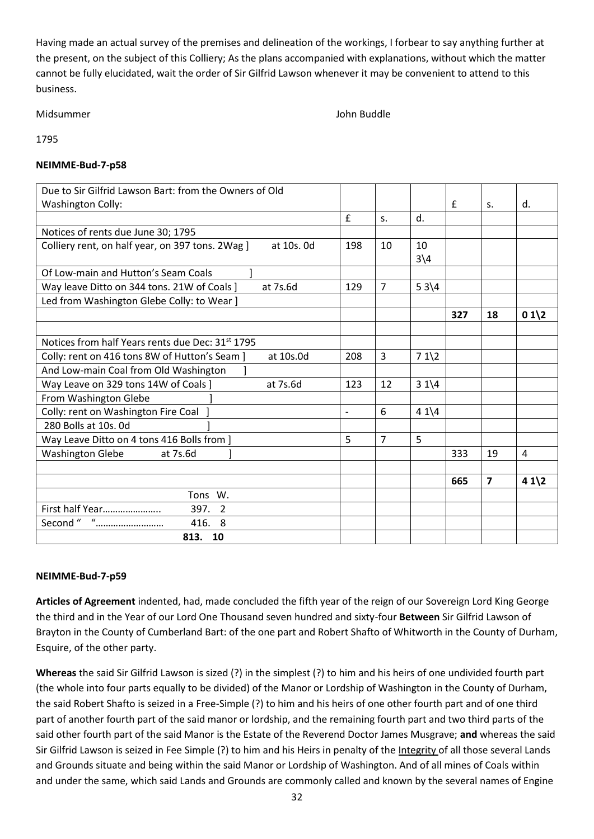Having made an actual survey of the premises and delineation of the workings, I forbear to say anything further at the present, on the subject of this Colliery; As the plans accompanied with explanations, without which the matter cannot be fully elucidated, wait the order of Sir Gilfrid Lawson whenever it may be convenient to attend to this business.

Midsummer John Buddle

1795

### **NEIMME-Bud-7-p58**

|                          |                |                        | £   | S.             | d.      |
|--------------------------|----------------|------------------------|-----|----------------|---------|
| £                        | $S_{1}$        | d.                     |     |                |         |
|                          |                |                        |     |                |         |
| 198                      | 10             | 10                     |     |                |         |
|                          |                | $3\overline{\smash)4}$ |     |                |         |
|                          |                |                        |     |                |         |
| 129                      | $\overline{7}$ | $53\sqrt{4}$           |     |                |         |
|                          |                |                        |     |                |         |
|                          |                |                        | 327 | 18             | $01 \2$ |
|                          |                |                        |     |                |         |
|                          |                |                        |     |                |         |
| 208                      | 3              | $71\frac{2}{2}$        |     |                |         |
|                          |                |                        |     |                |         |
| 123                      | 12             | $31 \times 4$          |     |                |         |
|                          |                |                        |     |                |         |
| $\overline{\phantom{m}}$ | 6              | $41\sqrt{4}$           |     |                |         |
|                          |                |                        |     |                |         |
| 5                        | $\overline{7}$ | 5                      |     |                |         |
|                          |                |                        | 333 | 19             | 4       |
|                          |                |                        |     |                |         |
|                          |                |                        | 665 | $\overline{7}$ | $41 \2$ |
|                          |                |                        |     |                |         |
|                          |                |                        |     |                |         |
|                          |                |                        |     |                |         |
|                          |                |                        |     |                |         |
|                          |                |                        |     |                |         |

# **NEIMME-Bud-7-p59**

**Articles of Agreement** indented, had, made concluded the fifth year of the reign of our Sovereign Lord King George the third and in the Year of our Lord One Thousand seven hundred and sixty-four **Between** Sir Gilfrid Lawson of Brayton in the County of Cumberland Bart: of the one part and Robert Shafto of Whitworth in the County of Durham, Esquire, of the other party.

**Whereas** the said Sir Gilfrid Lawson is sized (?) in the simplest (?) to him and his heirs of one undivided fourth part (the whole into four parts equally to be divided) of the Manor or Lordship of Washington in the County of Durham, the said Robert Shafto is seized in a Free-Simple (?) to him and his heirs of one other fourth part and of one third part of another fourth part of the said manor or lordship, and the remaining fourth part and two third parts of the said other fourth part of the said Manor is the Estate of the Reverend Doctor James Musgrave; **and** whereas the said Sir Gilfrid Lawson is seized in Fee Simple (?) to him and his Heirs in penalty of the Integrity of all those several Lands and Grounds situate and being within the said Manor or Lordship of Washington. And of all mines of Coals within and under the same, which said Lands and Grounds are commonly called and known by the several names of Engine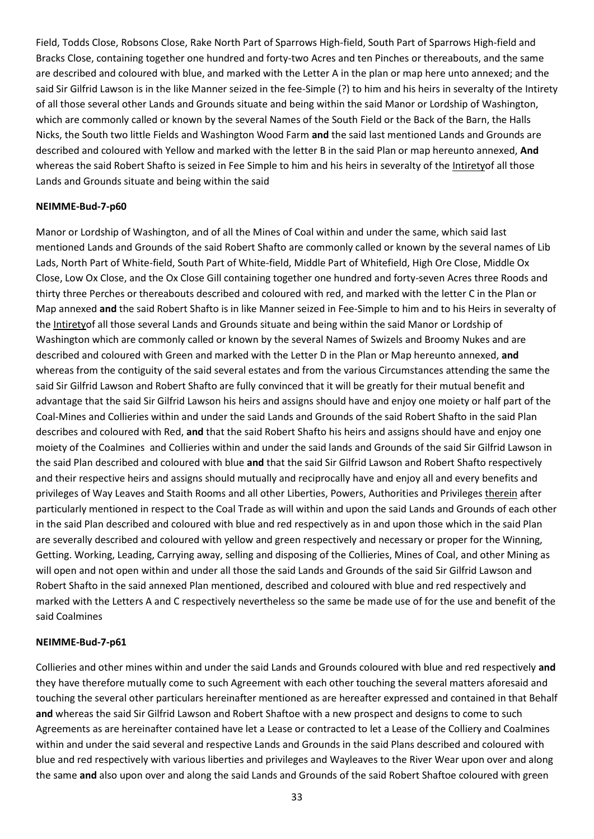Field, Todds Close, Robsons Close, Rake North Part of Sparrows High-field, South Part of Sparrows High-field and Bracks Close, containing together one hundred and forty-two Acres and ten Pinches or thereabouts, and the same are described and coloured with blue, and marked with the Letter A in the plan or map here unto annexed; and the said Sir Gilfrid Lawson is in the like Manner seized in the fee-Simple (?) to him and his heirs in severalty of the Intirety of all those several other Lands and Grounds situate and being within the said Manor or Lordship of Washington, which are commonly called or known by the several Names of the South Field or the Back of the Barn, the Halls Nicks, the South two little Fields and Washington Wood Farm **and** the said last mentioned Lands and Grounds are described and coloured with Yellow and marked with the letter B in the said Plan or map hereunto annexed, **And** whereas the said Robert Shafto is seized in Fee Simple to him and his heirs in severalty of the Intiretyof all those Lands and Grounds situate and being within the said

#### **NEIMME-Bud-7-p60**

Manor or Lordship of Washington, and of all the Mines of Coal within and under the same, which said last mentioned Lands and Grounds of the said Robert Shafto are commonly called or known by the several names of Lib Lads, North Part of White-field, South Part of White-field, Middle Part of Whitefield, High Ore Close, Middle Ox Close, Low Ox Close, and the Ox Close Gill containing together one hundred and forty-seven Acres three Roods and thirty three Perches or thereabouts described and coloured with red, and marked with the letter C in the Plan or Map annexed **and** the said Robert Shafto is in like Manner seized in Fee-Simple to him and to his Heirs in severalty of the Intiretyof all those several Lands and Grounds situate and being within the said Manor or Lordship of Washington which are commonly called or known by the several Names of Swizels and Broomy Nukes and are described and coloured with Green and marked with the Letter D in the Plan or Map hereunto annexed, **and**  whereas from the contiguity of the said several estates and from the various Circumstances attending the same the said Sir Gilfrid Lawson and Robert Shafto are fully convinced that it will be greatly for their mutual benefit and advantage that the said Sir Gilfrid Lawson his heirs and assigns should have and enjoy one moiety or half part of the Coal-Mines and Collieries within and under the said Lands and Grounds of the said Robert Shafto in the said Plan describes and coloured with Red, **and** that the said Robert Shafto his heirs and assigns should have and enjoy one moiety of the Coalmines and Collieries within and under the said lands and Grounds of the said Sir Gilfrid Lawson in the said Plan described and coloured with blue **and** that the said Sir Gilfrid Lawson and Robert Shafto respectively and their respective heirs and assigns should mutually and reciprocally have and enjoy all and every benefits and privileges of Way Leaves and Staith Rooms and all other Liberties, Powers, Authorities and Privileges therein after particularly mentioned in respect to the Coal Trade as will within and upon the said Lands and Grounds of each other in the said Plan described and coloured with blue and red respectively as in and upon those which in the said Plan are severally described and coloured with yellow and green respectively and necessary or proper for the Winning, Getting. Working, Leading, Carrying away, selling and disposing of the Collieries, Mines of Coal, and other Mining as will open and not open within and under all those the said Lands and Grounds of the said Sir Gilfrid Lawson and Robert Shafto in the said annexed Plan mentioned, described and coloured with blue and red respectively and marked with the Letters A and C respectively nevertheless so the same be made use of for the use and benefit of the said Coalmines

#### **NEIMME-Bud-7-p61**

Collieries and other mines within and under the said Lands and Grounds coloured with blue and red respectively **and**  they have therefore mutually come to such Agreement with each other touching the several matters aforesaid and touching the several other particulars hereinafter mentioned as are hereafter expressed and contained in that Behalf **and** whereas the said Sir Gilfrid Lawson and Robert Shaftoe with a new prospect and designs to come to such Agreements as are hereinafter contained have let a Lease or contracted to let a Lease of the Colliery and Coalmines within and under the said several and respective Lands and Grounds in the said Plans described and coloured with blue and red respectively with various liberties and privileges and Wayleaves to the River Wear upon over and along the same **and** also upon over and along the said Lands and Grounds of the said Robert Shaftoe coloured with green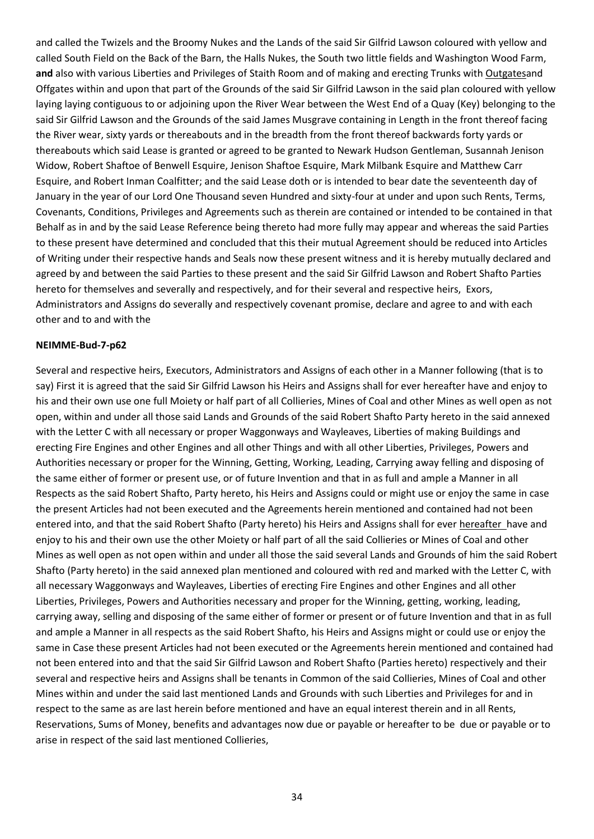and called the Twizels and the Broomy Nukes and the Lands of the said Sir Gilfrid Lawson coloured with yellow and called South Field on the Back of the Barn, the Halls Nukes, the South two little fields and Washington Wood Farm, **and** also with various Liberties and Privileges of Staith Room and of making and erecting Trunks with Outgatesand Offgates within and upon that part of the Grounds of the said Sir Gilfrid Lawson in the said plan coloured with yellow laying laying contiguous to or adjoining upon the River Wear between the West End of a Quay (Key) belonging to the said Sir Gilfrid Lawson and the Grounds of the said James Musgrave containing in Length in the front thereof facing the River wear, sixty yards or thereabouts and in the breadth from the front thereof backwards forty yards or thereabouts which said Lease is granted or agreed to be granted to Newark Hudson Gentleman, Susannah Jenison Widow, Robert Shaftoe of Benwell Esquire, Jenison Shaftoe Esquire, Mark Milbank Esquire and Matthew Carr Esquire, and Robert Inman Coalfitter; and the said Lease doth or is intended to bear date the seventeenth day of January in the year of our Lord One Thousand seven Hundred and sixty-four at under and upon such Rents, Terms, Covenants, Conditions, Privileges and Agreements such as therein are contained or intended to be contained in that Behalf as in and by the said Lease Reference being thereto had more fully may appear and whereas the said Parties to these present have determined and concluded that this their mutual Agreement should be reduced into Articles of Writing under their respective hands and Seals now these present witness and it is hereby mutually declared and agreed by and between the said Parties to these present and the said Sir Gilfrid Lawson and Robert Shafto Parties hereto for themselves and severally and respectively, and for their several and respective heirs, Exors, Administrators and Assigns do severally and respectively covenant promise, declare and agree to and with each other and to and with the

#### **NEIMME-Bud-7-p62**

Several and respective heirs, Executors, Administrators and Assigns of each other in a Manner following (that is to say) First it is agreed that the said Sir Gilfrid Lawson his Heirs and Assigns shall for ever hereafter have and enjoy to his and their own use one full Moiety or half part of all Collieries, Mines of Coal and other Mines as well open as not open, within and under all those said Lands and Grounds of the said Robert Shafto Party hereto in the said annexed with the Letter C with all necessary or proper Waggonways and Wayleaves, Liberties of making Buildings and erecting Fire Engines and other Engines and all other Things and with all other Liberties, Privileges, Powers and Authorities necessary or proper for the Winning, Getting, Working, Leading, Carrying away felling and disposing of the same either of former or present use, or of future Invention and that in as full and ample a Manner in all Respects as the said Robert Shafto, Party hereto, his Heirs and Assigns could or might use or enjoy the same in case the present Articles had not been executed and the Agreements herein mentioned and contained had not been entered into, and that the said Robert Shafto (Party hereto) his Heirs and Assigns shall for ever hereafter have and enjoy to his and their own use the other Moiety or half part of all the said Collieries or Mines of Coal and other Mines as well open as not open within and under all those the said several Lands and Grounds of him the said Robert Shafto (Party hereto) in the said annexed plan mentioned and coloured with red and marked with the Letter C, with all necessary Waggonways and Wayleaves, Liberties of erecting Fire Engines and other Engines and all other Liberties, Privileges, Powers and Authorities necessary and proper for the Winning, getting, working, leading, carrying away, selling and disposing of the same either of former or present or of future Invention and that in as full and ample a Manner in all respects as the said Robert Shafto, his Heirs and Assigns might or could use or enjoy the same in Case these present Articles had not been executed or the Agreements herein mentioned and contained had not been entered into and that the said Sir Gilfrid Lawson and Robert Shafto (Parties hereto) respectively and their several and respective heirs and Assigns shall be tenants in Common of the said Collieries, Mines of Coal and other Mines within and under the said last mentioned Lands and Grounds with such Liberties and Privileges for and in respect to the same as are last herein before mentioned and have an equal interest therein and in all Rents, Reservations, Sums of Money, benefits and advantages now due or payable or hereafter to be due or payable or to arise in respect of the said last mentioned Collieries,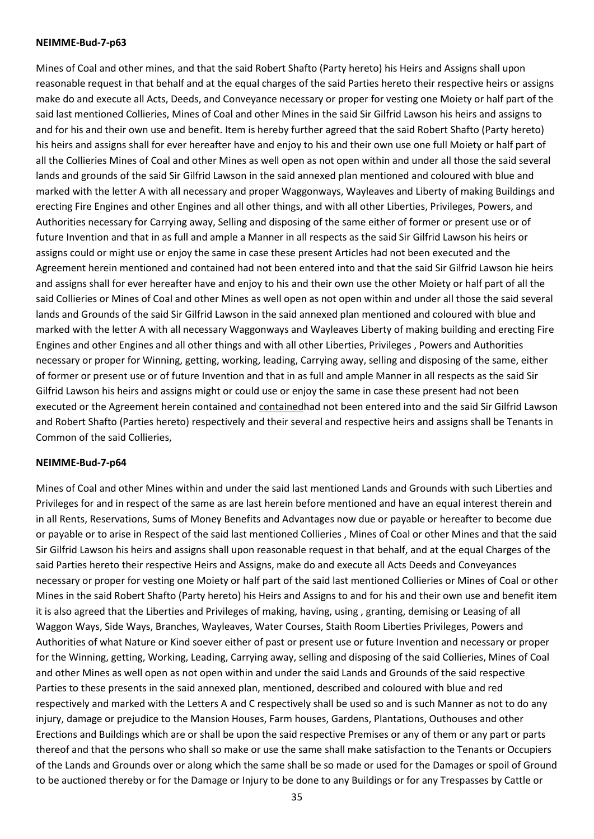#### **NEIMME-Bud-7-p63**

Mines of Coal and other mines, and that the said Robert Shafto (Party hereto) his Heirs and Assigns shall upon reasonable request in that behalf and at the equal charges of the said Parties hereto their respective heirs or assigns make do and execute all Acts, Deeds, and Conveyance necessary or proper for vesting one Moiety or half part of the said last mentioned Collieries, Mines of Coal and other Mines in the said Sir Gilfrid Lawson his heirs and assigns to and for his and their own use and benefit. Item is hereby further agreed that the said Robert Shafto (Party hereto) his heirs and assigns shall for ever hereafter have and enjoy to his and their own use one full Moiety or half part of all the Collieries Mines of Coal and other Mines as well open as not open within and under all those the said several lands and grounds of the said Sir Gilfrid Lawson in the said annexed plan mentioned and coloured with blue and marked with the letter A with all necessary and proper Waggonways, Wayleaves and Liberty of making Buildings and erecting Fire Engines and other Engines and all other things, and with all other Liberties, Privileges, Powers, and Authorities necessary for Carrying away, Selling and disposing of the same either of former or present use or of future Invention and that in as full and ample a Manner in all respects as the said Sir Gilfrid Lawson his heirs or assigns could or might use or enjoy the same in case these present Articles had not been executed and the Agreement herein mentioned and contained had not been entered into and that the said Sir Gilfrid Lawson hie heirs and assigns shall for ever hereafter have and enjoy to his and their own use the other Moiety or half part of all the said Collieries or Mines of Coal and other Mines as well open as not open within and under all those the said several lands and Grounds of the said Sir Gilfrid Lawson in the said annexed plan mentioned and coloured with blue and marked with the letter A with all necessary Waggonways and Wayleaves Liberty of making building and erecting Fire Engines and other Engines and all other things and with all other Liberties, Privileges , Powers and Authorities necessary or proper for Winning, getting, working, leading, Carrying away, selling and disposing of the same, either of former or present use or of future Invention and that in as full and ample Manner in all respects as the said Sir Gilfrid Lawson his heirs and assigns might or could use or enjoy the same in case these present had not been executed or the Agreement herein contained and contained had not been entered into and the said Sir Gilfrid Lawson and Robert Shafto (Parties hereto) respectively and their several and respective heirs and assigns shall be Tenants in Common of the said Collieries,

### **NEIMME-Bud-7-p64**

Mines of Coal and other Mines within and under the said last mentioned Lands and Grounds with such Liberties and Privileges for and in respect of the same as are last herein before mentioned and have an equal interest therein and in all Rents, Reservations, Sums of Money Benefits and Advantages now due or payable or hereafter to become due or payable or to arise in Respect of the said last mentioned Collieries , Mines of Coal or other Mines and that the said Sir Gilfrid Lawson his heirs and assigns shall upon reasonable request in that behalf, and at the equal Charges of the said Parties hereto their respective Heirs and Assigns, make do and execute all Acts Deeds and Conveyances necessary or proper for vesting one Moiety or half part of the said last mentioned Collieries or Mines of Coal or other Mines in the said Robert Shafto (Party hereto) his Heirs and Assigns to and for his and their own use and benefit item it is also agreed that the Liberties and Privileges of making, having, using , granting, demising or Leasing of all Waggon Ways, Side Ways, Branches, Wayleaves, Water Courses, Staith Room Liberties Privileges, Powers and Authorities of what Nature or Kind soever either of past or present use or future Invention and necessary or proper for the Winning, getting, Working, Leading, Carrying away, selling and disposing of the said Collieries, Mines of Coal and other Mines as well open as not open within and under the said Lands and Grounds of the said respective Parties to these presents in the said annexed plan, mentioned, described and coloured with blue and red respectively and marked with the Letters A and C respectively shall be used so and is such Manner as not to do any injury, damage or prejudice to the Mansion Houses, Farm houses, Gardens, Plantations, Outhouses and other Erections and Buildings which are or shall be upon the said respective Premises or any of them or any part or parts thereof and that the persons who shall so make or use the same shall make satisfaction to the Tenants or Occupiers of the Lands and Grounds over or along which the same shall be so made or used for the Damages or spoil of Ground to be auctioned thereby or for the Damage or Injury to be done to any Buildings or for any Trespasses by Cattle or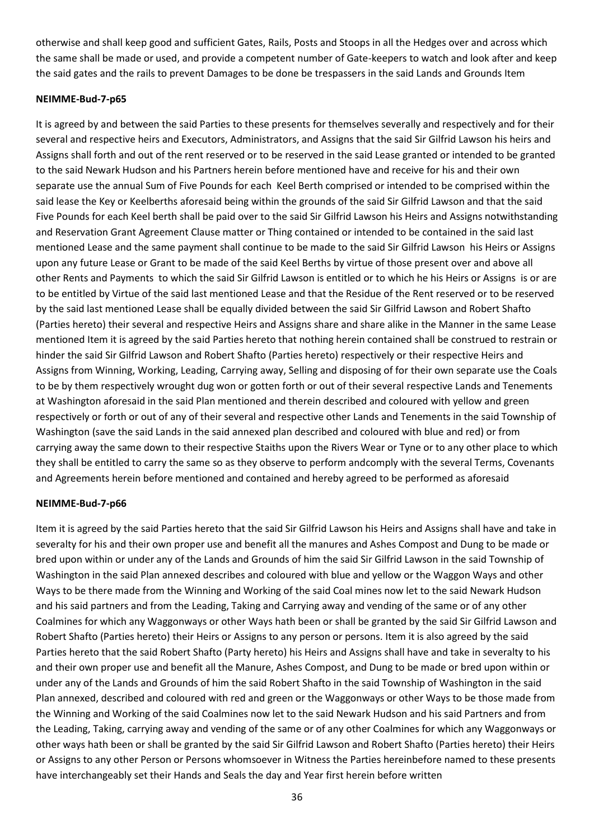otherwise and shall keep good and sufficient Gates, Rails, Posts and Stoops in all the Hedges over and across which the same shall be made or used, and provide a competent number of Gate-keepers to watch and look after and keep the said gates and the rails to prevent Damages to be done be trespassers in the said Lands and Grounds Item

### **NEIMME-Bud-7-p65**

It is agreed by and between the said Parties to these presents for themselves severally and respectively and for their several and respective heirs and Executors, Administrators, and Assigns that the said Sir Gilfrid Lawson his heirs and Assigns shall forth and out of the rent reserved or to be reserved in the said Lease granted or intended to be granted to the said Newark Hudson and his Partners herein before mentioned have and receive for his and their own separate use the annual Sum of Five Pounds for each Keel Berth comprised or intended to be comprised within the said lease the Key or Keelberths aforesaid being within the grounds of the said Sir Gilfrid Lawson and that the said Five Pounds for each Keel berth shall be paid over to the said Sir Gilfrid Lawson his Heirs and Assigns notwithstanding and Reservation Grant Agreement Clause matter or Thing contained or intended to be contained in the said last mentioned Lease and the same payment shall continue to be made to the said Sir Gilfrid Lawson his Heirs or Assigns upon any future Lease or Grant to be made of the said Keel Berths by virtue of those present over and above all other Rents and Payments to which the said Sir Gilfrid Lawson is entitled or to which he his Heirs or Assigns is or are to be entitled by Virtue of the said last mentioned Lease and that the Residue of the Rent reserved or to be reserved by the said last mentioned Lease shall be equally divided between the said Sir Gilfrid Lawson and Robert Shafto (Parties hereto) their several and respective Heirs and Assigns share and share alike in the Manner in the same Lease mentioned Item it is agreed by the said Parties hereto that nothing herein contained shall be construed to restrain or hinder the said Sir Gilfrid Lawson and Robert Shafto (Parties hereto) respectively or their respective Heirs and Assigns from Winning, Working, Leading, Carrying away, Selling and disposing of for their own separate use the Coals to be by them respectively wrought dug won or gotten forth or out of their several respective Lands and Tenements at Washington aforesaid in the said Plan mentioned and therein described and coloured with yellow and green respectively or forth or out of any of their several and respective other Lands and Tenements in the said Township of Washington (save the said Lands in the said annexed plan described and coloured with blue and red) or from carrying away the same down to their respective Staiths upon the Rivers Wear or Tyne or to any other place to which they shall be entitled to carry the same so as they observe to perform andcomply with the several Terms, Covenants and Agreements herein before mentioned and contained and hereby agreed to be performed as aforesaid

### **NEIMME-Bud-7-p66**

Item it is agreed by the said Parties hereto that the said Sir Gilfrid Lawson his Heirs and Assigns shall have and take in severalty for his and their own proper use and benefit all the manures and Ashes Compost and Dung to be made or bred upon within or under any of the Lands and Grounds of him the said Sir Gilfrid Lawson in the said Township of Washington in the said Plan annexed describes and coloured with blue and yellow or the Waggon Ways and other Ways to be there made from the Winning and Working of the said Coal mines now let to the said Newark Hudson and his said partners and from the Leading, Taking and Carrying away and vending of the same or of any other Coalmines for which any Waggonways or other Ways hath been or shall be granted by the said Sir Gilfrid Lawson and Robert Shafto (Parties hereto) their Heirs or Assigns to any person or persons. Item it is also agreed by the said Parties hereto that the said Robert Shafto (Party hereto) his Heirs and Assigns shall have and take in severalty to his and their own proper use and benefit all the Manure, Ashes Compost, and Dung to be made or bred upon within or under any of the Lands and Grounds of him the said Robert Shafto in the said Township of Washington in the said Plan annexed, described and coloured with red and green or the Waggonways or other Ways to be those made from the Winning and Working of the said Coalmines now let to the said Newark Hudson and his said Partners and from the Leading, Taking, carrying away and vending of the same or of any other Coalmines for which any Waggonways or other ways hath been or shall be granted by the said Sir Gilfrid Lawson and Robert Shafto (Parties hereto) their Heirs or Assigns to any other Person or Persons whomsoever in Witness the Parties hereinbefore named to these presents have interchangeably set their Hands and Seals the day and Year first herein before written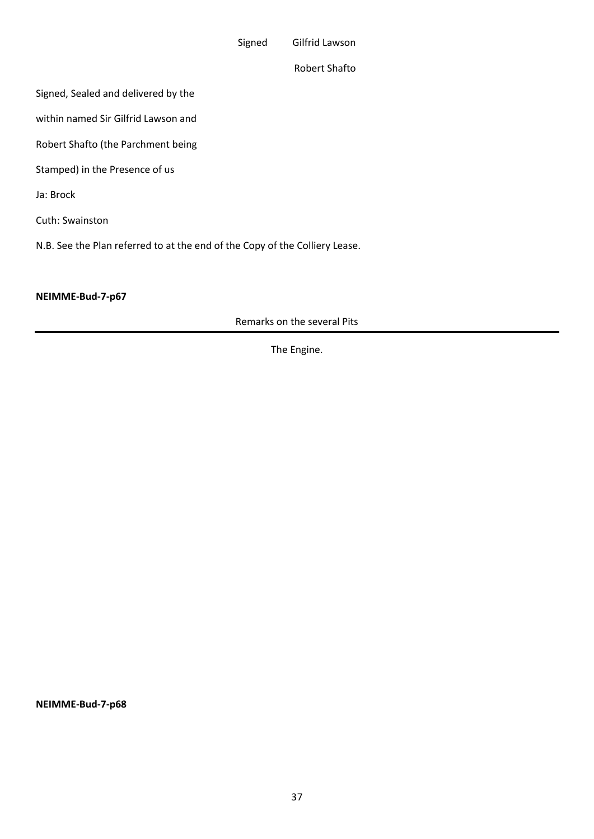Signed Gilfrid Lawson

Robert Shafto

Signed, Sealed and delivered by the

within named Sir Gilfrid Lawson and

Robert Shafto (the Parchment being

Stamped) in the Presence of us

Ja: Brock

Cuth: Swainston

N.B. See the Plan referred to at the end of the Copy of the Colliery Lease.

#### **NEIMME-Bud-7-p67**

Remarks on the several Pits

The Engine.

**NEIMME-Bud-7-p68**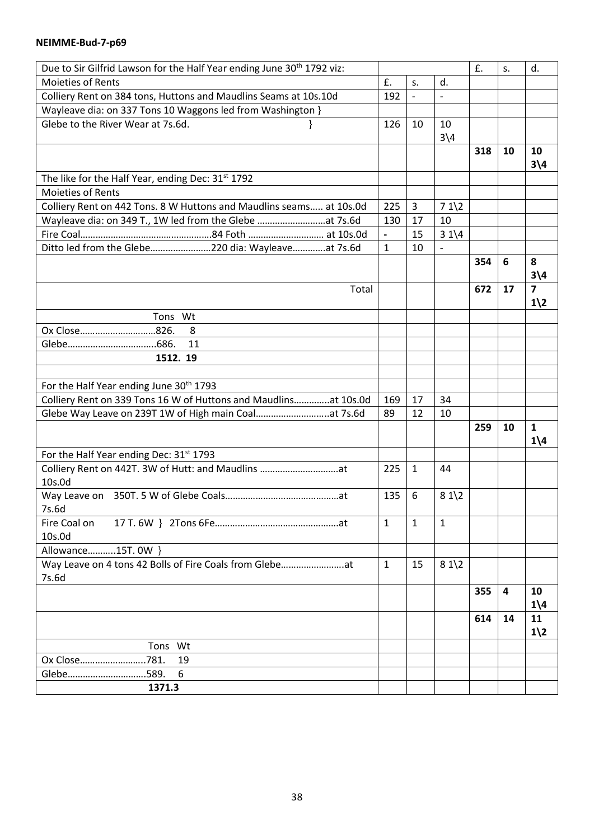#### **NEIMME-Bud-7-p69**

| Due to Sir Gilfrid Lawson for the Half Year ending June 30 <sup>th</sup> 1792 viz: |                          |                |                          | £.  | S. | d.                                       |
|------------------------------------------------------------------------------------|--------------------------|----------------|--------------------------|-----|----|------------------------------------------|
| Moieties of Rents                                                                  | £.                       | S.             | d.                       |     |    |                                          |
| Colliery Rent on 384 tons, Huttons and Maudlins Seams at 10s.10d                   | 192                      | $\overline{a}$ | $\overline{a}$           |     |    |                                          |
| Wayleave dia: on 337 Tons 10 Waggons led from Washington }                         |                          |                |                          |     |    |                                          |
| Glebe to the River Wear at 7s.6d.                                                  | 126                      | 10             | 10<br>$3\sqrt{4}$        |     |    |                                          |
|                                                                                    |                          |                |                          | 318 | 10 | 10<br>$3\overline{)4}$                   |
| The like for the Half Year, ending Dec: 31 <sup>st</sup> 1792                      |                          |                |                          |     |    |                                          |
| Moieties of Rents                                                                  |                          |                |                          |     |    |                                          |
| Colliery Rent on 442 Tons. 8 W Huttons and Maudlins seams at 10s.0d                | 225                      | 3              | $71\frac{2}{2}$          |     |    |                                          |
| Wayleave dia: on 349 T., 1W led from the Glebe at 7s.6d                            | 130                      | 17             | 10                       |     |    |                                          |
|                                                                                    | $\overline{\phantom{a}}$ | 15             | $31\frac{4}{4}$          |     |    |                                          |
| Ditto led from the Glebe220 dia: Wayleaveat 7s.6d                                  | $\mathbf{1}$             | 10             | $\overline{\phantom{a}}$ |     |    |                                          |
|                                                                                    |                          |                |                          | 354 | 6  | 8<br>$3\sqrt{4}$                         |
| Total                                                                              |                          |                |                          | 672 | 17 | $\overline{7}$<br>$1\overline{\smash)2}$ |
| Tons Wt                                                                            |                          |                |                          |     |    |                                          |
| Ox Close826.<br>8                                                                  |                          |                |                          |     |    |                                          |
| 11                                                                                 |                          |                |                          |     |    |                                          |
| 1512. 19                                                                           |                          |                |                          |     |    |                                          |
|                                                                                    |                          |                |                          |     |    |                                          |
| For the Half Year ending June 30th 1793                                            |                          |                |                          |     |    |                                          |
| Colliery Rent on 339 Tons 16 W of Huttons and Maudlinsat 10s.0d                    | 169                      | 17             | 34                       |     |    |                                          |
| Glebe Way Leave on 239T 1W of High main Coalat 7s.6d                               | 89                       | 12             | 10                       |     |    |                                          |
|                                                                                    |                          |                |                          | 259 | 10 | $\mathbf{1}$                             |
|                                                                                    |                          |                |                          |     |    | $1\backslash 4$                          |
| For the Half Year ending Dec: 31st 1793                                            |                          |                |                          |     |    |                                          |
| Colliery Rent on 442T. 3W of Hutt: and Maudlins at<br>10s.0d                       | 225                      | $\mathbf{1}$   | 44                       |     |    |                                          |
| 7s.6d                                                                              | 135                      | 6              | $81\frac{2}{2}$          |     |    |                                          |
| Fire Coal on<br>10s.0d                                                             | $\mathbf{1}$             | $\mathbf{1}$   | $\mathbf{1}$             |     |    |                                          |
| Allowance15T. 0W }                                                                 |                          |                |                          |     |    |                                          |
|                                                                                    | $\mathbf{1}$             | 15             | $81\frac{2}{2}$          |     |    |                                          |
| Way Leave on 4 tons 42 Bolls of Fire Coals from Glebeat<br>7s.6d                   |                          |                |                          |     |    |                                          |
|                                                                                    |                          |                |                          | 355 | 4  | 10<br>$1\backslash 4$                    |
|                                                                                    |                          |                |                          | 614 | 14 | 11<br>$1\overline{\smash)2}$             |
| Tons Wt                                                                            |                          |                |                          |     |    |                                          |
| Ox Close781.<br>19                                                                 |                          |                |                          |     |    |                                          |
| .589.<br>6<br>Glebe                                                                |                          |                |                          |     |    |                                          |
| 1371.3                                                                             |                          |                |                          |     |    |                                          |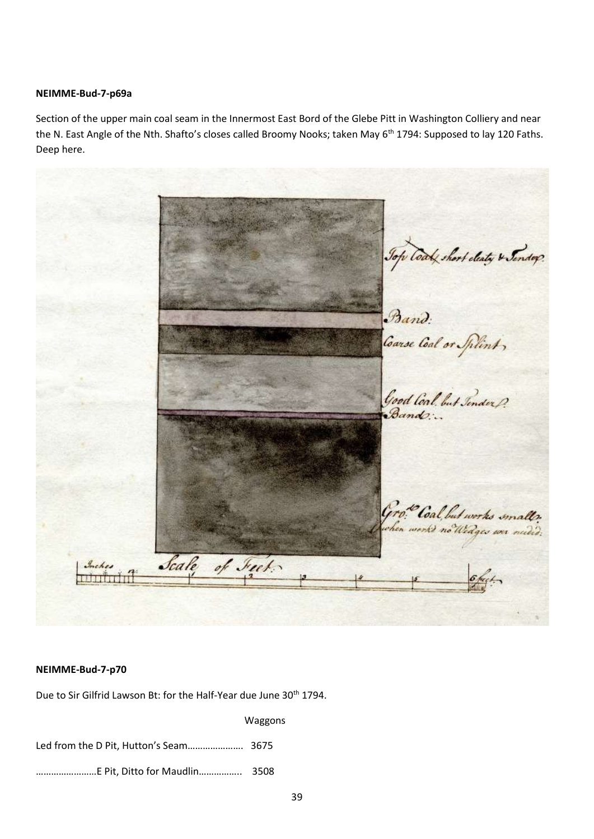#### **NEIMME-Bud-7-p69a**

Section of the upper main coal seam in the Innermost East Bord of the Glebe Pitt in Washington Colliery and near the N. East Angle of the Nth. Shafto's closes called Broomy Nooks; taken May 6<sup>th</sup> 1794: Supposed to lay 120 Faths. Deep here.



#### **NEIMME-Bud-7-p70**

Due to Sir Gilfrid Lawson Bt: for the Half-Year due June 30<sup>th</sup> 1794.

 Waggons Led from the D Pit, Hutton's Seam…………………. 3675 ……………………E Pit, Ditto for Maudlin…………….. 3508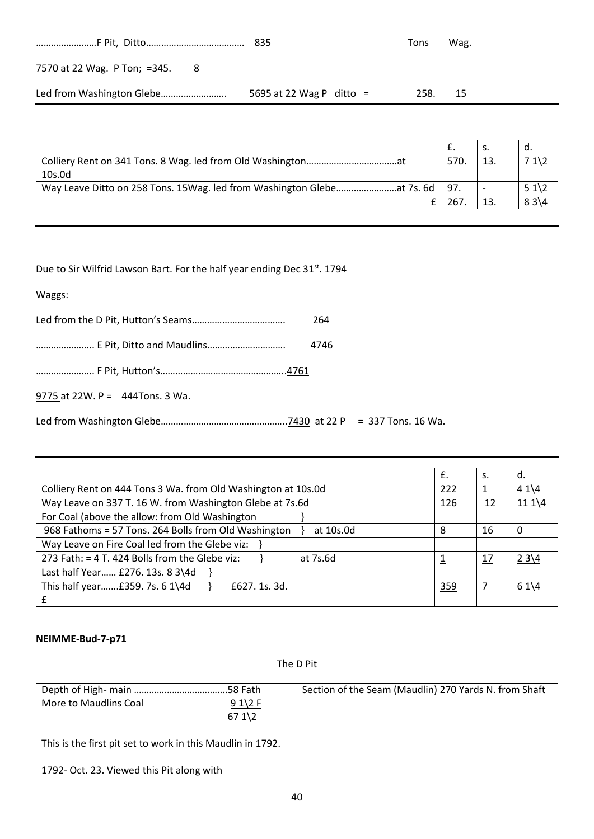|                                     |                          | Tons | Wag. |
|-------------------------------------|--------------------------|------|------|
| 7570 at 22 Wag. P Ton; =345.<br>- 8 |                          |      |      |
|                                     | 5695 at 22 Wag P ditto = | 258. | - 15 |

|                                                                                |      | э٠ | α.           |
|--------------------------------------------------------------------------------|------|----|--------------|
|                                                                                | 570. | 13 | $71\sqrt{2}$ |
| 10s.0d                                                                         |      |    |              |
| Way Leave Ditto on 258 Tons. 15 Wag. led from Washington Glebe at 7s. 6d   97. |      |    | $51\sqrt{2}$ |
|                                                                                | 267  |    | $83\{4$      |

Due to Sir Wilfrid Lawson Bart. For the half year ending Dec 31<sup>st</sup>. 1794

| Waggs:                             |      |  |
|------------------------------------|------|--|
|                                    | 264  |  |
|                                    | 4746 |  |
|                                    |      |  |
| 9775 at $22W. P = 444$ Tons. 3 Wa. |      |  |
|                                    |      |  |

|                                                                   | £.  | s.        | α.              |
|-------------------------------------------------------------------|-----|-----------|-----------------|
| Colliery Rent on 444 Tons 3 Wa. from Old Washington at 10s.0d     | 222 |           | $41\sqrt{4}$    |
| Way Leave on 337 T. 16 W. from Washington Glebe at 7s.6d          | 126 | 12        | $111\sqrt{4}$   |
| For Coal (above the allow: from Old Washington                    |     |           |                 |
| 968 Fathoms = 57 Tons. 264 Bolls from Old Washington<br>at 10s.0d | 8   | 16        | $\Omega$        |
| Way Leave on Fire Coal led from the Glebe viz:                    |     |           |                 |
| 273 Fath: = 4 T. 424 Bolls from the Glebe viz:<br>at 7s.6d        |     | <u>17</u> | $23\{4$         |
| Last half Year £276. 13s. 8 3\4d                                  |     |           |                 |
| This half year £359. 7s. 6 1\4d<br>£627, 1s, 3d.<br>£             | 359 | 7         | $61\frac{1}{4}$ |

# **NEIMME-Bud-7-p71**

The D Pit

| More to Maudlins Coal                                      | $91\2 F$<br>$671\$ | Section of the Seam (Maudlin) 270 Yards N. from Shaft |
|------------------------------------------------------------|--------------------|-------------------------------------------------------|
| This is the first pit set to work in this Maudlin in 1792. |                    |                                                       |
| 1792- Oct. 23. Viewed this Pit along with                  |                    |                                                       |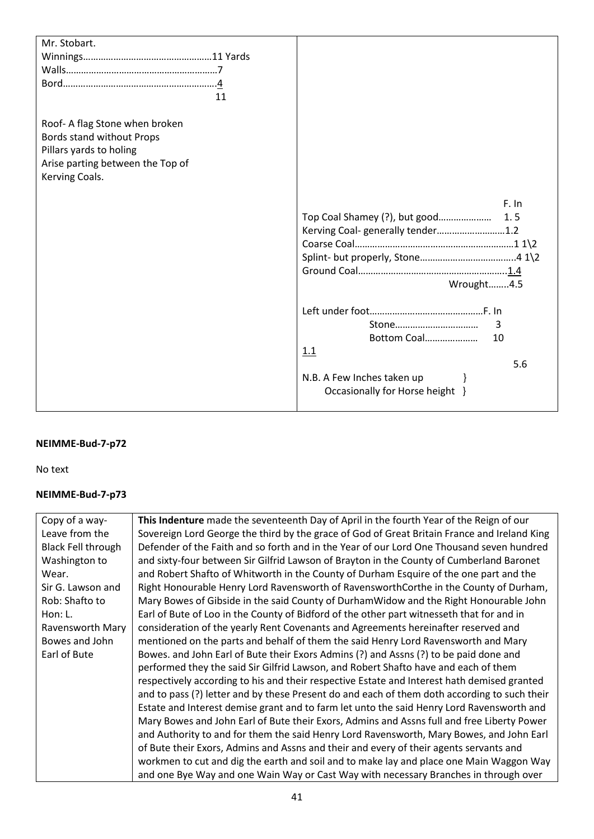| Mr. Stobart.                     |                                      |
|----------------------------------|--------------------------------------|
|                                  |                                      |
|                                  |                                      |
|                                  |                                      |
| 11                               |                                      |
|                                  |                                      |
| Roof-A flag Stone when broken    |                                      |
| Bords stand without Props        |                                      |
| Pillars yards to holing          |                                      |
| Arise parting between the Top of |                                      |
| Kerving Coals.                   |                                      |
|                                  |                                      |
|                                  |                                      |
|                                  | F. In                                |
|                                  | Top Coal Shamey (?), but good<br>1.5 |
|                                  | Kerving Coal-generally tender1.2     |
|                                  |                                      |
|                                  |                                      |
|                                  |                                      |
|                                  | Wrought4.5                           |
|                                  |                                      |
|                                  |                                      |
|                                  | Stone<br>3                           |
|                                  | Bottom Coal<br>10                    |
|                                  | 1.1                                  |
|                                  |                                      |
|                                  | 5.6                                  |
|                                  | N.B. A Few Inches taken up<br>ł      |
|                                  | Occasionally for Horse height }      |
|                                  |                                      |

# **NEIMME-Bud-7-p72**

No text

# **NEIMME-Bud-7-p73**

| Copy of a way-            | This Indenture made the seventeenth Day of April in the fourth Year of the Reign of our      |
|---------------------------|----------------------------------------------------------------------------------------------|
| Leave from the            | Sovereign Lord George the third by the grace of God of Great Britain France and Ireland King |
| <b>Black Fell through</b> | Defender of the Faith and so forth and in the Year of our Lord One Thousand seven hundred    |
| Washington to             | and sixty-four between Sir Gilfrid Lawson of Brayton in the County of Cumberland Baronet     |
| Wear.                     | and Robert Shafto of Whitworth in the County of Durham Esquire of the one part and the       |
| Sir G. Lawson and         | Right Honourable Henry Lord Ravensworth of RavensworthCorthe in the County of Durham,        |
| Rob: Shafto to            | Mary Bowes of Gibside in the said County of DurhamWidow and the Right Honourable John        |
| Hon: L.                   | Earl of Bute of Loo in the County of Bidford of the other part witnesseth that for and in    |
| Ravensworth Mary          | consideration of the yearly Rent Covenants and Agreements hereinafter reserved and           |
| Bowes and John            | mentioned on the parts and behalf of them the said Henry Lord Ravensworth and Mary           |
| Earl of Bute              | Bowes. and John Earl of Bute their Exors Admins (?) and Assns (?) to be paid done and        |
|                           | performed they the said Sir Gilfrid Lawson, and Robert Shafto have and each of them          |
|                           | respectively according to his and their respective Estate and Interest hath demised granted  |
|                           | and to pass (?) letter and by these Present do and each of them doth according to such their |
|                           | Estate and Interest demise grant and to farm let unto the said Henry Lord Ravensworth and    |
|                           | Mary Bowes and John Earl of Bute their Exors, Admins and Assns full and free Liberty Power   |
|                           | and Authority to and for them the said Henry Lord Ravensworth, Mary Bowes, and John Earl     |
|                           | of Bute their Exors, Admins and Assns and their and every of their agents servants and       |
|                           | workmen to cut and dig the earth and soil and to make lay and place one Main Waggon Way      |
|                           | and one Bye Way and one Wain Way or Cast Way with necessary Branches in through over         |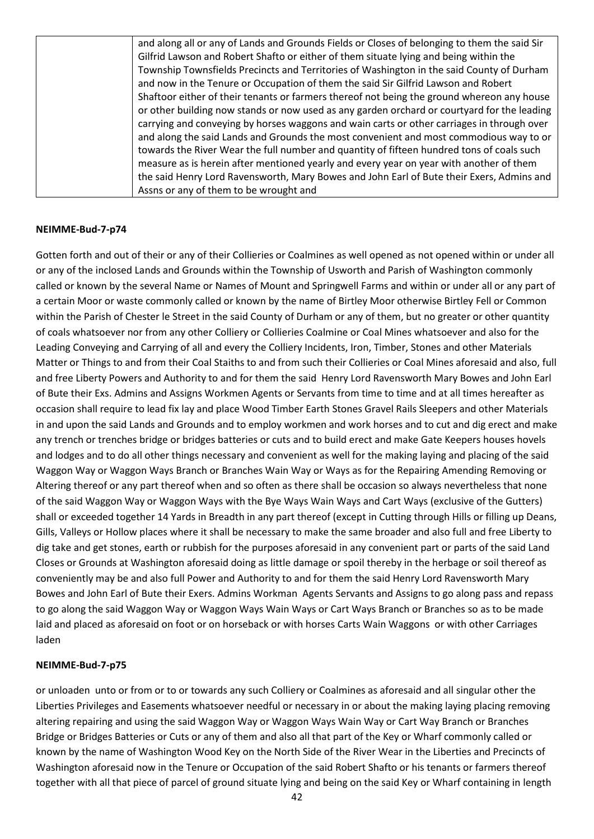| and along all or any of Lands and Grounds Fields or Closes of belonging to them the said Sir |
|----------------------------------------------------------------------------------------------|
| Gilfrid Lawson and Robert Shafto or either of them situate lying and being within the        |
| Township Townsfields Precincts and Territories of Washington in the said County of Durham    |
| and now in the Tenure or Occupation of them the said Sir Gilfrid Lawson and Robert           |
| Shaftoor either of their tenants or farmers thereof not being the ground whereon any house   |
| or other building now stands or now used as any garden orchard or courtyard for the leading  |
| carrying and conveying by horses waggons and wain carts or other carriages in through over   |
| and along the said Lands and Grounds the most convenient and most commodious way to or       |
| towards the River Wear the full number and quantity of fifteen hundred tons of coals such    |
| measure as is herein after mentioned yearly and every year on year with another of them      |
| the said Henry Lord Ravensworth, Mary Bowes and John Earl of Bute their Exers, Admins and    |
| Assns or any of them to be wrought and                                                       |

#### **NEIMME-Bud-7-p74**

Gotten forth and out of their or any of their Collieries or Coalmines as well opened as not opened within or under all or any of the inclosed Lands and Grounds within the Township of Usworth and Parish of Washington commonly called or known by the several Name or Names of Mount and Springwell Farms and within or under all or any part of a certain Moor or waste commonly called or known by the name of Birtley Moor otherwise Birtley Fell or Common within the Parish of Chester le Street in the said County of Durham or any of them, but no greater or other quantity of coals whatsoever nor from any other Colliery or Collieries Coalmine or Coal Mines whatsoever and also for the Leading Conveying and Carrying of all and every the Colliery Incidents, Iron, Timber, Stones and other Materials Matter or Things to and from their Coal Staiths to and from such their Collieries or Coal Mines aforesaid and also, full and free Liberty Powers and Authority to and for them the said Henry Lord Ravensworth Mary Bowes and John Earl of Bute their Exs. Admins and Assigns Workmen Agents or Servants from time to time and at all times hereafter as occasion shall require to lead fix lay and place Wood Timber Earth Stones Gravel Rails Sleepers and other Materials in and upon the said Lands and Grounds and to employ workmen and work horses and to cut and dig erect and make any trench or trenches bridge or bridges batteries or cuts and to build erect and make Gate Keepers houses hovels and lodges and to do all other things necessary and convenient as well for the making laying and placing of the said Waggon Way or Waggon Ways Branch or Branches Wain Way or Ways as for the Repairing Amending Removing or Altering thereof or any part thereof when and so often as there shall be occasion so always nevertheless that none of the said Waggon Way or Waggon Ways with the Bye Ways Wain Ways and Cart Ways (exclusive of the Gutters) shall or exceeded together 14 Yards in Breadth in any part thereof (except in Cutting through Hills or filling up Deans, Gills, Valleys or Hollow places where it shall be necessary to make the same broader and also full and free Liberty to dig take and get stones, earth or rubbish for the purposes aforesaid in any convenient part or parts of the said Land Closes or Grounds at Washington aforesaid doing as little damage or spoil thereby in the herbage or soil thereof as conveniently may be and also full Power and Authority to and for them the said Henry Lord Ravensworth Mary Bowes and John Earl of Bute their Exers. Admins Workman Agents Servants and Assigns to go along pass and repass to go along the said Waggon Way or Waggon Ways Wain Ways or Cart Ways Branch or Branches so as to be made laid and placed as aforesaid on foot or on horseback or with horses Carts Wain Waggons or with other Carriages laden

#### **NEIMME-Bud-7-p75**

or unloaden unto or from or to or towards any such Colliery or Coalmines as aforesaid and all singular other the Liberties Privileges and Easements whatsoever needful or necessary in or about the making laying placing removing altering repairing and using the said Waggon Way or Waggon Ways Wain Way or Cart Way Branch or Branches Bridge or Bridges Batteries or Cuts or any of them and also all that part of the Key or Wharf commonly called or known by the name of Washington Wood Key on the North Side of the River Wear in the Liberties and Precincts of Washington aforesaid now in the Tenure or Occupation of the said Robert Shafto or his tenants or farmers thereof together with all that piece of parcel of ground situate lying and being on the said Key or Wharf containing in length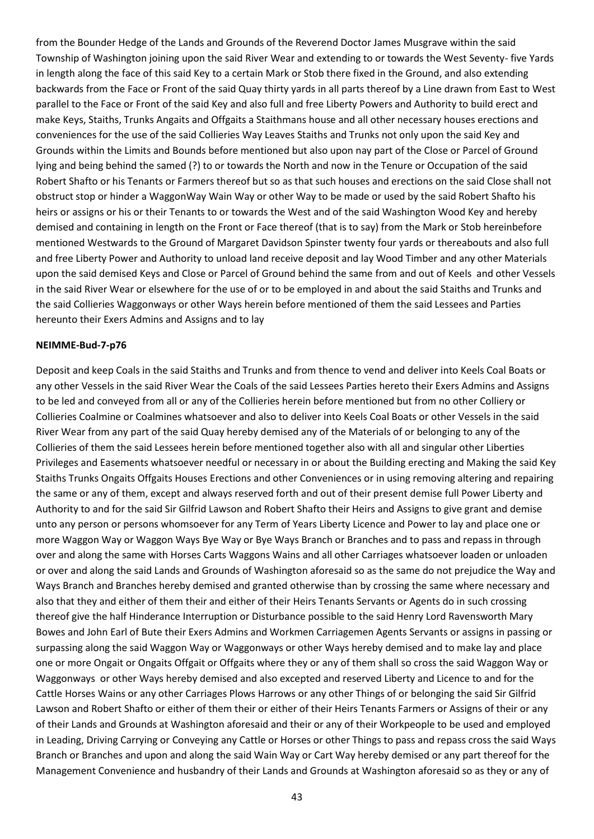from the Bounder Hedge of the Lands and Grounds of the Reverend Doctor James Musgrave within the said Township of Washington joining upon the said River Wear and extending to or towards the West Seventy- five Yards in length along the face of this said Key to a certain Mark or Stob there fixed in the Ground, and also extending backwards from the Face or Front of the said Quay thirty yards in all parts thereof by a Line drawn from East to West parallel to the Face or Front of the said Key and also full and free Liberty Powers and Authority to build erect and make Keys, Staiths, Trunks Angaits and Offgaits a Staithmans house and all other necessary houses erections and conveniences for the use of the said Collieries Way Leaves Staiths and Trunks not only upon the said Key and Grounds within the Limits and Bounds before mentioned but also upon nay part of the Close or Parcel of Ground lying and being behind the samed (?) to or towards the North and now in the Tenure or Occupation of the said Robert Shafto or his Tenants or Farmers thereof but so as that such houses and erections on the said Close shall not obstruct stop or hinder a WaggonWay Wain Way or other Way to be made or used by the said Robert Shafto his heirs or assigns or his or their Tenants to or towards the West and of the said Washington Wood Key and hereby demised and containing in length on the Front or Face thereof (that is to say) from the Mark or Stob hereinbefore mentioned Westwards to the Ground of Margaret Davidson Spinster twenty four yards or thereabouts and also full and free Liberty Power and Authority to unload land receive deposit and lay Wood Timber and any other Materials upon the said demised Keys and Close or Parcel of Ground behind the same from and out of Keels and other Vessels in the said River Wear or elsewhere for the use of or to be employed in and about the said Staiths and Trunks and the said Collieries Waggonways or other Ways herein before mentioned of them the said Lessees and Parties hereunto their Exers Admins and Assigns and to lay

#### **NEIMME-Bud-7-p76**

Deposit and keep Coals in the said Staiths and Trunks and from thence to vend and deliver into Keels Coal Boats or any other Vessels in the said River Wear the Coals of the said Lessees Parties hereto their Exers Admins and Assigns to be led and conveyed from all or any of the Collieries herein before mentioned but from no other Colliery or Collieries Coalmine or Coalmines whatsoever and also to deliver into Keels Coal Boats or other Vessels in the said River Wear from any part of the said Quay hereby demised any of the Materials of or belonging to any of the Collieries of them the said Lessees herein before mentioned together also with all and singular other Liberties Privileges and Easements whatsoever needful or necessary in or about the Building erecting and Making the said Key Staiths Trunks Ongaits Offgaits Houses Erections and other Conveniences or in using removing altering and repairing the same or any of them, except and always reserved forth and out of their present demise full Power Liberty and Authority to and for the said Sir Gilfrid Lawson and Robert Shafto their Heirs and Assigns to give grant and demise unto any person or persons whomsoever for any Term of Years Liberty Licence and Power to lay and place one or more Waggon Way or Waggon Ways Bye Way or Bye Ways Branch or Branches and to pass and repass in through over and along the same with Horses Carts Waggons Wains and all other Carriages whatsoever loaden or unloaden or over and along the said Lands and Grounds of Washington aforesaid so as the same do not prejudice the Way and Ways Branch and Branches hereby demised and granted otherwise than by crossing the same where necessary and also that they and either of them their and either of their Heirs Tenants Servants or Agents do in such crossing thereof give the half Hinderance Interruption or Disturbance possible to the said Henry Lord Ravensworth Mary Bowes and John Earl of Bute their Exers Admins and Workmen Carriagemen Agents Servants or assigns in passing or surpassing along the said Waggon Way or Waggonways or other Ways hereby demised and to make lay and place one or more Ongait or Ongaits Offgait or Offgaits where they or any of them shall so cross the said Waggon Way or Waggonways or other Ways hereby demised and also excepted and reserved Liberty and Licence to and for the Cattle Horses Wains or any other Carriages Plows Harrows or any other Things of or belonging the said Sir Gilfrid Lawson and Robert Shafto or either of them their or either of their Heirs Tenants Farmers or Assigns of their or any of their Lands and Grounds at Washington aforesaid and their or any of their Workpeople to be used and employed in Leading, Driving Carrying or Conveying any Cattle or Horses or other Things to pass and repass cross the said Ways Branch or Branches and upon and along the said Wain Way or Cart Way hereby demised or any part thereof for the Management Convenience and husbandry of their Lands and Grounds at Washington aforesaid so as they or any of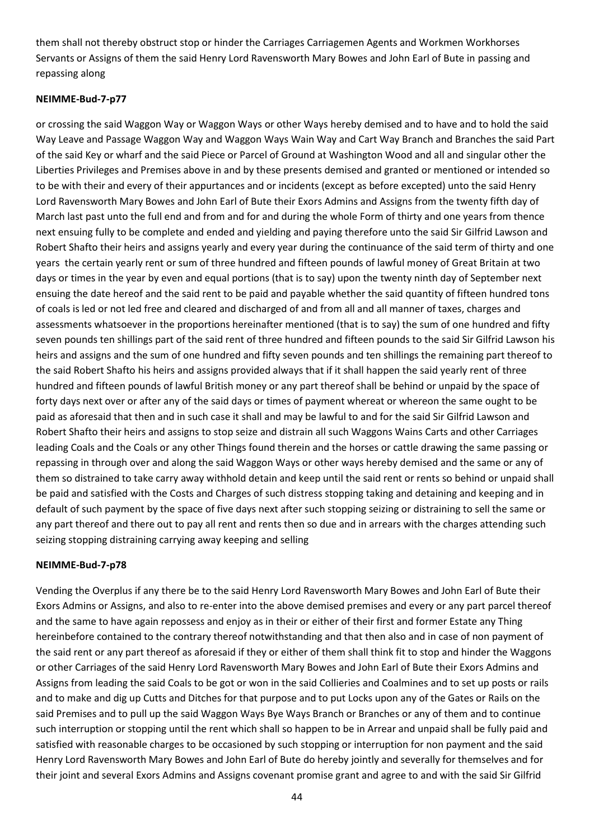them shall not thereby obstruct stop or hinder the Carriages Carriagemen Agents and Workmen Workhorses Servants or Assigns of them the said Henry Lord Ravensworth Mary Bowes and John Earl of Bute in passing and repassing along

## **NEIMME-Bud-7-p77**

or crossing the said Waggon Way or Waggon Ways or other Ways hereby demised and to have and to hold the said Way Leave and Passage Waggon Way and Waggon Ways Wain Way and Cart Way Branch and Branches the said Part of the said Key or wharf and the said Piece or Parcel of Ground at Washington Wood and all and singular other the Liberties Privileges and Premises above in and by these presents demised and granted or mentioned or intended so to be with their and every of their appurtances and or incidents (except as before excepted) unto the said Henry Lord Ravensworth Mary Bowes and John Earl of Bute their Exors Admins and Assigns from the twenty fifth day of March last past unto the full end and from and for and during the whole Form of thirty and one years from thence next ensuing fully to be complete and ended and yielding and paying therefore unto the said Sir Gilfrid Lawson and Robert Shafto their heirs and assigns yearly and every year during the continuance of the said term of thirty and one years the certain yearly rent or sum of three hundred and fifteen pounds of lawful money of Great Britain at two days or times in the year by even and equal portions (that is to say) upon the twenty ninth day of September next ensuing the date hereof and the said rent to be paid and payable whether the said quantity of fifteen hundred tons of coals is led or not led free and cleared and discharged of and from all and all manner of taxes, charges and assessments whatsoever in the proportions hereinafter mentioned (that is to say) the sum of one hundred and fifty seven pounds ten shillings part of the said rent of three hundred and fifteen pounds to the said Sir Gilfrid Lawson his heirs and assigns and the sum of one hundred and fifty seven pounds and ten shillings the remaining part thereof to the said Robert Shafto his heirs and assigns provided always that if it shall happen the said yearly rent of three hundred and fifteen pounds of lawful British money or any part thereof shall be behind or unpaid by the space of forty days next over or after any of the said days or times of payment whereat or whereon the same ought to be paid as aforesaid that then and in such case it shall and may be lawful to and for the said Sir Gilfrid Lawson and Robert Shafto their heirs and assigns to stop seize and distrain all such Waggons Wains Carts and other Carriages leading Coals and the Coals or any other Things found therein and the horses or cattle drawing the same passing or repassing in through over and along the said Waggon Ways or other ways hereby demised and the same or any of them so distrained to take carry away withhold detain and keep until the said rent or rents so behind or unpaid shall be paid and satisfied with the Costs and Charges of such distress stopping taking and detaining and keeping and in default of such payment by the space of five days next after such stopping seizing or distraining to sell the same or any part thereof and there out to pay all rent and rents then so due and in arrears with the charges attending such seizing stopping distraining carrying away keeping and selling

## **NEIMME-Bud-7-p78**

Vending the Overplus if any there be to the said Henry Lord Ravensworth Mary Bowes and John Earl of Bute their Exors Admins or Assigns, and also to re-enter into the above demised premises and every or any part parcel thereof and the same to have again repossess and enjoy as in their or either of their first and former Estate any Thing hereinbefore contained to the contrary thereof notwithstanding and that then also and in case of non payment of the said rent or any part thereof as aforesaid if they or either of them shall think fit to stop and hinder the Waggons or other Carriages of the said Henry Lord Ravensworth Mary Bowes and John Earl of Bute their Exors Admins and Assigns from leading the said Coals to be got or won in the said Collieries and Coalmines and to set up posts or rails and to make and dig up Cutts and Ditches for that purpose and to put Locks upon any of the Gates or Rails on the said Premises and to pull up the said Waggon Ways Bye Ways Branch or Branches or any of them and to continue such interruption or stopping until the rent which shall so happen to be in Arrear and unpaid shall be fully paid and satisfied with reasonable charges to be occasioned by such stopping or interruption for non payment and the said Henry Lord Ravensworth Mary Bowes and John Earl of Bute do hereby jointly and severally for themselves and for their joint and several Exors Admins and Assigns covenant promise grant and agree to and with the said Sir Gilfrid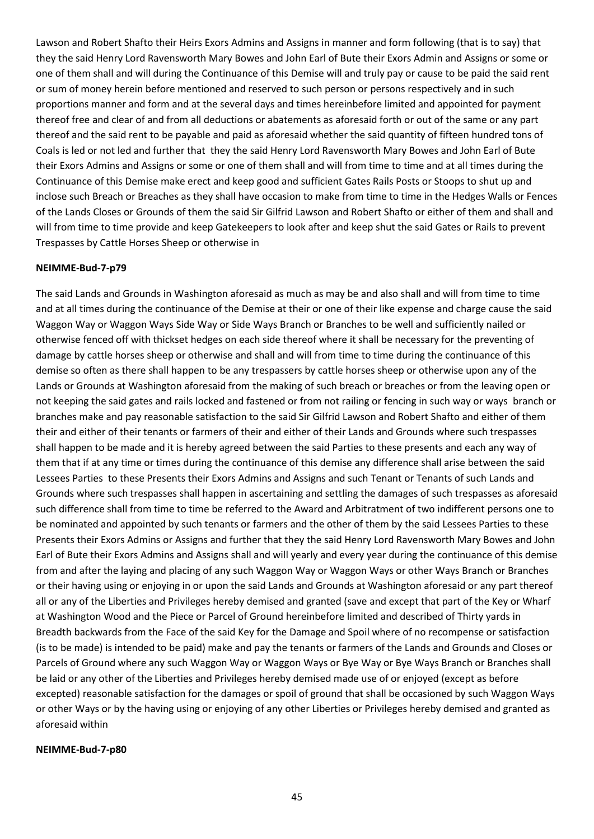Lawson and Robert Shafto their Heirs Exors Admins and Assigns in manner and form following (that is to say) that they the said Henry Lord Ravensworth Mary Bowes and John Earl of Bute their Exors Admin and Assigns or some or one of them shall and will during the Continuance of this Demise will and truly pay or cause to be paid the said rent or sum of money herein before mentioned and reserved to such person or persons respectively and in such proportions manner and form and at the several days and times hereinbefore limited and appointed for payment thereof free and clear of and from all deductions or abatements as aforesaid forth or out of the same or any part thereof and the said rent to be payable and paid as aforesaid whether the said quantity of fifteen hundred tons of Coals is led or not led and further that they the said Henry Lord Ravensworth Mary Bowes and John Earl of Bute their Exors Admins and Assigns or some or one of them shall and will from time to time and at all times during the Continuance of this Demise make erect and keep good and sufficient Gates Rails Posts or Stoops to shut up and inclose such Breach or Breaches as they shall have occasion to make from time to time in the Hedges Walls or Fences of the Lands Closes or Grounds of them the said Sir Gilfrid Lawson and Robert Shafto or either of them and shall and will from time to time provide and keep Gatekeepers to look after and keep shut the said Gates or Rails to prevent Trespasses by Cattle Horses Sheep or otherwise in

#### **NEIMME-Bud-7-p79**

The said Lands and Grounds in Washington aforesaid as much as may be and also shall and will from time to time and at all times during the continuance of the Demise at their or one of their like expense and charge cause the said Waggon Way or Waggon Ways Side Way or Side Ways Branch or Branches to be well and sufficiently nailed or otherwise fenced off with thickset hedges on each side thereof where it shall be necessary for the preventing of damage by cattle horses sheep or otherwise and shall and will from time to time during the continuance of this demise so often as there shall happen to be any trespassers by cattle horses sheep or otherwise upon any of the Lands or Grounds at Washington aforesaid from the making of such breach or breaches or from the leaving open or not keeping the said gates and rails locked and fastened or from not railing or fencing in such way or ways branch or branches make and pay reasonable satisfaction to the said Sir Gilfrid Lawson and Robert Shafto and either of them their and either of their tenants or farmers of their and either of their Lands and Grounds where such trespasses shall happen to be made and it is hereby agreed between the said Parties to these presents and each any way of them that if at any time or times during the continuance of this demise any difference shall arise between the said Lessees Parties to these Presents their Exors Admins and Assigns and such Tenant or Tenants of such Lands and Grounds where such trespasses shall happen in ascertaining and settling the damages of such trespasses as aforesaid such difference shall from time to time be referred to the Award and Arbitratment of two indifferent persons one to be nominated and appointed by such tenants or farmers and the other of them by the said Lessees Parties to these Presents their Exors Admins or Assigns and further that they the said Henry Lord Ravensworth Mary Bowes and John Earl of Bute their Exors Admins and Assigns shall and will yearly and every year during the continuance of this demise from and after the laying and placing of any such Waggon Way or Waggon Ways or other Ways Branch or Branches or their having using or enjoying in or upon the said Lands and Grounds at Washington aforesaid or any part thereof all or any of the Liberties and Privileges hereby demised and granted (save and except that part of the Key or Wharf at Washington Wood and the Piece or Parcel of Ground hereinbefore limited and described of Thirty yards in Breadth backwards from the Face of the said Key for the Damage and Spoil where of no recompense or satisfaction (is to be made) is intended to be paid) make and pay the tenants or farmers of the Lands and Grounds and Closes or Parcels of Ground where any such Waggon Way or Waggon Ways or Bye Way or Bye Ways Branch or Branches shall be laid or any other of the Liberties and Privileges hereby demised made use of or enjoyed (except as before excepted) reasonable satisfaction for the damages or spoil of ground that shall be occasioned by such Waggon Ways or other Ways or by the having using or enjoying of any other Liberties or Privileges hereby demised and granted as aforesaid within

#### **NEIMME-Bud-7-p80**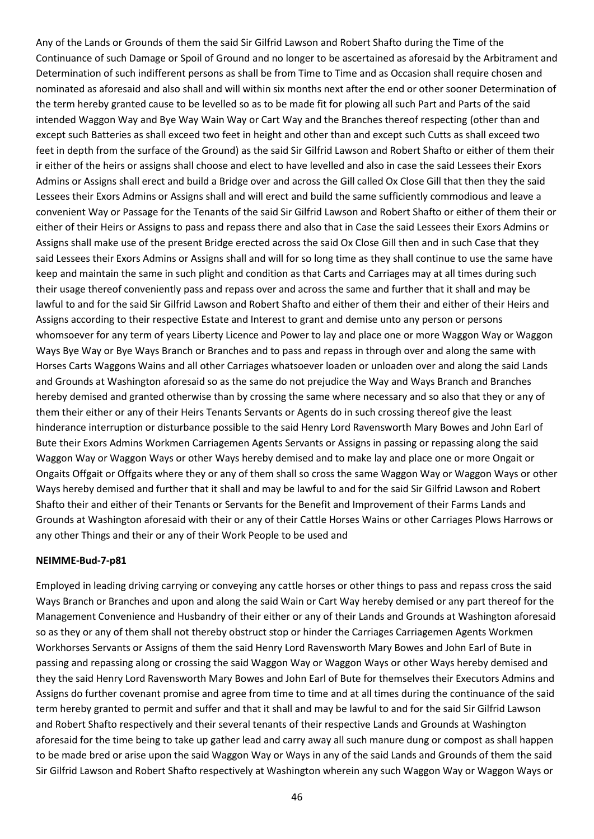Any of the Lands or Grounds of them the said Sir Gilfrid Lawson and Robert Shafto during the Time of the Continuance of such Damage or Spoil of Ground and no longer to be ascertained as aforesaid by the Arbitrament and Determination of such indifferent persons as shall be from Time to Time and as Occasion shall require chosen and nominated as aforesaid and also shall and will within six months next after the end or other sooner Determination of the term hereby granted cause to be levelled so as to be made fit for plowing all such Part and Parts of the said intended Waggon Way and Bye Way Wain Way or Cart Way and the Branches thereof respecting (other than and except such Batteries as shall exceed two feet in height and other than and except such Cutts as shall exceed two feet in depth from the surface of the Ground) as the said Sir Gilfrid Lawson and Robert Shafto or either of them their ir either of the heirs or assigns shall choose and elect to have levelled and also in case the said Lessees their Exors Admins or Assigns shall erect and build a Bridge over and across the Gill called Ox Close Gill that then they the said Lessees their Exors Admins or Assigns shall and will erect and build the same sufficiently commodious and leave a convenient Way or Passage for the Tenants of the said Sir Gilfrid Lawson and Robert Shafto or either of them their or either of their Heirs or Assigns to pass and repass there and also that in Case the said Lessees their Exors Admins or Assigns shall make use of the present Bridge erected across the said Ox Close Gill then and in such Case that they said Lessees their Exors Admins or Assigns shall and will for so long time as they shall continue to use the same have keep and maintain the same in such plight and condition as that Carts and Carriages may at all times during such their usage thereof conveniently pass and repass over and across the same and further that it shall and may be lawful to and for the said Sir Gilfrid Lawson and Robert Shafto and either of them their and either of their Heirs and Assigns according to their respective Estate and Interest to grant and demise unto any person or persons whomsoever for any term of years Liberty Licence and Power to lay and place one or more Waggon Way or Waggon Ways Bye Way or Bye Ways Branch or Branches and to pass and repass in through over and along the same with Horses Carts Waggons Wains and all other Carriages whatsoever loaden or unloaden over and along the said Lands and Grounds at Washington aforesaid so as the same do not prejudice the Way and Ways Branch and Branches hereby demised and granted otherwise than by crossing the same where necessary and so also that they or any of them their either or any of their Heirs Tenants Servants or Agents do in such crossing thereof give the least hinderance interruption or disturbance possible to the said Henry Lord Ravensworth Mary Bowes and John Earl of Bute their Exors Admins Workmen Carriagemen Agents Servants or Assigns in passing or repassing along the said Waggon Way or Waggon Ways or other Ways hereby demised and to make lay and place one or more Ongait or Ongaits Offgait or Offgaits where they or any of them shall so cross the same Waggon Way or Waggon Ways or other Ways hereby demised and further that it shall and may be lawful to and for the said Sir Gilfrid Lawson and Robert Shafto their and either of their Tenants or Servants for the Benefit and Improvement of their Farms Lands and Grounds at Washington aforesaid with their or any of their Cattle Horses Wains or other Carriages Plows Harrows or any other Things and their or any of their Work People to be used and

#### **NEIMME-Bud-7-p81**

Employed in leading driving carrying or conveying any cattle horses or other things to pass and repass cross the said Ways Branch or Branches and upon and along the said Wain or Cart Way hereby demised or any part thereof for the Management Convenience and Husbandry of their either or any of their Lands and Grounds at Washington aforesaid so as they or any of them shall not thereby obstruct stop or hinder the Carriages Carriagemen Agents Workmen Workhorses Servants or Assigns of them the said Henry Lord Ravensworth Mary Bowes and John Earl of Bute in passing and repassing along or crossing the said Waggon Way or Waggon Ways or other Ways hereby demised and they the said Henry Lord Ravensworth Mary Bowes and John Earl of Bute for themselves their Executors Admins and Assigns do further covenant promise and agree from time to time and at all times during the continuance of the said term hereby granted to permit and suffer and that it shall and may be lawful to and for the said Sir Gilfrid Lawson and Robert Shafto respectively and their several tenants of their respective Lands and Grounds at Washington aforesaid for the time being to take up gather lead and carry away all such manure dung or compost as shall happen to be made bred or arise upon the said Waggon Way or Ways in any of the said Lands and Grounds of them the said Sir Gilfrid Lawson and Robert Shafto respectively at Washington wherein any such Waggon Way or Waggon Ways or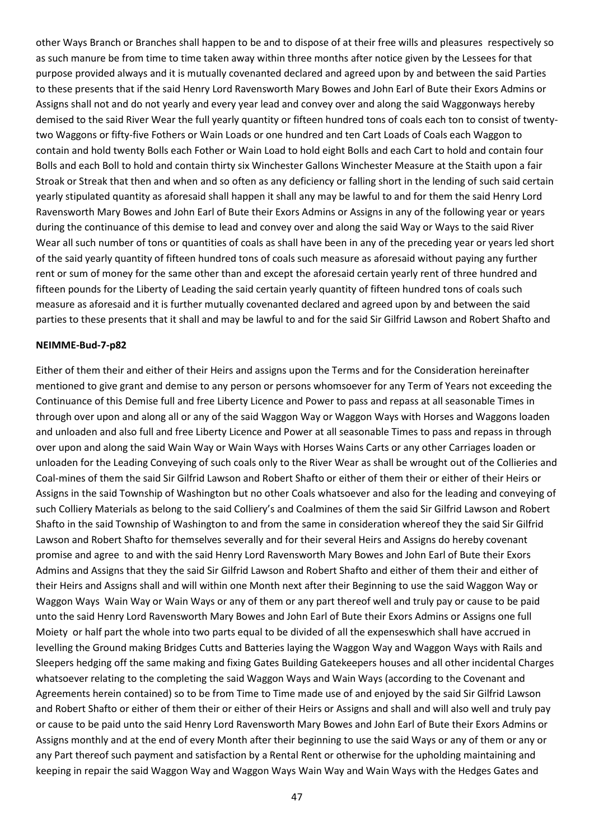other Ways Branch or Branches shall happen to be and to dispose of at their free wills and pleasures respectively so as such manure be from time to time taken away within three months after notice given by the Lessees for that purpose provided always and it is mutually covenanted declared and agreed upon by and between the said Parties to these presents that if the said Henry Lord Ravensworth Mary Bowes and John Earl of Bute their Exors Admins or Assigns shall not and do not yearly and every year lead and convey over and along the said Waggonways hereby demised to the said River Wear the full yearly quantity or fifteen hundred tons of coals each ton to consist of twentytwo Waggons or fifty-five Fothers or Wain Loads or one hundred and ten Cart Loads of Coals each Waggon to contain and hold twenty Bolls each Fother or Wain Load to hold eight Bolls and each Cart to hold and contain four Bolls and each Boll to hold and contain thirty six Winchester Gallons Winchester Measure at the Staith upon a fair Stroak or Streak that then and when and so often as any deficiency or falling short in the lending of such said certain yearly stipulated quantity as aforesaid shall happen it shall any may be lawful to and for them the said Henry Lord Ravensworth Mary Bowes and John Earl of Bute their Exors Admins or Assigns in any of the following year or years during the continuance of this demise to lead and convey over and along the said Way or Ways to the said River Wear all such number of tons or quantities of coals as shall have been in any of the preceding year or years led short of the said yearly quantity of fifteen hundred tons of coals such measure as aforesaid without paying any further rent or sum of money for the same other than and except the aforesaid certain yearly rent of three hundred and fifteen pounds for the Liberty of Leading the said certain yearly quantity of fifteen hundred tons of coals such measure as aforesaid and it is further mutually covenanted declared and agreed upon by and between the said parties to these presents that it shall and may be lawful to and for the said Sir Gilfrid Lawson and Robert Shafto and

#### **NEIMME-Bud-7-p82**

Either of them their and either of their Heirs and assigns upon the Terms and for the Consideration hereinafter mentioned to give grant and demise to any person or persons whomsoever for any Term of Years not exceeding the Continuance of this Demise full and free Liberty Licence and Power to pass and repass at all seasonable Times in through over upon and along all or any of the said Waggon Way or Waggon Ways with Horses and Waggons loaden and unloaden and also full and free Liberty Licence and Power at all seasonable Times to pass and repass in through over upon and along the said Wain Way or Wain Ways with Horses Wains Carts or any other Carriages loaden or unloaden for the Leading Conveying of such coals only to the River Wear as shall be wrought out of the Collieries and Coal-mines of them the said Sir Gilfrid Lawson and Robert Shafto or either of them their or either of their Heirs or Assigns in the said Township of Washington but no other Coals whatsoever and also for the leading and conveying of such Colliery Materials as belong to the said Colliery's and Coalmines of them the said Sir Gilfrid Lawson and Robert Shafto in the said Township of Washington to and from the same in consideration whereof they the said Sir Gilfrid Lawson and Robert Shafto for themselves severally and for their several Heirs and Assigns do hereby covenant promise and agree to and with the said Henry Lord Ravensworth Mary Bowes and John Earl of Bute their Exors Admins and Assigns that they the said Sir Gilfrid Lawson and Robert Shafto and either of them their and either of their Heirs and Assigns shall and will within one Month next after their Beginning to use the said Waggon Way or Waggon Ways Wain Way or Wain Ways or any of them or any part thereof well and truly pay or cause to be paid unto the said Henry Lord Ravensworth Mary Bowes and John Earl of Bute their Exors Admins or Assigns one full Moiety or half part the whole into two parts equal to be divided of all the expenseswhich shall have accrued in levelling the Ground making Bridges Cutts and Batteries laying the Waggon Way and Waggon Ways with Rails and Sleepers hedging off the same making and fixing Gates Building Gatekeepers houses and all other incidental Charges whatsoever relating to the completing the said Waggon Ways and Wain Ways (according to the Covenant and Agreements herein contained) so to be from Time to Time made use of and enjoyed by the said Sir Gilfrid Lawson and Robert Shafto or either of them their or either of their Heirs or Assigns and shall and will also well and truly pay or cause to be paid unto the said Henry Lord Ravensworth Mary Bowes and John Earl of Bute their Exors Admins or Assigns monthly and at the end of every Month after their beginning to use the said Ways or any of them or any or any Part thereof such payment and satisfaction by a Rental Rent or otherwise for the upholding maintaining and keeping in repair the said Waggon Way and Waggon Ways Wain Way and Wain Ways with the Hedges Gates and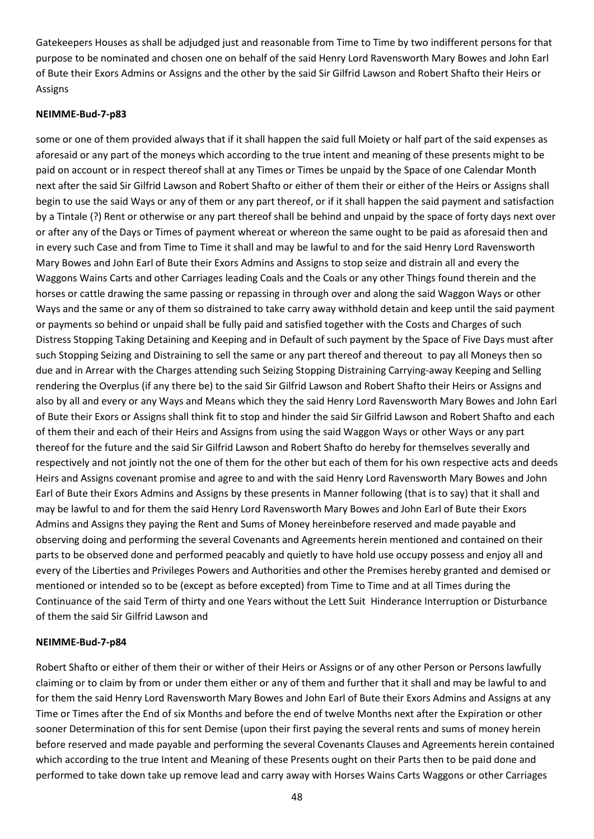Gatekeepers Houses as shall be adjudged just and reasonable from Time to Time by two indifferent persons for that purpose to be nominated and chosen one on behalf of the said Henry Lord Ravensworth Mary Bowes and John Earl of Bute their Exors Admins or Assigns and the other by the said Sir Gilfrid Lawson and Robert Shafto their Heirs or Assigns

#### **NEIMME-Bud-7-p83**

some or one of them provided always that if it shall happen the said full Moiety or half part of the said expenses as aforesaid or any part of the moneys which according to the true intent and meaning of these presents might to be paid on account or in respect thereof shall at any Times or Times be unpaid by the Space of one Calendar Month next after the said Sir Gilfrid Lawson and Robert Shafto or either of them their or either of the Heirs or Assigns shall begin to use the said Ways or any of them or any part thereof, or if it shall happen the said payment and satisfaction by a Tintale (?) Rent or otherwise or any part thereof shall be behind and unpaid by the space of forty days next over or after any of the Days or Times of payment whereat or whereon the same ought to be paid as aforesaid then and in every such Case and from Time to Time it shall and may be lawful to and for the said Henry Lord Ravensworth Mary Bowes and John Earl of Bute their Exors Admins and Assigns to stop seize and distrain all and every the Waggons Wains Carts and other Carriages leading Coals and the Coals or any other Things found therein and the horses or cattle drawing the same passing or repassing in through over and along the said Waggon Ways or other Ways and the same or any of them so distrained to take carry away withhold detain and keep until the said payment or payments so behind or unpaid shall be fully paid and satisfied together with the Costs and Charges of such Distress Stopping Taking Detaining and Keeping and in Default of such payment by the Space of Five Days must after such Stopping Seizing and Distraining to sell the same or any part thereof and thereout to pay all Moneys then so due and in Arrear with the Charges attending such Seizing Stopping Distraining Carrying-away Keeping and Selling rendering the Overplus (if any there be) to the said Sir Gilfrid Lawson and Robert Shafto their Heirs or Assigns and also by all and every or any Ways and Means which they the said Henry Lord Ravensworth Mary Bowes and John Earl of Bute their Exors or Assigns shall think fit to stop and hinder the said Sir Gilfrid Lawson and Robert Shafto and each of them their and each of their Heirs and Assigns from using the said Waggon Ways or other Ways or any part thereof for the future and the said Sir Gilfrid Lawson and Robert Shafto do hereby for themselves severally and respectively and not jointly not the one of them for the other but each of them for his own respective acts and deeds Heirs and Assigns covenant promise and agree to and with the said Henry Lord Ravensworth Mary Bowes and John Earl of Bute their Exors Admins and Assigns by these presents in Manner following (that is to say) that it shall and may be lawful to and for them the said Henry Lord Ravensworth Mary Bowes and John Earl of Bute their Exors Admins and Assigns they paying the Rent and Sums of Money hereinbefore reserved and made payable and observing doing and performing the several Covenants and Agreements herein mentioned and contained on their parts to be observed done and performed peacably and quietly to have hold use occupy possess and enjoy all and every of the Liberties and Privileges Powers and Authorities and other the Premises hereby granted and demised or mentioned or intended so to be (except as before excepted) from Time to Time and at all Times during the Continuance of the said Term of thirty and one Years without the Lett Suit Hinderance Interruption or Disturbance of them the said Sir Gilfrid Lawson and

#### **NEIMME-Bud-7-p84**

Robert Shafto or either of them their or wither of their Heirs or Assigns or of any other Person or Persons lawfully claiming or to claim by from or under them either or any of them and further that it shall and may be lawful to and for them the said Henry Lord Ravensworth Mary Bowes and John Earl of Bute their Exors Admins and Assigns at any Time or Times after the End of six Months and before the end of twelve Months next after the Expiration or other sooner Determination of this for sent Demise (upon their first paying the several rents and sums of money herein before reserved and made payable and performing the several Covenants Clauses and Agreements herein contained which according to the true Intent and Meaning of these Presents ought on their Parts then to be paid done and performed to take down take up remove lead and carry away with Horses Wains Carts Waggons or other Carriages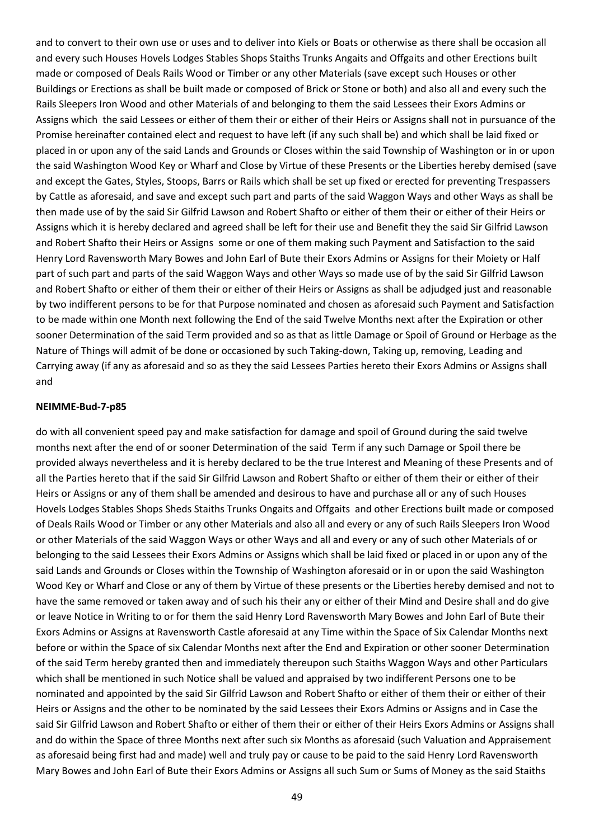and to convert to their own use or uses and to deliver into Kiels or Boats or otherwise as there shall be occasion all and every such Houses Hovels Lodges Stables Shops Staiths Trunks Angaits and Offgaits and other Erections built made or composed of Deals Rails Wood or Timber or any other Materials (save except such Houses or other Buildings or Erections as shall be built made or composed of Brick or Stone or both) and also all and every such the Rails Sleepers Iron Wood and other Materials of and belonging to them the said Lessees their Exors Admins or Assigns which the said Lessees or either of them their or either of their Heirs or Assigns shall not in pursuance of the Promise hereinafter contained elect and request to have left (if any such shall be) and which shall be laid fixed or placed in or upon any of the said Lands and Grounds or Closes within the said Township of Washington or in or upon the said Washington Wood Key or Wharf and Close by Virtue of these Presents or the Liberties hereby demised (save and except the Gates, Styles, Stoops, Barrs or Rails which shall be set up fixed or erected for preventing Trespassers by Cattle as aforesaid, and save and except such part and parts of the said Waggon Ways and other Ways as shall be then made use of by the said Sir Gilfrid Lawson and Robert Shafto or either of them their or either of their Heirs or Assigns which it is hereby declared and agreed shall be left for their use and Benefit they the said Sir Gilfrid Lawson and Robert Shafto their Heirs or Assigns some or one of them making such Payment and Satisfaction to the said Henry Lord Ravensworth Mary Bowes and John Earl of Bute their Exors Admins or Assigns for their Moiety or Half part of such part and parts of the said Waggon Ways and other Ways so made use of by the said Sir Gilfrid Lawson and Robert Shafto or either of them their or either of their Heirs or Assigns as shall be adjudged just and reasonable by two indifferent persons to be for that Purpose nominated and chosen as aforesaid such Payment and Satisfaction to be made within one Month next following the End of the said Twelve Months next after the Expiration or other sooner Determination of the said Term provided and so as that as little Damage or Spoil of Ground or Herbage as the Nature of Things will admit of be done or occasioned by such Taking-down, Taking up, removing, Leading and Carrying away (if any as aforesaid and so as they the said Lessees Parties hereto their Exors Admins or Assigns shall and

#### **NEIMME-Bud-7-p85**

do with all convenient speed pay and make satisfaction for damage and spoil of Ground during the said twelve months next after the end of or sooner Determination of the said Term if any such Damage or Spoil there be provided always nevertheless and it is hereby declared to be the true Interest and Meaning of these Presents and of all the Parties hereto that if the said Sir Gilfrid Lawson and Robert Shafto or either of them their or either of their Heirs or Assigns or any of them shall be amended and desirous to have and purchase all or any of such Houses Hovels Lodges Stables Shops Sheds Staiths Trunks Ongaits and Offgaits and other Erections built made or composed of Deals Rails Wood or Timber or any other Materials and also all and every or any of such Rails Sleepers Iron Wood or other Materials of the said Waggon Ways or other Ways and all and every or any of such other Materials of or belonging to the said Lessees their Exors Admins or Assigns which shall be laid fixed or placed in or upon any of the said Lands and Grounds or Closes within the Township of Washington aforesaid or in or upon the said Washington Wood Key or Wharf and Close or any of them by Virtue of these presents or the Liberties hereby demised and not to have the same removed or taken away and of such his their any or either of their Mind and Desire shall and do give or leave Notice in Writing to or for them the said Henry Lord Ravensworth Mary Bowes and John Earl of Bute their Exors Admins or Assigns at Ravensworth Castle aforesaid at any Time within the Space of Six Calendar Months next before or within the Space of six Calendar Months next after the End and Expiration or other sooner Determination of the said Term hereby granted then and immediately thereupon such Staiths Waggon Ways and other Particulars which shall be mentioned in such Notice shall be valued and appraised by two indifferent Persons one to be nominated and appointed by the said Sir Gilfrid Lawson and Robert Shafto or either of them their or either of their Heirs or Assigns and the other to be nominated by the said Lessees their Exors Admins or Assigns and in Case the said Sir Gilfrid Lawson and Robert Shafto or either of them their or either of their Heirs Exors Admins or Assigns shall and do within the Space of three Months next after such six Months as aforesaid (such Valuation and Appraisement as aforesaid being first had and made) well and truly pay or cause to be paid to the said Henry Lord Ravensworth Mary Bowes and John Earl of Bute their Exors Admins or Assigns all such Sum or Sums of Money as the said Staiths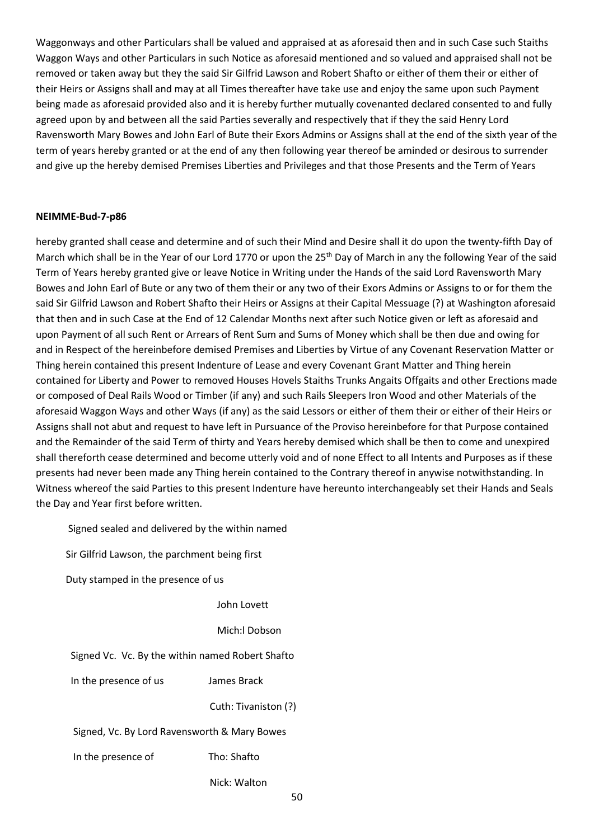Waggonways and other Particulars shall be valued and appraised at as aforesaid then and in such Case such Staiths Waggon Ways and other Particulars in such Notice as aforesaid mentioned and so valued and appraised shall not be removed or taken away but they the said Sir Gilfrid Lawson and Robert Shafto or either of them their or either of their Heirs or Assigns shall and may at all Times thereafter have take use and enjoy the same upon such Payment being made as aforesaid provided also and it is hereby further mutually covenanted declared consented to and fully agreed upon by and between all the said Parties severally and respectively that if they the said Henry Lord Ravensworth Mary Bowes and John Earl of Bute their Exors Admins or Assigns shall at the end of the sixth year of the term of years hereby granted or at the end of any then following year thereof be aminded or desirous to surrender and give up the hereby demised Premises Liberties and Privileges and that those Presents and the Term of Years

#### **NEIMME-Bud-7-p86**

hereby granted shall cease and determine and of such their Mind and Desire shall it do upon the twenty-fifth Day of March which shall be in the Year of our Lord 1770 or upon the 25<sup>th</sup> Day of March in any the following Year of the said Term of Years hereby granted give or leave Notice in Writing under the Hands of the said Lord Ravensworth Mary Bowes and John Earl of Bute or any two of them their or any two of their Exors Admins or Assigns to or for them the said Sir Gilfrid Lawson and Robert Shafto their Heirs or Assigns at their Capital Messuage (?) at Washington aforesaid that then and in such Case at the End of 12 Calendar Months next after such Notice given or left as aforesaid and upon Payment of all such Rent or Arrears of Rent Sum and Sums of Money which shall be then due and owing for and in Respect of the hereinbefore demised Premises and Liberties by Virtue of any Covenant Reservation Matter or Thing herein contained this present Indenture of Lease and every Covenant Grant Matter and Thing herein contained for Liberty and Power to removed Houses Hovels Staiths Trunks Angaits Offgaits and other Erections made or composed of Deal Rails Wood or Timber (if any) and such Rails Sleepers Iron Wood and other Materials of the aforesaid Waggon Ways and other Ways (if any) as the said Lessors or either of them their or either of their Heirs or Assigns shall not abut and request to have left in Pursuance of the Proviso hereinbefore for that Purpose contained and the Remainder of the said Term of thirty and Years hereby demised which shall be then to come and unexpired shall thereforth cease determined and become utterly void and of none Effect to all Intents and Purposes as if these presents had never been made any Thing herein contained to the Contrary thereof in anywise notwithstanding. In Witness whereof the said Parties to this present Indenture have hereunto interchangeably set their Hands and Seals the Day and Year first before written.

Signed sealed and delivered by the within named

Sir Gilfrid Lawson, the parchment being first

Duty stamped in the presence of us

John Lovett

Mich:l Dobson

Signed Vc. Vc. By the within named Robert Shafto

In the presence of us James Brack

Cuth: Tivaniston (?)

Signed, Vc. By Lord Ravensworth & Mary Bowes

In the presence of Tho: Shafto

Nick: Walton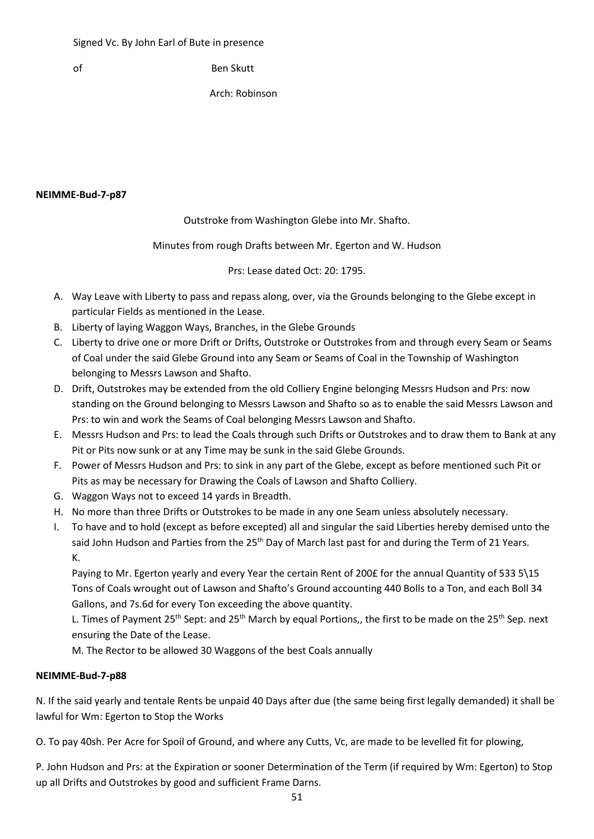of Ben Skutt

Arch: Robinson

#### **NEIMME-Bud-7-p87**

## Outstroke from Washington Glebe into Mr. Shafto.

#### Minutes from rough Drafts between Mr. Egerton and W. Hudson

Prs: Lease dated Oct: 20: 1795.

- A. Way Leave with Liberty to pass and repass along, over, via the Grounds belonging to the Glebe except in particular Fields as mentioned in the Lease.
- B. Liberty of laying Waggon Ways, Branches, in the Glebe Grounds
- C. Liberty to drive one or more Drift or Drifts, Outstroke or Outstrokes from and through every Seam or Seams of Coal under the said Glebe Ground into any Seam or Seams of Coal in the Township of Washington belonging to Messrs Lawson and Shafto.
- D. Drift, Outstrokes may be extended from the old Colliery Engine belonging Messrs Hudson and Prs: now standing on the Ground belonging to Messrs Lawson and Shafto so as to enable the said Messrs Lawson and Prs: to win and work the Seams of Coal belonging Messrs Lawson and Shafto.
- E. Messrs Hudson and Prs: to lead the Coals through such Drifts or Outstrokes and to draw them to Bank at any Pit or Pits now sunk or at any Time may be sunk in the said Glebe Grounds.
- F. Power of Messrs Hudson and Prs: to sink in any part of the Glebe, except as before mentioned such Pit or Pits as may be necessary for Drawing the Coals of Lawson and Shafto Colliery.
- G. Waggon Ways not to exceed 14 yards in Breadth.
- H. No more than three Drifts or Outstrokes to be made in any one Seam unless absolutely necessary.
- I. To have and to hold (except as before excepted) all and singular the said Liberties hereby demised unto the said John Hudson and Parties from the 25<sup>th</sup> Day of March last past for and during the Term of 21 Years. K.

Paying to Mr. Egerton yearly and every Year the certain Rent of 200£ for the annual Quantity of 533 5\15 Tons of Coals wrought out of Lawson and Shafto's Ground accounting 440 Bolls to a Ton, and each Boll 34 Gallons, and 7s.6d for every Ton exceeding the above quantity.

L. Times of Payment 25<sup>th</sup> Sept: and 25<sup>th</sup> March by equal Portions,, the first to be made on the 25<sup>th</sup> Sep. next ensuring the Date of the Lease.

M. The Rector to be allowed 30 Waggons of the best Coals annually

## **NEIMME-Bud-7-p88**

N. If the said yearly and tentale Rents be unpaid 40 Days after due (the same being first legally demanded) it shall be lawful for Wm: Egerton to Stop the Works

O. To pay 40sh. Per Acre for Spoil of Ground, and where any Cutts, Vc, are made to be levelled fit for plowing,

P. John Hudson and Prs: at the Expiration or sooner Determination of the Term (if required by Wm: Egerton) to Stop up all Drifts and Outstrokes by good and sufficient Frame Darns.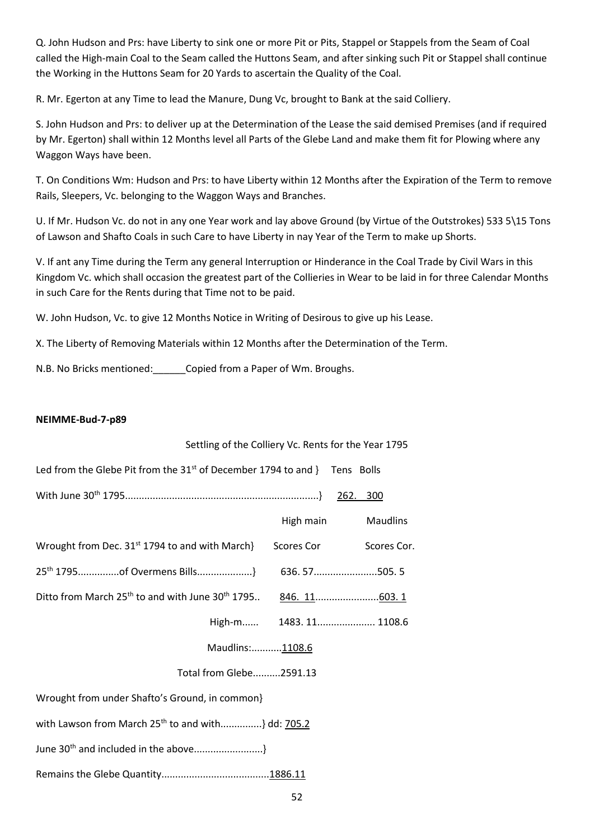Q. John Hudson and Prs: have Liberty to sink one or more Pit or Pits, Stappel or Stappels from the Seam of Coal called the High-main Coal to the Seam called the Huttons Seam, and after sinking such Pit or Stappel shall continue the Working in the Huttons Seam for 20 Yards to ascertain the Quality of the Coal.

R. Mr. Egerton at any Time to lead the Manure, Dung Vc, brought to Bank at the said Colliery.

S. John Hudson and Prs: to deliver up at the Determination of the Lease the said demised Premises (and if required by Mr. Egerton) shall within 12 Months level all Parts of the Glebe Land and make them fit for Plowing where any Waggon Ways have been.

T. On Conditions Wm: Hudson and Prs: to have Liberty within 12 Months after the Expiration of the Term to remove Rails, Sleepers, Vc. belonging to the Waggon Ways and Branches.

U. If Mr. Hudson Vc. do not in any one Year work and lay above Ground (by Virtue of the Outstrokes) 533 5\15 Tons of Lawson and Shafto Coals in such Care to have Liberty in nay Year of the Term to make up Shorts.

V. If ant any Time during the Term any general Interruption or Hinderance in the Coal Trade by Civil Wars in this Kingdom Vc. which shall occasion the greatest part of the Collieries in Wear to be laid in for three Calendar Months in such Care for the Rents during that Time not to be paid.

W. John Hudson, Vc. to give 12 Months Notice in Writing of Desirous to give up his Lease.

X. The Liberty of Removing Materials within 12 Months after the Determination of the Term.

N.B. No Bricks mentioned:\_\_\_\_\_\_Copied from a Paper of Wm. Broughs.

#### **NEIMME-Bud-7-p89**

# 52 Settling of the Colliery Vc. Rents for the Year 1795 Led from the Glebe Pit from the  $31^{st}$  of December 1794 to and } Tens Bolls With June 30th 1795......................................................................} 262. 300 High main Maudlins Wrought from Dec. 31<sup>st</sup> 1794 to and with March} Scores Cor Scores Cor. 25th 1795...............of Overmens Bills....................} 636. 57.......................505. 5 Ditto from March 25<sup>th</sup> to and with June 30<sup>th</sup> 1795.. 846. 11.........................603. 1 High-m...... 1483. 11..................... 1108.6 Maudlins:...........1108.6Total from Glebe..........2591.13 Wrought from under Shafto's Ground, in common} with Lawson from March  $25^{th}$  to and with...............} dd: 705.2 June 30th and included in the above.........................} Remains the Glebe Quantity.......................................1886.11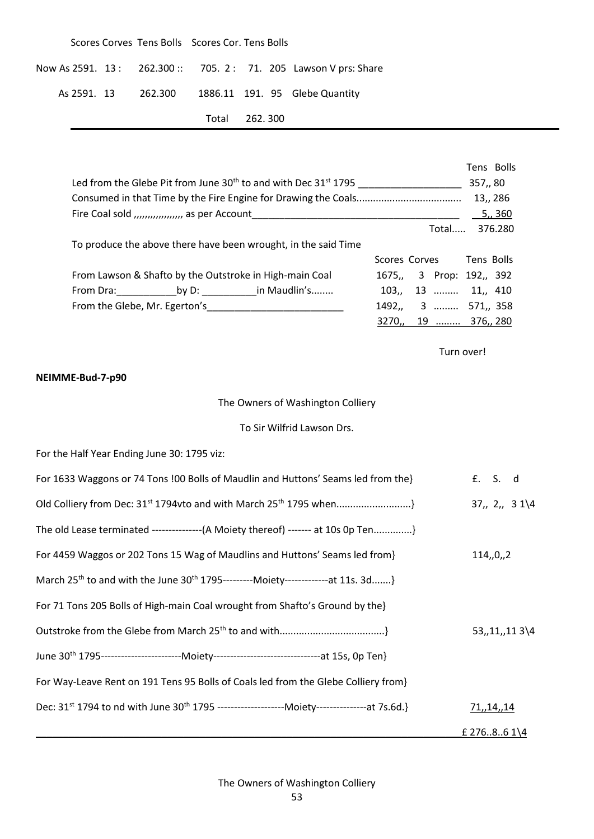|  | Scores Corves Tens Bolls Scores Cor. Tens Bolls |               |  |                                                                   |
|--|-------------------------------------------------|---------------|--|-------------------------------------------------------------------|
|  |                                                 |               |  | Now As 2591. 13 : 262.300 :: 705. 2 : 71. 205 Lawson V prs: Share |
|  |                                                 |               |  | As 2591. 13 262.300 1886.11 191. 95 Glebe Quantity                |
|  |                                                 | Total 262.300 |  |                                                                   |

|  |                                                                                  |                          |            | Tens Bolls |
|--|----------------------------------------------------------------------------------|--------------------------|------------|------------|
|  | Led from the Glebe Pit from June $30th$ to and with Dec $31st$ 1795              |                          | 357,, 80   |            |
|  |                                                                                  |                          |            | 13,, 286   |
|  | Fire Coal sold ,,,,,,,,,,,,,,,,,, as per Account _______________________________ |                          |            | 5, 360     |
|  |                                                                                  | Total                    |            | 376.280    |
|  | To produce the above there have been wrought, in the said Time                   |                          |            |            |
|  |                                                                                  | Scores Corves Tens Bolls |            |            |
|  | From Lawson & Shafto by the Outstroke in High-main Coal                          | 1675,, 3 Prop: 192,, 392 |            |            |
|  |                                                                                  | 103,, 13  11,, 410       |            |            |
|  | From the Glebe, Mr. Egerton's                                                    | 1492,, 3  571,, 358      |            |            |
|  |                                                                                  | 3270,, 19  376,, 280     |            |            |
|  |                                                                                  |                          |            |            |
|  |                                                                                  |                          | Turn over! |            |

## **NEIMME-Bud-7-p90**

# The Owners of Washington Colliery

#### To Sir Wilfrid Lawson Drs.

For the Half Year Ending June 30: 1795 viz:

| For 1633 Waggons or 74 Tons !00 Bolls of Maudlin and Huttons' Seams led from the}                                      | £. S. d                 |
|------------------------------------------------------------------------------------------------------------------------|-------------------------|
|                                                                                                                        | 37, 2, 31/4             |
| The old Lease terminated ----------------(A Moiety thereof) ------- at 10s 0p Ten}                                     |                         |
| For 4459 Waggos or 202 Tons 15 Wag of Maudlins and Huttons' Seams led from}                                            | 114, 0, 2               |
| March 25 <sup>th</sup> to and with the June 30 <sup>th</sup> 1795---------Moiety--------------at 11s. 3d}              |                         |
| For 71 Tons 205 Bolls of High-main Coal wrought from Shafto's Ground by the                                            |                         |
|                                                                                                                        | 53, 11, 113             |
| June 30 <sup>th</sup> 1795--------------------------Moiety-----------------------------------at 15s, 0p Ten}           |                         |
| For Way-Leave Rent on 191 Tens 95 Bolls of Coals led from the Glebe Colliery from}                                     |                         |
| Dec: 31 <sup>st</sup> 1794 to nd with June 30 <sup>th</sup> 1795 ----------------------Moiety---------------at 7s.6d.} | 71,,14,,14              |
|                                                                                                                        | £ 27686 $1\overline{4}$ |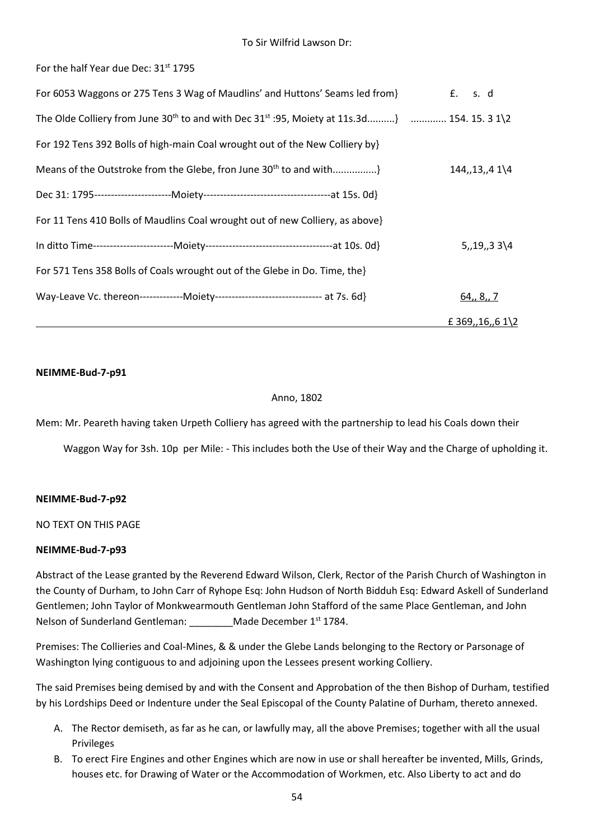For the half Year due Dec: 31<sup>st</sup> 1795

| For 6053 Waggons or 275 Tens 3 Wag of Maudlins' and Huttons' Seams led from}                                         | £. s. d          |
|----------------------------------------------------------------------------------------------------------------------|------------------|
| The Olde Colliery from June 30 <sup>th</sup> to and with Dec 31 <sup>st</sup> :95, Moiety at 11s.3d}  154. 15. 3 1\2 |                  |
| For 192 Tens 392 Bolls of high-main Coal wrought out of the New Colliery by}                                         |                  |
| Means of the Outstroke from the Glebe, fron June 30 <sup>th</sup> to and with}                                       | $144, 13, 41\$   |
|                                                                                                                      |                  |
| For 11 Tens 410 Bolls of Maudlins Coal wrought out of new Colliery, as above}                                        |                  |
|                                                                                                                      | $5, 19, 33\$     |
| For 571 Tens 358 Bolls of Coals wrought out of the Glebe in Do. Time, the                                            |                  |
| Way-Leave Vc. thereon--------------Moiety--------------------------------- at 7s. 6d}                                | 64, 8, 7         |
|                                                                                                                      | £ 369,,16,,6 1\2 |

#### **NEIMME-Bud-7-p91**

#### Anno, 1802

Mem: Mr. Peareth having taken Urpeth Colliery has agreed with the partnership to lead his Coals down their

Waggon Way for 3sh. 10p per Mile: - This includes both the Use of their Way and the Charge of upholding it.

#### **NEIMME-Bud-7-p92**

NO TEXT ON THIS PAGE

#### **NEIMME-Bud-7-p93**

Abstract of the Lease granted by the Reverend Edward Wilson, Clerk, Rector of the Parish Church of Washington in the County of Durham, to John Carr of Ryhope Esq: John Hudson of North Bidduh Esq: Edward Askell of Sunderland Gentlemen; John Taylor of Monkwearmouth Gentleman John Stafford of the same Place Gentleman, and John Nelson of Sunderland Gentleman: Made December 1<sup>st</sup> 1784.

Premises: The Collieries and Coal-Mines, & & under the Glebe Lands belonging to the Rectory or Parsonage of Washington lying contiguous to and adjoining upon the Lessees present working Colliery.

The said Premises being demised by and with the Consent and Approbation of the then Bishop of Durham, testified by his Lordships Deed or Indenture under the Seal Episcopal of the County Palatine of Durham, thereto annexed.

- A. The Rector demiseth, as far as he can, or lawfully may, all the above Premises; together with all the usual Privileges
- B. To erect Fire Engines and other Engines which are now in use or shall hereafter be invented, Mills, Grinds, houses etc. for Drawing of Water or the Accommodation of Workmen, etc. Also Liberty to act and do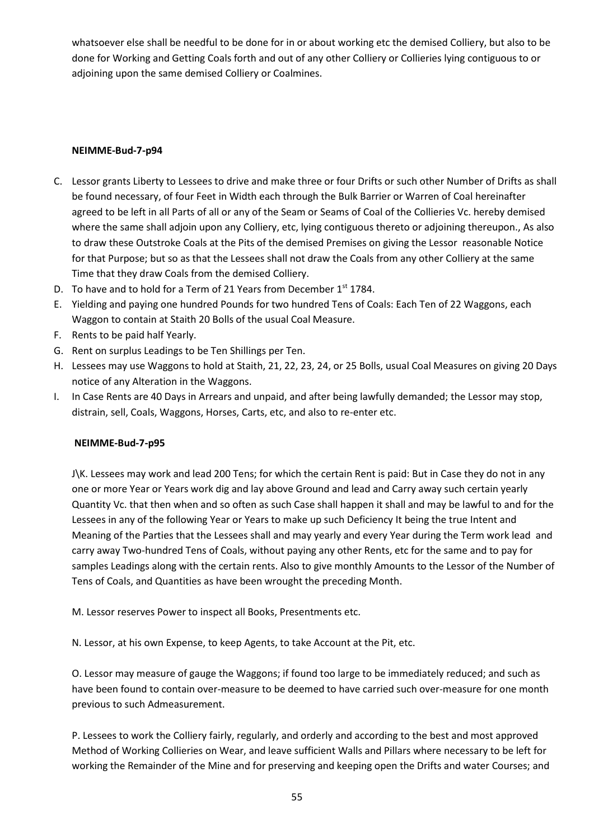whatsoever else shall be needful to be done for in or about working etc the demised Colliery, but also to be done for Working and Getting Coals forth and out of any other Colliery or Collieries lying contiguous to or adjoining upon the same demised Colliery or Coalmines.

## **NEIMME-Bud-7-p94**

- C. Lessor grants Liberty to Lessees to drive and make three or four Drifts or such other Number of Drifts as shall be found necessary, of four Feet in Width each through the Bulk Barrier or Warren of Coal hereinafter agreed to be left in all Parts of all or any of the Seam or Seams of Coal of the Collieries Vc. hereby demised where the same shall adjoin upon any Colliery, etc, lying contiguous thereto or adjoining thereupon., As also to draw these Outstroke Coals at the Pits of the demised Premises on giving the Lessor reasonable Notice for that Purpose; but so as that the Lessees shall not draw the Coals from any other Colliery at the same Time that they draw Coals from the demised Colliery.
- D. To have and to hold for a Term of 21 Years from December 1st 1784.
- E. Yielding and paying one hundred Pounds for two hundred Tens of Coals: Each Ten of 22 Waggons, each Waggon to contain at Staith 20 Bolls of the usual Coal Measure.
- F. Rents to be paid half Yearly.
- G. Rent on surplus Leadings to be Ten Shillings per Ten.
- H. Lessees may use Waggons to hold at Staith, 21, 22, 23, 24, or 25 Bolls, usual Coal Measures on giving 20 Days notice of any Alteration in the Waggons.
- I. In Case Rents are 40 Days in Arrears and unpaid, and after being lawfully demanded; the Lessor may stop, distrain, sell, Coals, Waggons, Horses, Carts, etc, and also to re-enter etc.

#### **NEIMME-Bud-7-p95**

J\K. Lessees may work and lead 200 Tens; for which the certain Rent is paid: But in Case they do not in any one or more Year or Years work dig and lay above Ground and lead and Carry away such certain yearly Quantity Vc. that then when and so often as such Case shall happen it shall and may be lawful to and for the Lessees in any of the following Year or Years to make up such Deficiency It being the true Intent and Meaning of the Parties that the Lessees shall and may yearly and every Year during the Term work lead and carry away Two-hundred Tens of Coals, without paying any other Rents, etc for the same and to pay for samples Leadings along with the certain rents. Also to give monthly Amounts to the Lessor of the Number of Tens of Coals, and Quantities as have been wrought the preceding Month.

M. Lessor reserves Power to inspect all Books, Presentments etc.

N. Lessor, at his own Expense, to keep Agents, to take Account at the Pit, etc.

O. Lessor may measure of gauge the Waggons; if found too large to be immediately reduced; and such as have been found to contain over-measure to be deemed to have carried such over-measure for one month previous to such Admeasurement.

P. Lessees to work the Colliery fairly, regularly, and orderly and according to the best and most approved Method of Working Collieries on Wear, and leave sufficient Walls and Pillars where necessary to be left for working the Remainder of the Mine and for preserving and keeping open the Drifts and water Courses; and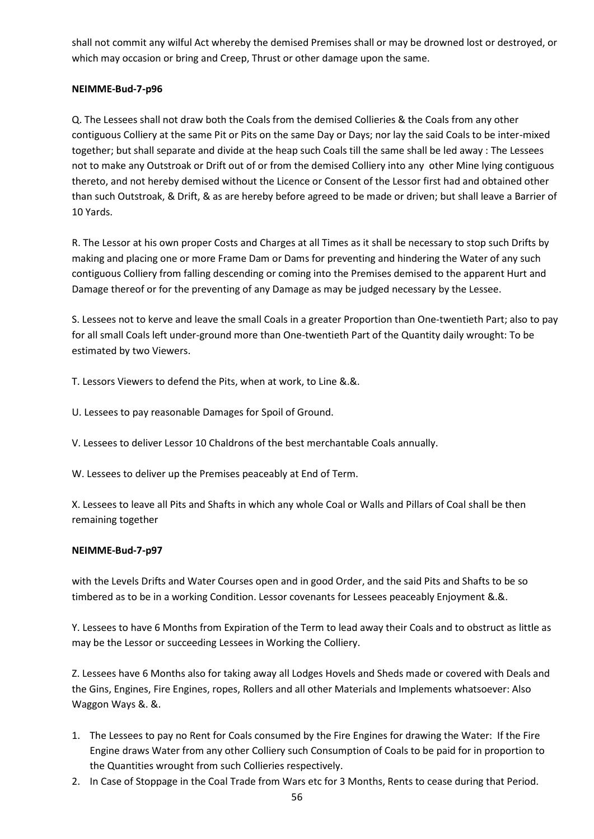shall not commit any wilful Act whereby the demised Premises shall or may be drowned lost or destroyed, or which may occasion or bring and Creep, Thrust or other damage upon the same.

## **NEIMME-Bud-7-p96**

Q. The Lessees shall not draw both the Coals from the demised Collieries & the Coals from any other contiguous Colliery at the same Pit or Pits on the same Day or Days; nor lay the said Coals to be inter-mixed together; but shall separate and divide at the heap such Coals till the same shall be led away : The Lessees not to make any Outstroak or Drift out of or from the demised Colliery into any other Mine lying contiguous thereto, and not hereby demised without the Licence or Consent of the Lessor first had and obtained other than such Outstroak, & Drift, & as are hereby before agreed to be made or driven; but shall leave a Barrier of 10 Yards.

R. The Lessor at his own proper Costs and Charges at all Times as it shall be necessary to stop such Drifts by making and placing one or more Frame Dam or Dams for preventing and hindering the Water of any such contiguous Colliery from falling descending or coming into the Premises demised to the apparent Hurt and Damage thereof or for the preventing of any Damage as may be judged necessary by the Lessee.

S. Lessees not to kerve and leave the small Coals in a greater Proportion than One-twentieth Part; also to pay for all small Coals left under-ground more than One-twentieth Part of the Quantity daily wrought: To be estimated by two Viewers.

T. Lessors Viewers to defend the Pits, when at work, to Line &.&.

U. Lessees to pay reasonable Damages for Spoil of Ground.

V. Lessees to deliver Lessor 10 Chaldrons of the best merchantable Coals annually.

W. Lessees to deliver up the Premises peaceably at End of Term.

X. Lessees to leave all Pits and Shafts in which any whole Coal or Walls and Pillars of Coal shall be then remaining together

## **NEIMME-Bud-7-p97**

with the Levels Drifts and Water Courses open and in good Order, and the said Pits and Shafts to be so timbered as to be in a working Condition. Lessor covenants for Lessees peaceably Enjoyment &.&.

Y. Lessees to have 6 Months from Expiration of the Term to lead away their Coals and to obstruct as little as may be the Lessor or succeeding Lessees in Working the Colliery.

Z. Lessees have 6 Months also for taking away all Lodges Hovels and Sheds made or covered with Deals and the Gins, Engines, Fire Engines, ropes, Rollers and all other Materials and Implements whatsoever: Also Waggon Ways &. &.

- 1. The Lessees to pay no Rent for Coals consumed by the Fire Engines for drawing the Water: If the Fire Engine draws Water from any other Colliery such Consumption of Coals to be paid for in proportion to the Quantities wrought from such Collieries respectively.
- 2. In Case of Stoppage in the Coal Trade from Wars etc for 3 Months, Rents to cease during that Period.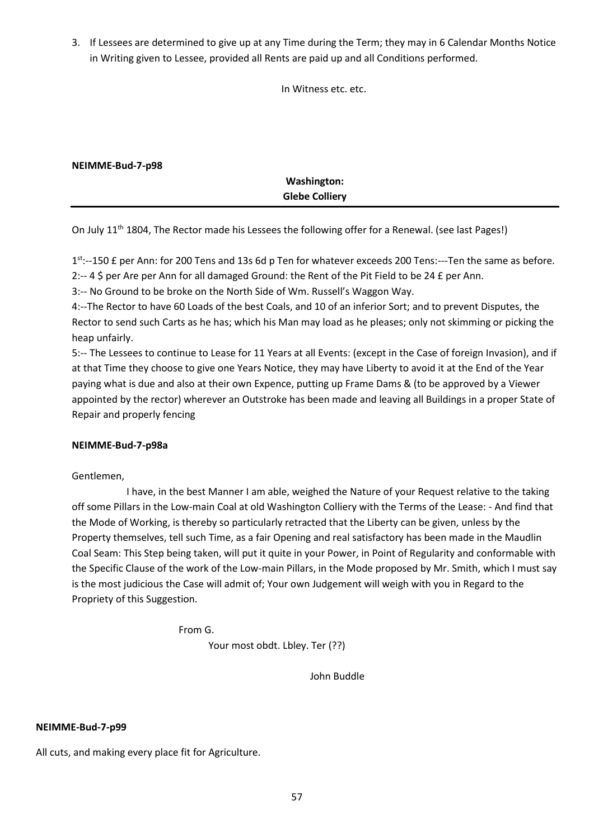3. If Lessees are determined to give up at any Time during the Term; they may in 6 Calendar Months Notice in Writing given to Lessee, provided all Rents are paid up and all Conditions performed.

In Witness etc. etc.

| NEIMME-Bud-7-p98 |                       |  |
|------------------|-----------------------|--|
|                  | Washington:           |  |
|                  | <b>Glebe Colliery</b> |  |

On July 11<sup>th</sup> 1804, The Rector made his Lessees the following offer for a Renewal. (see last Pages!)

1<sup>st</sup>:--150 £ per Ann: for 200 Tens and 13s 6d p Ten for whatever exceeds 200 Tens:---Ten the same as before. 2:-- 4 \$ per Are per Ann for all damaged Ground: the Rent of the Pit Field to be 24 £ per Ann.

3:-- No Ground to be broke on the North Side of Wm. Russell's Waggon Way.

4:--The Rector to have 60 Loads of the best Coals, and 10 of an inferior Sort; and to prevent Disputes, the Rector to send such Carts as he has; which his Man may load as he pleases; only not skimming or picking the heap unfairly.

5:-- The Lessees to continue to Lease for 11 Years at all Events: (except in the Case of foreign Invasion), and if at that Time they choose to give one Years Notice, they may have Liberty to avoid it at the End of the Year paying what is due and also at their own Expence, putting up Frame Dams & (to be approved by a Viewer appointed by the rector) wherever an Outstroke has been made and leaving all Buildings in a proper State of Repair and properly fencing

## **NEIMME-Bud-7-p98a**

Gentlemen,

 I have, in the best Manner I am able, weighed the Nature of your Request relative to the taking off some Pillars in the Low-main Coal at old Washington Colliery with the Terms of the Lease: - And find that the Mode of Working, is thereby so particularly retracted that the Liberty can be given, unless by the Property themselves, tell such Time, as a fair Opening and real satisfactory has been made in the Maudlin Coal Seam: This Step being taken, will put it quite in your Power, in Point of Regularity and conformable with the Specific Clause of the work of the Low-main Pillars, in the Mode proposed by Mr. Smith, which I must say is the most judicious the Case will admit of; Your own Judgement will weigh with you in Regard to the Propriety of this Suggestion.

From G.

Your most obdt. Lbley. Ter (??)

John Buddle

#### **NEIMME-Bud-7-p99**

All cuts, and making every place fit for Agriculture.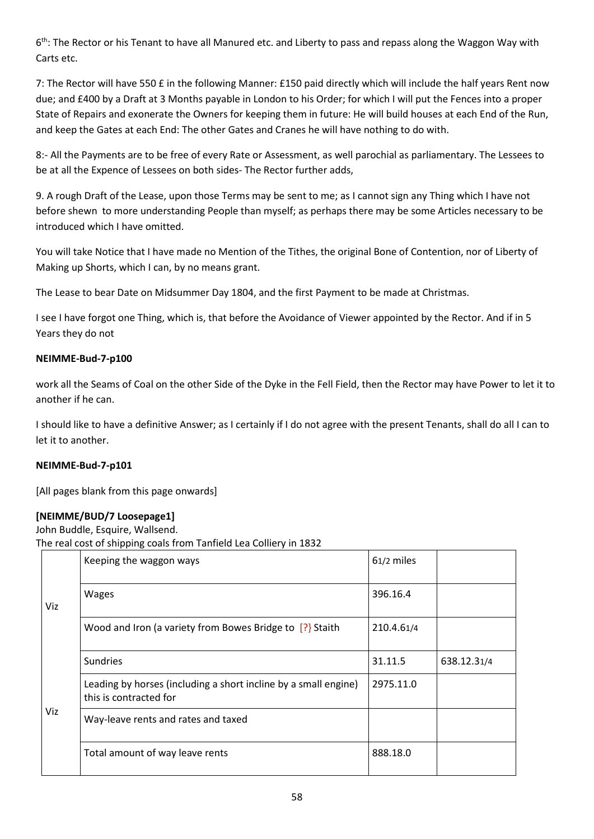6<sup>th</sup>: The Rector or his Tenant to have all Manured etc. and Liberty to pass and repass along the Waggon Way with Carts etc.

7: The Rector will have 550 £ in the following Manner: £150 paid directly which will include the half years Rent now due; and £400 by a Draft at 3 Months payable in London to his Order; for which I will put the Fences into a proper State of Repairs and exonerate the Owners for keeping them in future: He will build houses at each End of the Run, and keep the Gates at each End: The other Gates and Cranes he will have nothing to do with.

8:- All the Payments are to be free of every Rate or Assessment, as well parochial as parliamentary. The Lessees to be at all the Expence of Lessees on both sides- The Rector further adds,

9. A rough Draft of the Lease, upon those Terms may be sent to me; as I cannot sign any Thing which I have not before shewn to more understanding People than myself; as perhaps there may be some Articles necessary to be introduced which I have omitted.

You will take Notice that I have made no Mention of the Tithes, the original Bone of Contention, nor of Liberty of Making up Shorts, which I can, by no means grant.

The Lease to bear Date on Midsummer Day 1804, and the first Payment to be made at Christmas.

I see I have forgot one Thing, which is, that before the Avoidance of Viewer appointed by the Rector. And if in 5 Years they do not

## **NEIMME-Bud-7-p100**

work all the Seams of Coal on the other Side of the Dyke in the Fell Field, then the Rector may have Power to let it to another if he can.

I should like to have a definitive Answer; as I certainly if I do not agree with the present Tenants, shall do all I can to let it to another.

## **NEIMME-Bud-7-p101**

[All pages blank from this page onwards]

## **[NEIMME/BUD/7 Loosepage1]**

John Buddle, Esquire, Wallsend.

The real cost of shipping coals from Tanfield Lea Colliery in 1832

|     | Keeping the waggon ways                                                                   | 61/2 miles |             |
|-----|-------------------------------------------------------------------------------------------|------------|-------------|
| Viz | <b>Wages</b>                                                                              | 396.16.4   |             |
|     | Wood and Iron (a variety from Bowes Bridge to $[?]$ Staith                                | 210.4.61/4 |             |
|     | <b>Sundries</b>                                                                           | 31.11.5    | 638.12.31/4 |
|     | Leading by horses (including a short incline by a small engine)<br>this is contracted for | 2975.11.0  |             |
| Viz | Way-leave rents and rates and taxed                                                       |            |             |
|     | Total amount of way leave rents                                                           | 888.18.0   |             |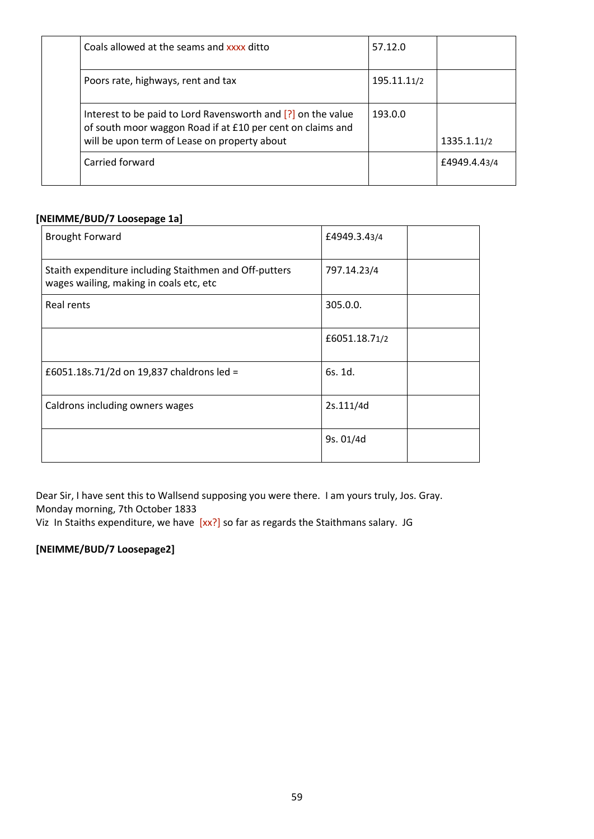| Coals allowed at the seams and xxxx ditto                                                                                                                                  | 57.12.0     |              |
|----------------------------------------------------------------------------------------------------------------------------------------------------------------------------|-------------|--------------|
| Poors rate, highways, rent and tax                                                                                                                                         | 195.11.11/2 |              |
| Interest to be paid to Lord Ravensworth and [?] on the value<br>of south moor waggon Road if at £10 per cent on claims and<br>will be upon term of Lease on property about | 193.0.0     | 1335.1.11/2  |
| Carried forward                                                                                                                                                            |             | £4949.4.43/4 |

## **[NEIMME/BUD/7 Loosepage 1a]**

| <b>Brought Forward</b>                                                                            | £4949.3.43/4  |  |
|---------------------------------------------------------------------------------------------------|---------------|--|
| Staith expenditure including Staithmen and Off-putters<br>wages wailing, making in coals etc, etc | 797.14.23/4   |  |
| Real rents                                                                                        | 305.0.0.      |  |
|                                                                                                   | £6051.18.71/2 |  |
| £6051.18s.71/2d on 19,837 chaldrons led =                                                         | 6s. 1d.       |  |
| Caldrons including owners wages                                                                   | 2s.111/4d     |  |
|                                                                                                   | 9s. 01/4d     |  |

Dear Sir, I have sent this to Wallsend supposing you were there. I am yours truly, Jos. Gray. Monday morning, 7th October 1833

Viz In Staiths expenditure, we have [xx?] so far as regards the Staithmans salary. JG

# **[NEIMME/BUD/7 Loosepage2]**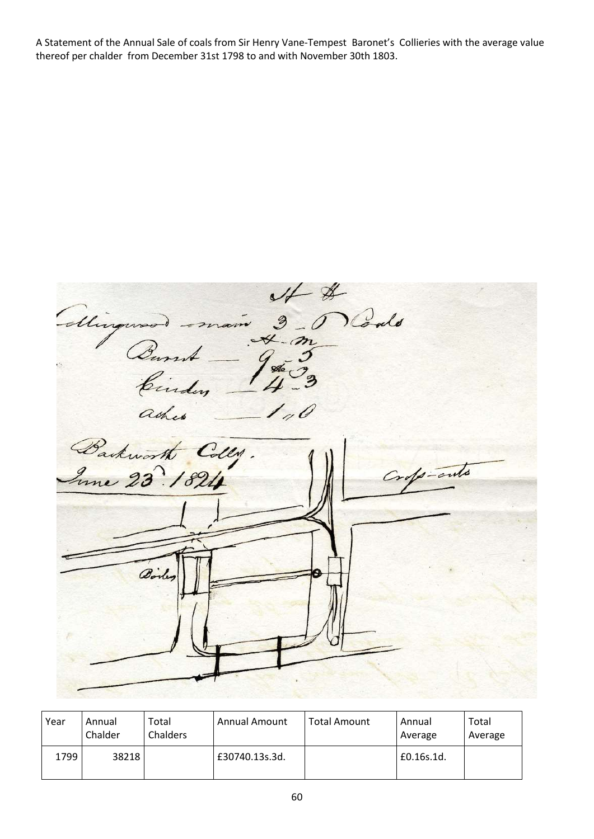A Statement of the Annual Sale of coals from Sir Henry Vane-Tempest Baronet's Collieries with the average value thereof per chalder from December 31st 1798 to and with November 30th 1803.

St & Minguso Carried ashes  $-110$ Backworth Colly. sofo-cuts

| Year | Annual<br>Chalder | Total<br><b>Chalders</b> | <b>Annual Amount</b> | <b>Total Amount</b> | Annual<br>Average | Total<br>Average |
|------|-------------------|--------------------------|----------------------|---------------------|-------------------|------------------|
| 1799 | 38218             |                          | £30740.13s.3d.       |                     | £0.16s.1d.        |                  |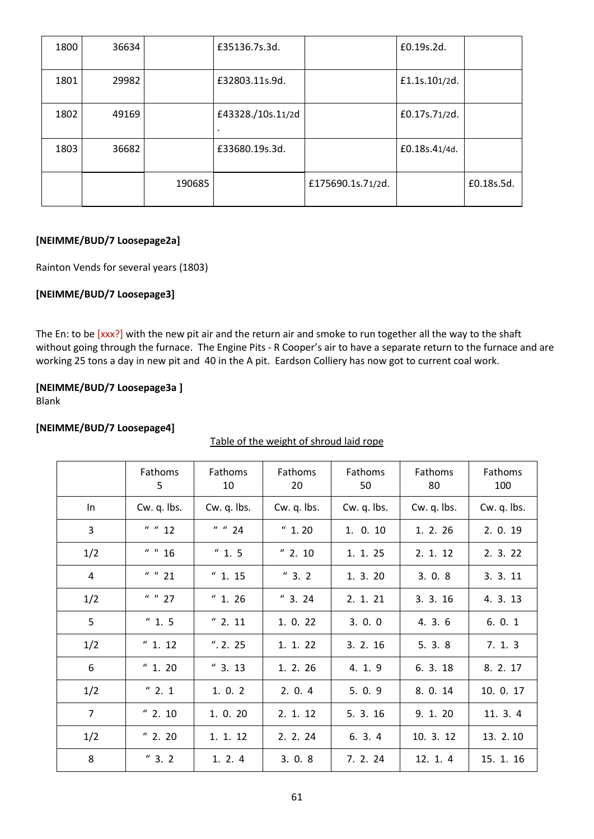| 1800 | 36634 |        | £35136.7s.3d.                  |                   | £0.19s.2d.    |            |
|------|-------|--------|--------------------------------|-------------------|---------------|------------|
| 1801 | 29982 |        | £32803.11s.9d.                 |                   | £1.1s.101/2d. |            |
| 1802 | 49169 |        | £43328./10s.11/2d<br>$\bullet$ |                   | £0.17s.71/2d. |            |
| 1803 | 36682 |        | £33680.19s.3d.                 |                   | £0.18s.41/4d. |            |
|      |       | 190685 |                                | £175690.1s.71/2d. |               | £0.18s.5d. |

#### **[NEIMME/BUD/7 Loosepage2a]**

Rainton Vends for several years (1803)

## **[NEIMME/BUD/7 Loosepage3]**

The En: to be [xxx?] with the new pit air and the return air and smoke to run together all the way to the shaft without going through the furnace. The Engine Pits - R Cooper's air to have a separate return to the furnace and are working 25 tons a day in new pit and 40 in the A pit. Eardson Colliery has now got to current coal work.

## **[NEIMME/BUD/7 Loosepage3a ]**

Blank

#### **[NEIMME/BUD/7 Loosepage4]**

## Table of the weight of shroud laid rope

|                | Fathoms<br>5 | Fathoms<br>10 | Fathoms<br>20 | Fathoms<br>50 | Fathoms<br>80 | Fathoms<br>100 |
|----------------|--------------|---------------|---------------|---------------|---------------|----------------|
| In             | Cw. q. lbs.  | Cw. q. lbs.   | Cw. q. lbs.   | Cw. q. lbs.   | Cw. q. lbs.   | Cw. q. lbs.    |
| 3              | " " 12"      | " " 24"       | "1.20         | 1. 0. 10      | 1. 2. 26      | 2. 0. 19       |
| 1/2            | " " 16       | "1.5          | " 2.10        | 1. 1. 25      | 2. 1. 12      | 2. 3. 22       |
| 4              | $44$ $11$ 21 | "1.15         | $''$ 3. 2     | 1.3.20        | 3.0.8         | 3.3.11         |
| 1/2            | $44$ $11$ 27 | $''$ 1.26     | "3.24"        | 2. 1. 21      | 3.3.16        | 4. 3. 13       |
| 5              | "1.5         | " 2.11        | 1. 0. 22      | 3.0.0         | 4. 3. 6       | 6.0.1          |
| 1/2            | " 1.12       | ", 2.25       | 1. 1. 22      | 3.2.16        | 5.3.8         | 7.1.3          |
| 6              | " 1.20       | "3.13         | 1. 2. 26      | 4. 1. 9       | 6. 3. 18      | 8. 2. 17       |
| 1/2            | " 2.1        | 1.0.2         | 2.0.4         | 5.0.9         | 8. 0. 14      | 10. 0. 17      |
| $\overline{7}$ | " 2.10       | 1. 0. 20      | 2. 1. 12      | 5. 3. 16      | 9. 1. 20      | 11. 3. 4       |
| 1/2            | " 2.20       | 1. 1. 12      | 2. 2. 24      | 6.3.4         | 10. 3. 12     | 13. 2. 10      |
| 8              | "3.2"        | 1.2.4         | 3.0.8         | 7. 2. 24      | 12. 1. 4      | 15. 1. 16      |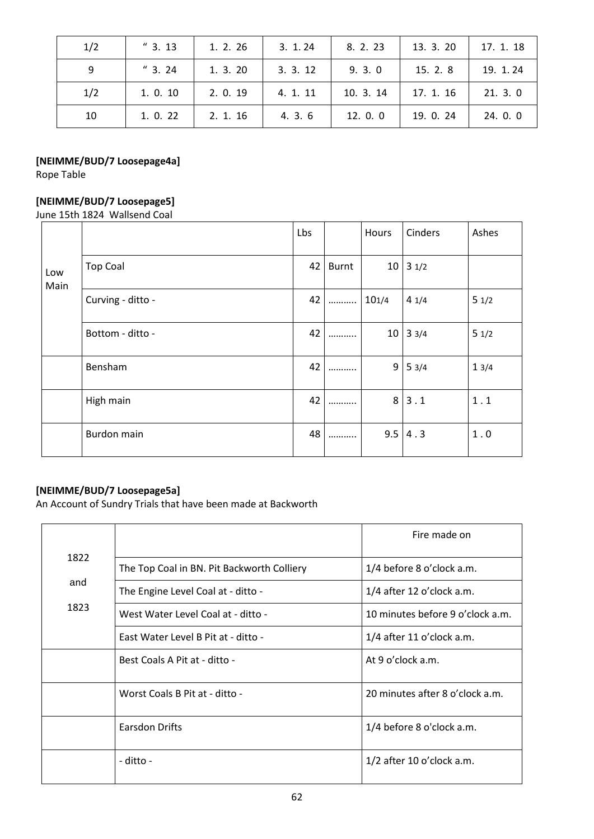| 1/2 | "3.13"   | 1. 2. 26 | 3.1.24   | 8. 2. 23  | 13. 3. 20 | 17. 1. 18 |
|-----|----------|----------|----------|-----------|-----------|-----------|
| 9   | "3.24"   | 1.3.20   | 3.3.12   | 9.3.0     | 15. 2. 8  | 19. 1. 24 |
| 1/2 | 1. 0. 10 | 2.0.19   | 4. 1. 11 | 10. 3. 14 | 17. 1. 16 | 21.3.0    |
| 10  | 1.0.22   | 2. 1. 16 | 4.3.6    | 12. 0. 0  | 19. 0. 24 | 24. 0. 0  |

# **[NEIMME/BUD/7 Loosepage4a]**

Rope Table

# **[NEIMME/BUD/7 Loosepage5]**

June 15th 1824 Wallsend Coal

|             |                   | Lbs |       | <b>Hours</b> | Cinders         | Ashes |
|-------------|-------------------|-----|-------|--------------|-----------------|-------|
| Low<br>Main | <b>Top Coal</b>   | 42  | Burnt | 10           | 31/2            |       |
|             | Curving - ditto - | 42  |       | 101/4        | 41/4            | 51/2  |
|             | Bottom - ditto -  | 42  |       | 10           | $3 \frac{3}{4}$ | 51/2  |
|             | Bensham           | 42  |       | 9            | 53/4            | 13/4  |
|             | High main         | 42  |       | 8            | 3.1             | $1.1$ |
|             | Burdon main       | 48  |       | 9.5          | 4.3             | 1.0   |

# **[NEIMME/BUD/7 Loosepage5a]**

An Account of Sundry Trials that have been made at Backworth

|      |                                            | Fire made on                     |
|------|--------------------------------------------|----------------------------------|
| 1822 | The Top Coal in BN. Pit Backworth Colliery | 1/4 before 8 o'clock a.m.        |
| and  | The Engine Level Coal at - ditto -         | $1/4$ after 12 o'clock a.m.      |
| 1823 | West Water Level Coal at - ditto -         | 10 minutes before 9 o'clock a.m. |
|      | East Water Level B Pit at - ditto -        | $1/4$ after 11 o'clock a.m.      |
|      | Best Coals A Pit at - ditto -              | At 9 o'clock a.m.                |
|      | Worst Coals B Pit at - ditto -             | 20 minutes after 8 o'clock a.m.  |
|      | Earsdon Drifts                             | 1/4 before 8 o'clock a.m.        |
|      | - ditto -                                  | $1/2$ after 10 o'clock a.m.      |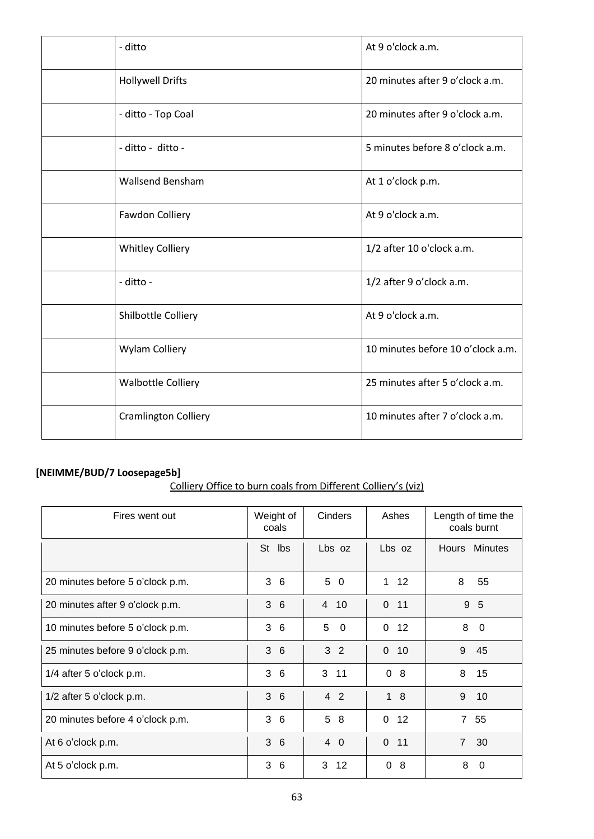| - ditto                     | At 9 o'clock a.m.                 |
|-----------------------------|-----------------------------------|
| <b>Hollywell Drifts</b>     | 20 minutes after 9 o'clock a.m.   |
| - ditto - Top Coal          | 20 minutes after 9 o'clock a.m.   |
| - ditto - ditto -           | 5 minutes before 8 o'clock a.m.   |
| <b>Wallsend Bensham</b>     | At 1 o'clock p.m.                 |
| Fawdon Colliery             | At 9 o'clock a.m.                 |
| <b>Whitley Colliery</b>     | 1/2 after 10 o'clock a.m.         |
| - ditto -                   | 1/2 after 9 o'clock a.m.          |
| Shilbottle Colliery         | At 9 o'clock a.m.                 |
| <b>Wylam Colliery</b>       | 10 minutes before 10 o'clock a.m. |
| <b>Walbottle Colliery</b>   | 25 minutes after 5 o'clock a.m.   |
| <b>Cramlington Colliery</b> | 10 minutes after 7 o'clock a.m.   |

# **[NEIMME/BUD/7 Loosepage5b]**

| Colliery Office to burn coals from Different Colliery's (viz) |
|---------------------------------------------------------------|
|---------------------------------------------------------------|

| Fires went out                   | Weight of<br>coals | Cinders        | Ashes              | Length of time the<br>coals burnt |
|----------------------------------|--------------------|----------------|--------------------|-----------------------------------|
|                                  | St lbs             | Lbs oz         | Lbs oz             | Hours Minutes                     |
| 20 minutes before 5 o'clock p.m. | 36                 | 5 0            | $1 \quad 12$       | 8<br>55                           |
| 20 minutes after 9 o'clock p.m.  | 36                 | 4 10           | $\mathbf 0$<br>11  | 9 5                               |
| 10 minutes before 5 o'clock p.m. | 3<br>6             | 5<br>$\Omega$  | 12<br>$\mathbf{0}$ | 8<br>0                            |
| 25 minutes before 9 o'clock p.m. | 36                 | 3 <sub>2</sub> | $\mathbf 0$<br>10  | 9<br>45                           |
| 1/4 after 5 o'clock p.m.         | 3<br>6             | 3 11           | $\Omega$<br>-8     | 8<br>15                           |
| 1/2 after 5 o'clock p.m.         | 36                 | 4 2            | 18                 | 9<br>10                           |
| 20 minutes before 4 o'clock p.m. | 3<br>6             | 5<br>8         | $\mathbf 0$<br>12  | $\overline{7}$<br>55              |
| At 6 o'clock p.m.                | 36                 | 4 0            | $\Omega$<br>11     | $\overline{7}$<br>30              |
| At 5 o'clock p.m.                | 3<br>6             | 3<br>12        | 0<br>8             | 8<br>0                            |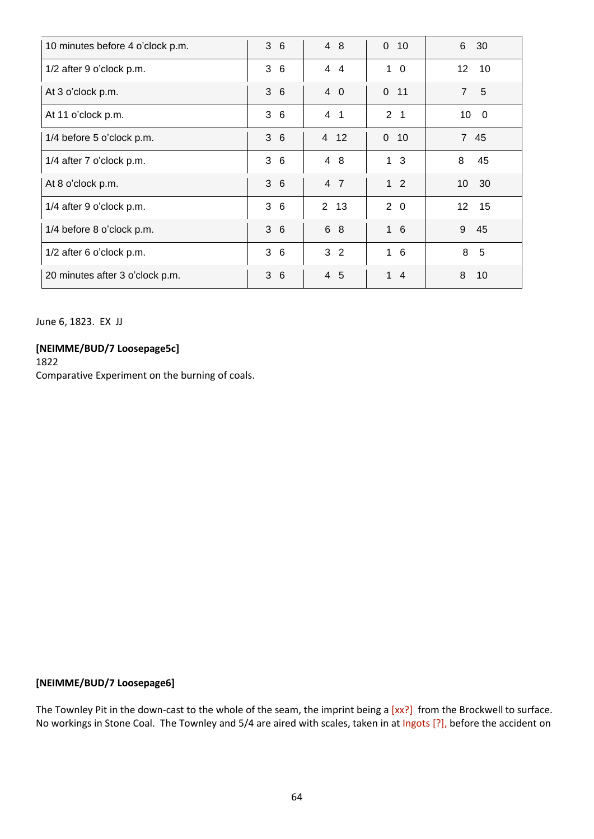| 10 minutes before 4 o'clock p.m. | 36       | 4 8            | $0$ 10             | 6<br>30                       |
|----------------------------------|----------|----------------|--------------------|-------------------------------|
| 1/2 after 9 o'clock p.m.         | 36       | 44             | $1\quad 0$         | 12 10                         |
| At 3 o'clock p.m.                | 36       | 4 0            | $0$ 11             | $\overline{7}$<br>5           |
| At 11 o'clock p.m.               | 36       | 4<br>-1        | 2 <sub>1</sub>     | 10<br>$\overline{\mathbf{0}}$ |
| 1/4 before 5 o'clock p.m.        | 3<br>-6  | 4 12           | $\Omega$<br>10     | 7 45                          |
| 1/4 after 7 o'clock p.m.         | 36       | 4 8            | $\mathbf{1}$<br>-3 | 8<br>45                       |
| At 8 o'clock p.m.                | 3<br>- 6 | 4 7            | 1 <sub>2</sub>     | 10 <sup>°</sup><br>30         |
| 1/4 after 9 o'clock p.m.         | 3<br>6   | 2 13           | $2\quad 0$         | 12 <sup>2</sup><br>15         |
| 1/4 before 8 o'clock p.m.        | 3<br>- 6 | 6 8            | $1\quad6$          | 9<br>45                       |
| 1/2 after 6 o'clock p.m.         | 36       | 3 <sub>2</sub> | $1\quad6$          | 8<br>5                        |
| 20 minutes after 3 o'clock p.m.  | 3<br>-6  | 4 5            | $\mathbf{1}$<br>-4 | 8<br>10                       |

June 6, 1823. EX JJ

#### **[NEIMME/BUD/7 Loosepage5c]**

1822 Comparative Experiment on the burning of coals.

## **[NEIMME/BUD/7 Loosepage6]**

The Townley Pit in the down-cast to the whole of the seam, the imprint being a [xx?] from the Brockwell to surface. No workings in Stone Coal. The Townley and 5/4 are aired with scales, taken in at Ingots [?], before the accident on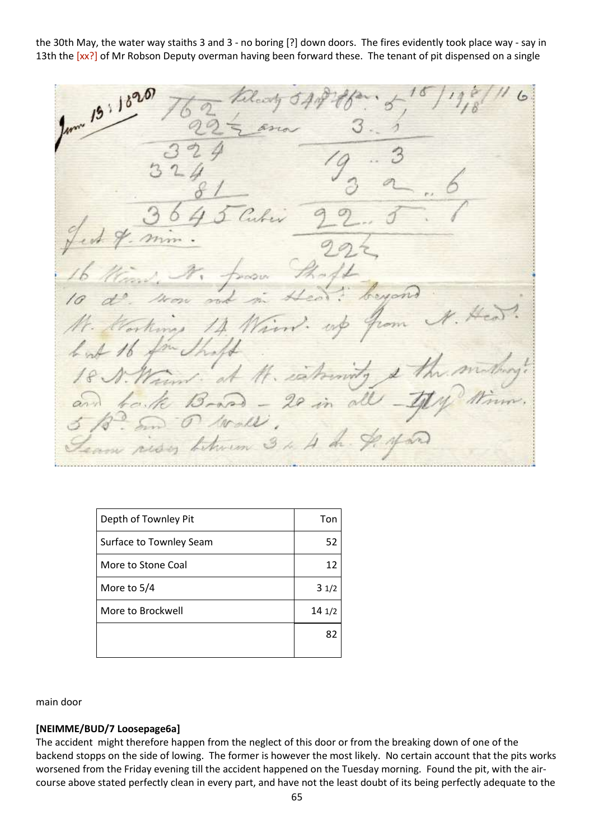the 30th May, the water way staiths 3 and 3 - no boring [?] down doors. The fires evidently took place way - say in 13th the [xx?] of Mr Robson Deputy overman having been forward these. The tenant of pit dispensed on a single

 $19.18$ in of M. es  $-29in$ risy between 3 4 A dr.

| Depth of Townley Pit    | Ton   |
|-------------------------|-------|
| Surface to Townley Seam | 52    |
| More to Stone Coal      | 12    |
| More to 5/4             | 31/2  |
| More to Brockwell       | 141/2 |
|                         | 82    |
|                         |       |

main door

#### **[NEIMME/BUD/7 Loosepage6a]**

The accident might therefore happen from the neglect of this door or from the breaking down of one of the backend stopps on the side of lowing. The former is however the most likely. No certain account that the pits works worsened from the Friday evening till the accident happened on the Tuesday morning. Found the pit, with the aircourse above stated perfectly clean in every part, and have not the least doubt of its being perfectly adequate to the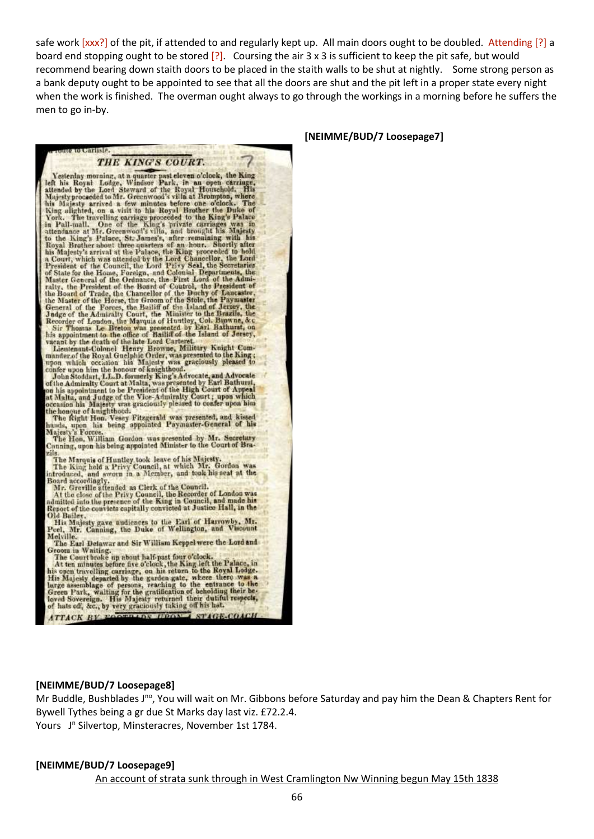safe work [xxx?] of the pit, if attended to and regularly kept up. All main doors ought to be doubled. Attending [?] a board end stopping ought to be stored [?]. Coursing the air 3 x 3 is sufficient to keep the pit safe, but would recommend bearing down staith doors to be placed in the staith walls to be shut at nightly. Some strong person as a bank deputy ought to be appointed to see that all the doors are shut and the pit left in a proper state every night when the work is finished. The overman ought always to go through the workings in a morning before he suffers the men to go in-by.

#### **[NEIMME/BUD/7 Loosepage7]**

**PHOTOS COURT:**<br>
THE KING'S COURT.<br>
The High of his Royal Houseboot, the King left his Royal Houseboot, the Royal Houseboot and a one of the Royal Houseboot and a still at Royal Missing increases the American Missing incr THE KING'S COURT.

to Carlisle

zus.<br>
The Marquis of Huntley took leave of his Majesty.<br>
The King held a Privy Council, at which Mr. Gordon was<br>
introduced, and sworn in a Member, and took his seat at the<br>
Board accordingly.<br>
Mr. Grerille attended as Cle

Old Bailey.<br>
His Majesty gave audiences to the Earl of Harrowby, Mr.<br>
Peel, Mr. Canning, the Duke of Wellington, and Viscount<br>
Melville. Melville.

The Earl Defawar and Sir William Keppel were the Lord and

The Earl Defawar and Sir William Keppel were the Lord and<br>Groom in Whiting.<br>The Court broke up about half-past four o'clock.<br>At ten minutes before five o'clock, the King left the Palace, in<br>his open travelling carriage, on ATTACK BY POOTBADS HEONE STAGE-COACH

#### **[NEIMME/BUD/7 Loosepage8]**

Mr Buddle, Bushblades J<sup>no</sup>, You will wait on Mr. Gibbons before Saturday and pay him the Dean & Chapters Rent for Bywell Tythes being a gr due St Marks day last viz. £72.2.4. Yours J<sup>n</sup> Silvertop, Minsteracres, November 1st 1784.

#### **[NEIMME/BUD/7 Loosepage9]**

An account of strata sunk through in West Cramlington Nw Winning begun May 15th 1838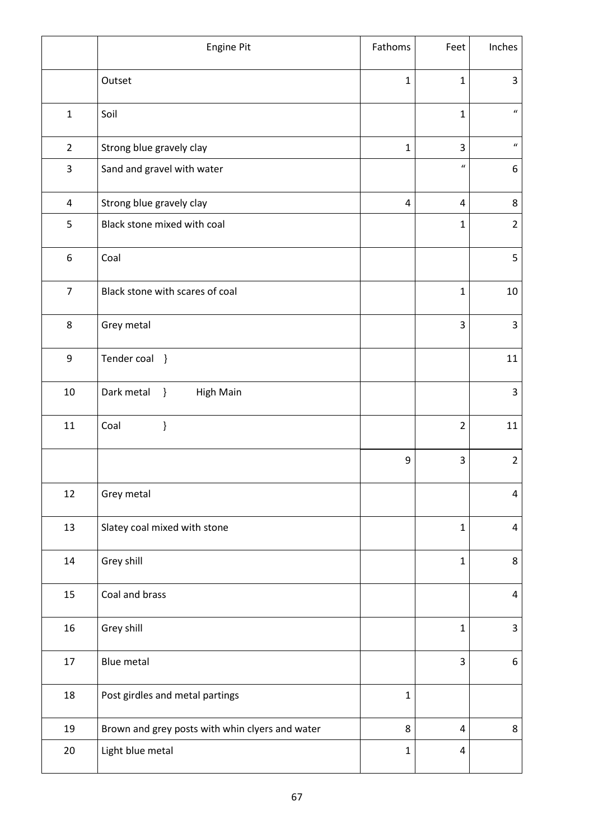|                | Engine Pit                                      | Fathoms      | Feet             | Inches                     |
|----------------|-------------------------------------------------|--------------|------------------|----------------------------|
|                | Outset                                          | $\mathbf{1}$ | $\mathbf{1}$     | 3                          |
| $\mathbf{1}$   | Soil                                            |              | $\mathbf{1}$     | $\boldsymbol{\mathcal{U}}$ |
| $\overline{2}$ | Strong blue gravely clay                        | $\mathbf{1}$ | 3                | $\boldsymbol{\mathcal{U}}$ |
| 3              | Sand and gravel with water                      |              | $\boldsymbol{u}$ | 6                          |
| 4              | Strong blue gravely clay                        | 4            | 4                | 8                          |
| 5              | Black stone mixed with coal                     |              | $\mathbf{1}$     | $\overline{2}$             |
| 6              | Coal                                            |              |                  | 5                          |
| $\overline{7}$ | Black stone with scares of coal                 |              | $\mathbf{1}$     | 10                         |
| 8              | Grey metal                                      |              | 3                | 3                          |
| 9              | Tender coal }                                   |              |                  | 11                         |
| $10\,$         | Dark metal<br><b>High Main</b><br>$\}$          |              |                  | 3                          |
| 11             | }<br>Coal                                       |              | $\overline{2}$   | 11                         |
|                |                                                 | 9            | 3                | $\overline{2}$             |
| 12             | Grey metal                                      |              |                  | 4                          |
| 13             | Slatey coal mixed with stone                    |              | $\mathbf{1}$     | 4                          |
| 14             | Grey shill                                      |              | $\mathbf{1}$     | 8                          |
| 15             | Coal and brass                                  |              |                  | 4                          |
| 16             | Grey shill                                      |              | $\mathbf{1}$     | 3                          |
| 17             | Blue metal                                      |              | 3                | 6                          |
| 18             | Post girdles and metal partings                 | $\mathbf 1$  |                  |                            |
| 19             | Brown and grey posts with whin clyers and water | 8            | 4                | 8                          |
| $20\,$         | Light blue metal                                | $\mathbf{1}$ | 4                |                            |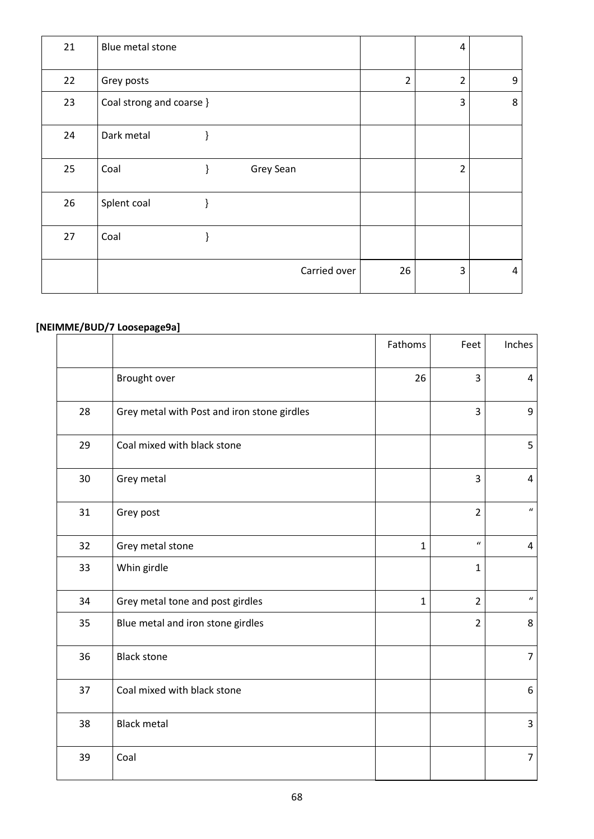| 21 | Blue metal stone         |   |              |                | $\overline{4}$ |   |
|----|--------------------------|---|--------------|----------------|----------------|---|
| 22 | Grey posts               |   |              | $\overline{2}$ | $\overline{2}$ | 9 |
| 23 | Coal strong and coarse } |   |              |                | 3              | 8 |
| 24 | Dark metal               | ł |              |                |                |   |
| 25 | Coal                     | ł | Grey Sean    |                | $\overline{2}$ |   |
| 26 | Splent coal              | ł |              |                |                |   |
| 27 | Coal                     |   |              |                |                |   |
|    |                          |   | Carried over | 26             | 3              | 4 |

# **[NEIMME/BUD/7 Loosepage9a]**

|    |                                             | Fathoms      | Feet             | Inches                     |
|----|---------------------------------------------|--------------|------------------|----------------------------|
|    | Brought over                                | 26           | $\overline{3}$   | $\overline{4}$             |
| 28 | Grey metal with Post and iron stone girdles |              | $\overline{3}$   | 9                          |
| 29 | Coal mixed with black stone                 |              |                  | 5                          |
| 30 | Grey metal                                  |              | 3                | $\overline{a}$             |
| 31 | Grey post                                   |              | $\overline{2}$   | $\boldsymbol{\mathcal{U}}$ |
| 32 | Grey metal stone                            | $\mathbf{1}$ | $\boldsymbol{u}$ | 4                          |
| 33 | Whin girdle                                 |              | 1                |                            |
| 34 | Grey metal tone and post girdles            | $\mathbf{1}$ | $\overline{2}$   | $\boldsymbol{u}$           |
| 35 | Blue metal and iron stone girdles           |              | $\overline{2}$   | 8                          |
| 36 | <b>Black stone</b>                          |              |                  | $\overline{7}$             |
| 37 | Coal mixed with black stone                 |              |                  | 6                          |
| 38 | <b>Black metal</b>                          |              |                  | 3                          |
| 39 | Coal                                        |              |                  | $\overline{7}$             |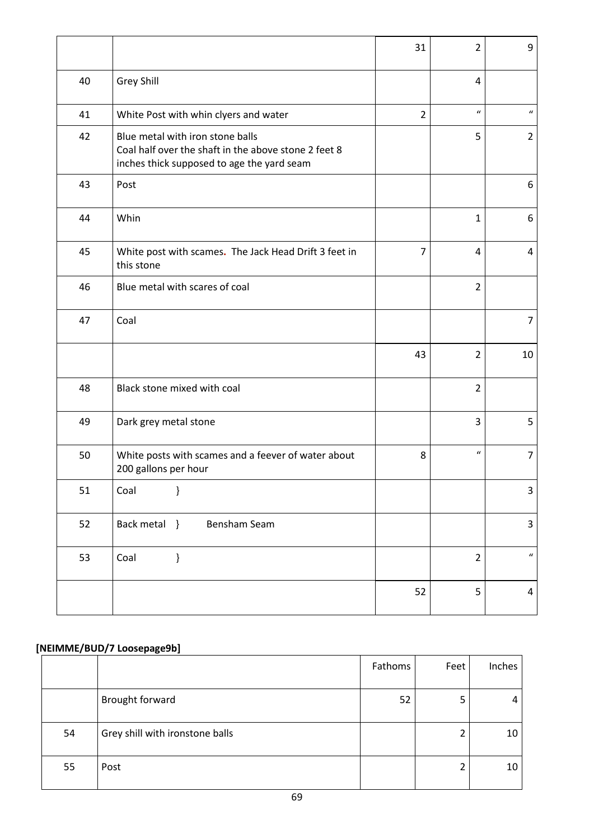|    |                                                                                                                                        | 31             | $\overline{2}$   | 9                          |
|----|----------------------------------------------------------------------------------------------------------------------------------------|----------------|------------------|----------------------------|
| 40 | Grey Shill                                                                                                                             |                | 4                |                            |
| 41 | White Post with whin clyers and water                                                                                                  | $\overline{2}$ | $\boldsymbol{u}$ | $\boldsymbol{u}$           |
| 42 | Blue metal with iron stone balls<br>Coal half over the shaft in the above stone 2 feet 8<br>inches thick supposed to age the yard seam |                | 5                | $\overline{2}$             |
| 43 | Post                                                                                                                                   |                |                  | 6                          |
| 44 | Whin                                                                                                                                   |                | $\mathbf{1}$     | 6                          |
| 45 | White post with scames. The Jack Head Drift 3 feet in<br>this stone                                                                    | 7              | 4                | 4                          |
| 46 | Blue metal with scares of coal                                                                                                         |                | $\overline{2}$   |                            |
| 47 | Coal                                                                                                                                   |                |                  | $\overline{7}$             |
|    |                                                                                                                                        | 43             | $\overline{2}$   | 10                         |
| 48 | Black stone mixed with coal                                                                                                            |                | $\overline{2}$   |                            |
| 49 | Dark grey metal stone                                                                                                                  |                | 3                | 5                          |
| 50 | White posts with scames and a feever of water about<br>200 gallons per hour                                                            | 8              | $\boldsymbol{u}$ | $\overline{7}$             |
| 51 | ł<br>Coal                                                                                                                              |                |                  | $\mathsf 3$                |
| 52 | Back metal }<br>Bensham Seam                                                                                                           |                |                  | 3                          |
| 53 | $\mathcal{E}$<br>Coal                                                                                                                  |                | $\overline{2}$   | $\boldsymbol{\mathcal{U}}$ |
|    |                                                                                                                                        | 52             | 5                | 4                          |

# **[NEIMME/BUD/7 Loosepage9b]**

|    |                                 | <b>Fathoms</b> | Feet | Inches |
|----|---------------------------------|----------------|------|--------|
|    | Brought forward                 | 52             | 5    |        |
| 54 | Grey shill with ironstone balls |                |      | 10     |
| 55 | Post                            |                |      | 10     |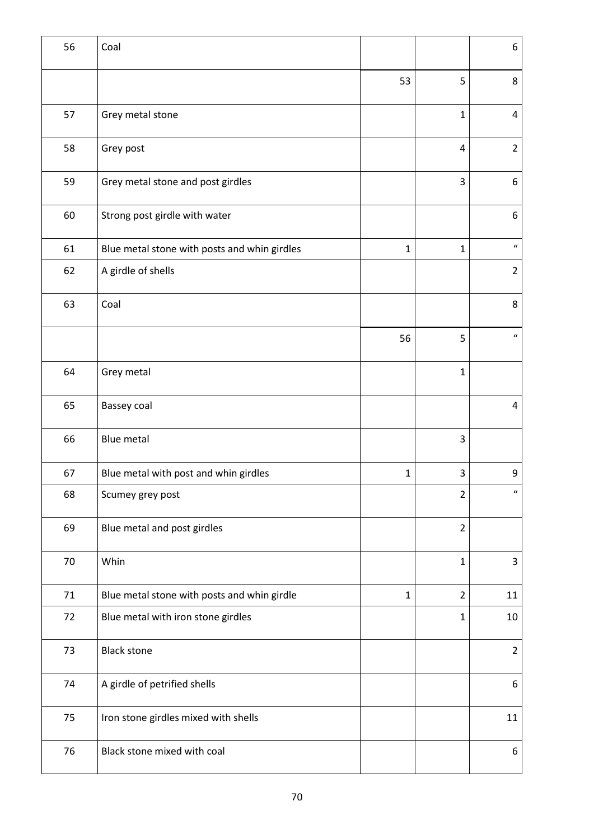| 56 | Coal                                         |              |                | 6                |
|----|----------------------------------------------|--------------|----------------|------------------|
|    |                                              | 53           | 5              | 8                |
| 57 | Grey metal stone                             |              | $\mathbf{1}$   | 4                |
| 58 | Grey post                                    |              | $\overline{4}$ | $\overline{2}$   |
| 59 | Grey metal stone and post girdles            |              | 3              | 6                |
| 60 | Strong post girdle with water                |              |                | 6                |
| 61 | Blue metal stone with posts and whin girdles | $\mathbf{1}$ | $\mathbf 1$    | $\boldsymbol{u}$ |
| 62 | A girdle of shells                           |              |                | $\overline{2}$   |
| 63 | Coal                                         |              |                | 8                |
|    |                                              | 56           | 5              | $\boldsymbol{u}$ |
| 64 | Grey metal                                   |              | $\mathbf{1}$   |                  |
| 65 | Bassey coal                                  |              |                | 4                |
| 66 | <b>Blue metal</b>                            |              | 3              |                  |
| 67 | Blue metal with post and whin girdles        | $\mathbf{1}$ | 3              | 9                |
| 68 | Scumey grey post                             |              | $\overline{2}$ | $\boldsymbol{u}$ |
| 69 | Blue metal and post girdles                  |              | $\overline{2}$ |                  |
| 70 | Whin                                         |              | $\mathbf{1}$   | 3                |
| 71 | Blue metal stone with posts and whin girdle  | $\mathbf{1}$ | $\overline{2}$ | 11               |
| 72 | Blue metal with iron stone girdles           |              | 1              | 10               |
| 73 | <b>Black stone</b>                           |              |                | $\overline{2}$   |
| 74 | A girdle of petrified shells                 |              |                | 6                |
| 75 | Iron stone girdles mixed with shells         |              |                | 11               |
| 76 | Black stone mixed with coal                  |              |                | 6                |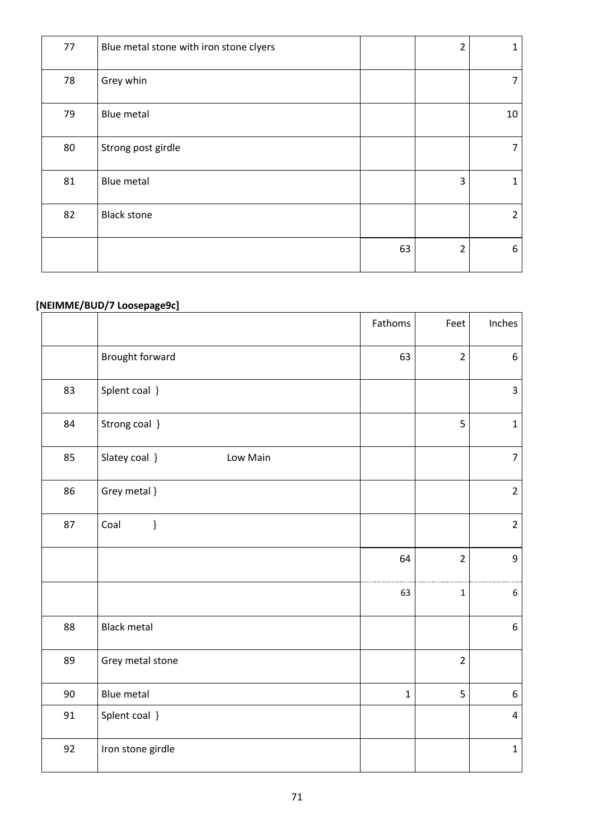| 77 | Blue metal stone with iron stone clyers |    | $\overline{2}$ | 1              |
|----|-----------------------------------------|----|----------------|----------------|
| 78 | Grey whin                               |    |                | 7              |
| 79 | Blue metal                              |    |                | 10             |
| 80 | Strong post girdle                      |    |                | 7              |
| 81 | Blue metal                              |    | 3              | 1              |
| 82 | <b>Black stone</b>                      |    |                | $\overline{2}$ |
|    |                                         | 63 | $\overline{2}$ | 6              |

# **[NEIMME/BUD/7 Loosepage9c]**

|    |                           | Fathoms     | Feet           | Inches                  |
|----|---------------------------|-------------|----------------|-------------------------|
|    | Brought forward           | 63          | $\overline{2}$ | 6                       |
| 83 | Splent coal }             |             |                | 3                       |
| 84 | Strong coal }             |             | 5              | $\mathbf{1}$            |
| 85 | Slatey coal }<br>Low Main |             |                | $\overline{7}$          |
| 86 | Grey metal }              |             |                | $\overline{2}$          |
| 87 | $\}$<br>Coal              |             |                | $\overline{2}$          |
|    |                           | 64          | $\overline{2}$ | 9                       |
|    |                           | 63          | $\mathbf 1$    | $\boldsymbol{6}$        |
| 88 | <b>Black metal</b>        |             |                | 6                       |
| 89 | Grey metal stone          |             | $\overline{2}$ |                         |
| 90 | <b>Blue metal</b>         | $\mathbf 1$ | 5              | 6                       |
| 91 | Splent coal }             |             |                | $\overline{\mathbf{4}}$ |
| 92 | Iron stone girdle         |             |                | $\mathbf 1$             |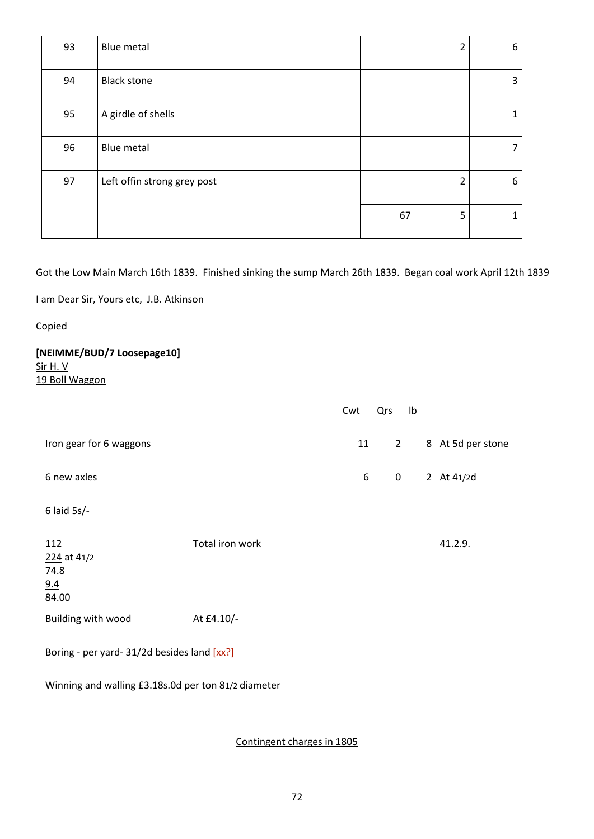| 93 | Blue metal                  |    | $\overline{2}$          | 6 |
|----|-----------------------------|----|-------------------------|---|
| 94 | <b>Black stone</b>          |    |                         | 3 |
| 95 | A girdle of shells          |    |                         |   |
| 96 | Blue metal                  |    |                         | 7 |
| 97 | Left offin strong grey post |    | $\overline{\mathbf{c}}$ | 6 |
|    |                             | 67 | 5                       | 1 |

Got the Low Main March 16th 1839. Finished sinking the sump March 26th 1839. Began coal work April 12th 1839

I am Dear Sir, Yours etc, J.B. Atkinson

Copied

# **[NEIMME/BUD/7 Loosepage10]** Sir H. V

19 Boll Waggon

|                                                   |                 | Cwt | Qrs            | Ib |                   |  |  |  |
|---------------------------------------------------|-----------------|-----|----------------|----|-------------------|--|--|--|
| Iron gear for 6 waggons                           |                 | 11  | $\overline{2}$ |    | 8 At 5d per stone |  |  |  |
| 6 new axles                                       |                 | 6   | $\mathbf 0$    |    | 2 At 41/2d        |  |  |  |
| $6$ laid $5s$ /-                                  |                 |     |                |    |                   |  |  |  |
| <u>112</u><br>224 at 41/2<br>74.8<br>9.4<br>84.00 | Total iron work |     |                |    | 41.2.9.           |  |  |  |
| Building with wood                                | At £4.10/-      |     |                |    |                   |  |  |  |
| Boring - per yard- 31/2d besides land [xx?]       |                 |     |                |    |                   |  |  |  |

Winning and walling £3.18s.0d per ton 81/2 diameter

Contingent charges in 1805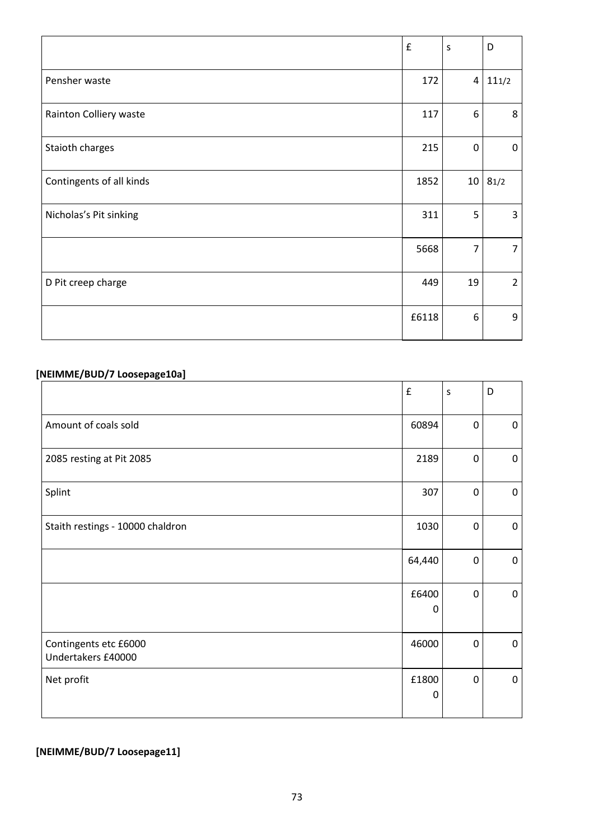|                          | £     | $\sf S$         | D              |
|--------------------------|-------|-----------------|----------------|
| Pensher waste            | 172   | 4               | 111/2          |
| Rainton Colliery waste   | 117   | 6               | 8              |
| Staioth charges          | 215   | 0               | 0              |
| Contingents of all kinds | 1852  | 10 <sub>1</sub> | 81/2           |
| Nicholas's Pit sinking   | 311   | 5               | 3              |
|                          | 5668  | $\overline{7}$  | $\overline{7}$ |
| D Pit creep charge       | 449   | 19              | $\overline{2}$ |
|                          | £6118 | 6               | 9              |

# **[NEIMME/BUD/7 Loosepage10a]**

|                                             | $\pmb{\mathsf{f}}$ | S            | D           |
|---------------------------------------------|--------------------|--------------|-------------|
| Amount of coals sold                        | 60894              | $\mathbf{0}$ | 0           |
| 2085 resting at Pit 2085                    | 2189               | $\mathbf{0}$ | 0           |
| Splint                                      | 307                | 0            | 0           |
| Staith restings - 10000 chaldron            | 1030               | 0            | 0           |
|                                             | 64,440             | 0            | 0           |
|                                             | £6400<br>0         | 0            | $\mathbf 0$ |
| Contingents etc £6000<br>Undertakers £40000 | 46000              | 0            | 0           |
| Net profit                                  | £1800<br>0         | 0            | $\pmb{0}$   |

## **[NEIMME/BUD/7 Loosepage11]**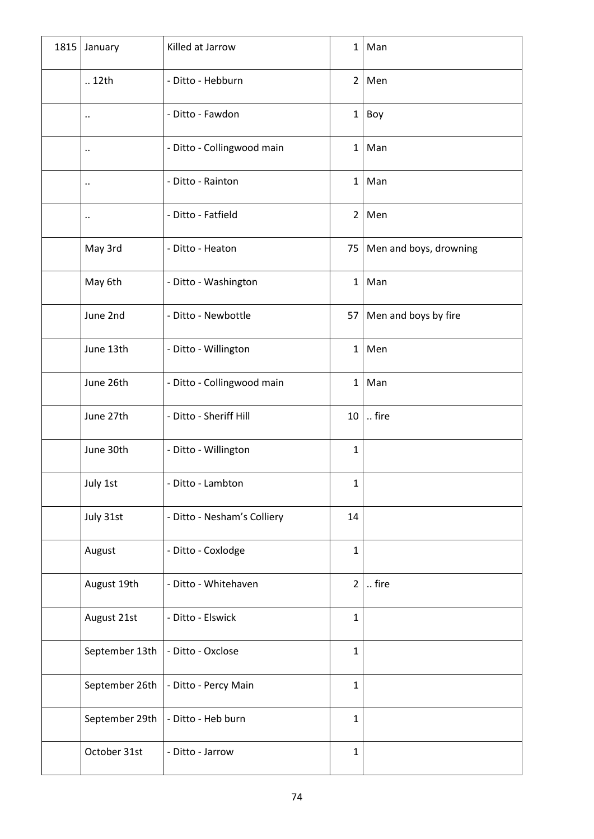| 1815 | January              | Killed at Jarrow            | $\mathbf{1}$   | Man                    |
|------|----------------------|-----------------------------|----------------|------------------------|
|      | 12th                 | - Ditto - Hebburn           | $2^{\circ}$    | Men                    |
|      | $\ddot{\phantom{0}}$ | - Ditto - Fawdon            | $\mathbf{1}$   | Boy                    |
|      | $\ddot{\phantom{0}}$ | - Ditto - Collingwood main  | $\mathbf{1}$   | Man                    |
|      | $\cdot$              | - Ditto - Rainton           | $\mathbf{1}$   | Man                    |
|      | $\ddot{\phantom{0}}$ | - Ditto - Fatfield          | $2^{\circ}$    | Men                    |
|      | May 3rd              | - Ditto - Heaton            | 75             | Men and boys, drowning |
|      | May 6th              | - Ditto - Washington        | $\mathbf{1}$   | Man                    |
|      | June 2nd             | - Ditto - Newbottle         | 57             | Men and boys by fire   |
|      | June 13th            | - Ditto - Willington        | $\mathbf{1}$   | Men                    |
|      | June 26th            | - Ditto - Collingwood main  | $\mathbf{1}$   | Man                    |
|      | June 27th            | - Ditto - Sheriff Hill      | 10             | fire                   |
|      | June 30th            | - Ditto - Willington        | $\mathbf{1}$   |                        |
|      | July 1st             | - Ditto - Lambton           | 1              |                        |
|      | July 31st            | - Ditto - Nesham's Colliery | 14             |                        |
|      | August               | - Ditto - Coxlodge          | $\mathbf{1}$   |                        |
|      | August 19th          | - Ditto - Whitehaven        | $\overline{2}$ | fire                   |
|      | August 21st          | - Ditto - Elswick           | $\mathbf{1}$   |                        |
|      | September 13th       | - Ditto - Oxclose           | $\mathbf{1}$   |                        |
|      | September 26th       | - Ditto - Percy Main        | $\mathbf{1}$   |                        |
|      | September 29th       | - Ditto - Heb burn          | $\mathbf{1}$   |                        |
|      | October 31st         | - Ditto - Jarrow            | $\mathbf{1}$   |                        |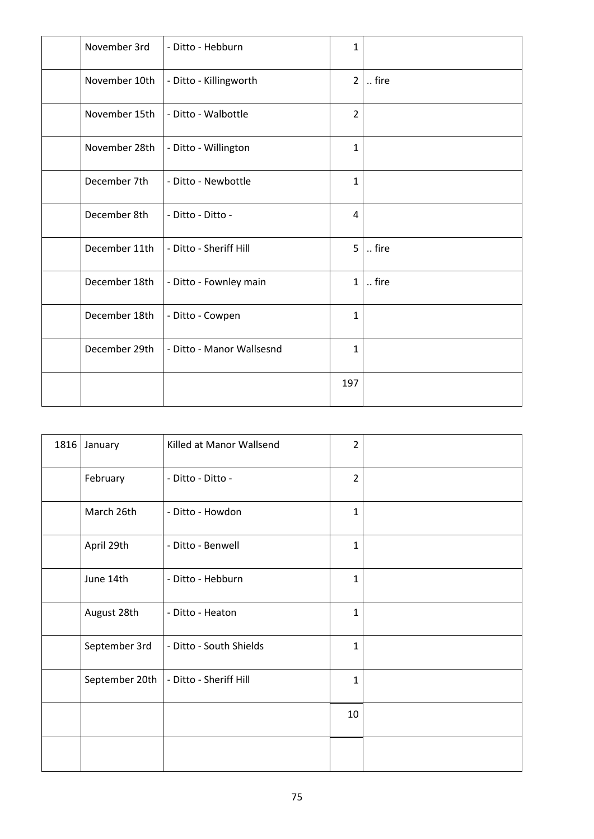| November 3rd  | - Ditto - Hebburn         | 1              |      |
|---------------|---------------------------|----------------|------|
| November 10th | - Ditto - Killingworth    | $\overline{2}$ | fire |
| November 15th | - Ditto - Walbottle       | $\overline{2}$ |      |
| November 28th | - Ditto - Willington      | $\mathbf{1}$   |      |
| December 7th  | - Ditto - Newbottle       | $\mathbf{1}$   |      |
| December 8th  | - Ditto - Ditto -         | 4              |      |
| December 11th | - Ditto - Sheriff Hill    | 5 <sup>1</sup> | fire |
| December 18th | - Ditto - Fownley main    | $\mathbf{1}$   | fire |
| December 18th | - Ditto - Cowpen          | $\mathbf{1}$   |      |
| December 29th | - Ditto - Manor Wallsesnd | $\mathbf{1}$   |      |
|               |                           | 197            |      |

| 1816 | January        | Killed at Manor Wallsend | $\overline{2}$ |  |
|------|----------------|--------------------------|----------------|--|
|      | February       | - Ditto - Ditto -        | $\overline{2}$ |  |
|      | March 26th     | - Ditto - Howdon         | $\mathbf{1}$   |  |
|      | April 29th     | - Ditto - Benwell        | $\mathbf{1}$   |  |
|      | June 14th      | - Ditto - Hebburn        | $\mathbf{1}$   |  |
|      | August 28th    | - Ditto - Heaton         | $\mathbf{1}$   |  |
|      | September 3rd  | - Ditto - South Shields  | $\mathbf{1}$   |  |
|      | September 20th | - Ditto - Sheriff Hill   | $\mathbf{1}$   |  |
|      |                |                          | 10             |  |
|      |                |                          |                |  |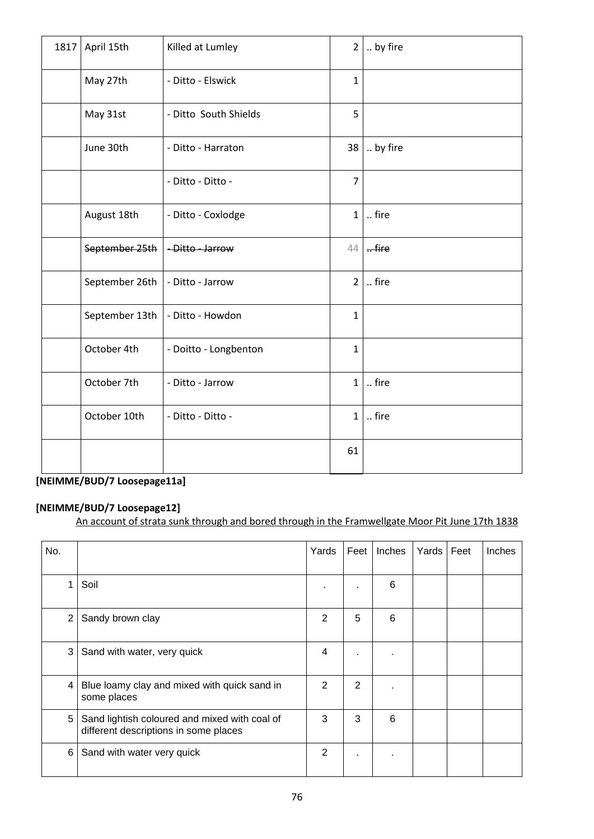| 1817 | April 15th     | Killed at Lumley      | $\overline{2}$ | by fire  |
|------|----------------|-----------------------|----------------|----------|
|      | May 27th       | - Ditto - Elswick     | $\mathbf{1}$   |          |
|      | May 31st       | - Ditto South Shields | 5              |          |
|      | June 30th      | - Ditto - Harraton    | 38             | by fire  |
|      |                | - Ditto - Ditto -     | $\overline{7}$ |          |
|      | August 18th    | - Ditto - Coxlodge    | $\mathbf{1}$   | fire     |
|      | September 25th | -Ditto - Jarrow       | 44             | $.$ fire |
|      | September 26th | - Ditto - Jarrow      | $\overline{2}$ | fire     |
|      | September 13th | - Ditto - Howdon      | $\mathbf{1}$   |          |
|      | October 4th    | - Doitto - Longbenton | $\mathbf{1}$   |          |
|      | October 7th    | - Ditto - Jarrow      | $\mathbf{1}$   | fire     |
|      | October 10th   | - Ditto - Ditto -     | $\mathbf{1}$   | fire     |
|      |                |                       | 61             |          |

# **[NEIMME/BUD/7 Loosepage11a]**

### **[NEIMME/BUD/7 Loosepage12]**

An account of strata sunk through and bored through in the Framwellgate Moor Pit June 17th 1838

| No.            |                                                                                        | Yards          | Feet | Inches | Yards | Feet | Inches |
|----------------|----------------------------------------------------------------------------------------|----------------|------|--------|-------|------|--------|
| 1              | Soil                                                                                   |                |      | 6      |       |      |        |
| $\overline{2}$ | Sandy brown clay                                                                       | $\overline{2}$ | 5    | 6      |       |      |        |
| 3              | Sand with water, very quick                                                            | 4              |      |        |       |      |        |
| 4              | Blue loamy clay and mixed with quick sand in<br>some places                            | 2              | 2    |        |       |      |        |
| 5              | Sand lightish coloured and mixed with coal of<br>different descriptions in some places | 3              | 3    | 6      |       |      |        |
| 6              | Sand with water very quick                                                             | $\overline{2}$ | ٠    |        |       |      |        |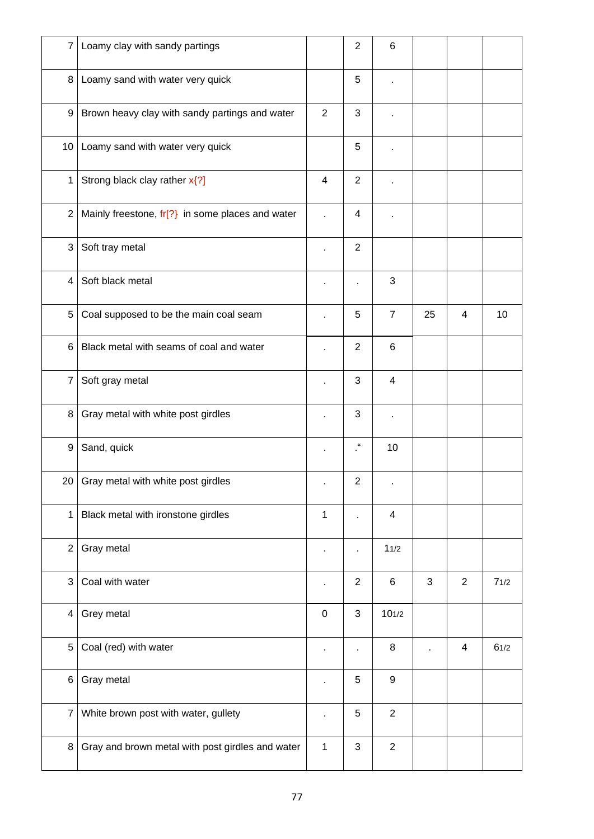| $\overline{7}$ | Loamy clay with sandy partings                    |                | $\overline{2}$             | 6               |    |                |      |
|----------------|---------------------------------------------------|----------------|----------------------------|-----------------|----|----------------|------|
| 8              | Loamy sand with water very quick                  |                | 5                          |                 |    |                |      |
| 9              | Brown heavy clay with sandy partings and water    | $\overline{2}$ | 3                          |                 |    |                |      |
|                | 10   Loamy sand with water very quick             |                | 5                          |                 |    |                |      |
| 1              | Strong black clay rather x{?]                     | 4              | $\overline{2}$             |                 |    |                |      |
| $\overline{2}$ | Mainly freestone, $fr[?$ in some places and water |                | 4                          |                 |    |                |      |
| 3              | Soft tray metal                                   |                | $\overline{2}$             |                 |    |                |      |
| 4              | Soft black metal                                  |                |                            | 3               |    |                |      |
| 5              | Coal supposed to be the main coal seam            |                | 5                          | $\overline{7}$  | 25 | 4              | 10   |
| 6              | Black metal with seams of coal and water          |                | $\overline{2}$             | $6\phantom{1}6$ |    |                |      |
| $\overline{7}$ | Soft gray metal                                   | ×,             | 3                          | $\overline{4}$  |    |                |      |
| 8              | Gray metal with white post girdles                |                | 3                          |                 |    |                |      |
| 9              | Sand, quick                                       |                | $\mathfrak{c}\mathfrak{c}$ | 10              |    |                |      |
|                | 20 Gray metal with white post girdles             |                | $\overline{2}$             |                 |    |                |      |
| $\mathbf{1}$   | Black metal with ironstone girdles                | 1              |                            | $\overline{4}$  |    |                |      |
| $\overline{2}$ | Gray metal                                        |                |                            | 11/2            |    |                |      |
| 3              | Coal with water                                   | ä,             | $\overline{2}$             | 6               | 3  | $\overline{2}$ | 71/2 |
| $\overline{4}$ | Grey metal                                        | $\mathbf 0$    | 3                          | 101/2           |    |                |      |
| 5              | Coal (red) with water                             | ä,             |                            | 8               |    | 4              | 61/2 |
| 6              | Gray metal                                        |                | 5                          | $9\,$           |    |                |      |
| $\overline{7}$ | White brown post with water, gullety              |                | 5                          | $\overline{2}$  |    |                |      |
| 8              | Gray and brown metal with post girdles and water  | $\mathbf{1}$   | $\sqrt{3}$                 | $\overline{2}$  |    |                |      |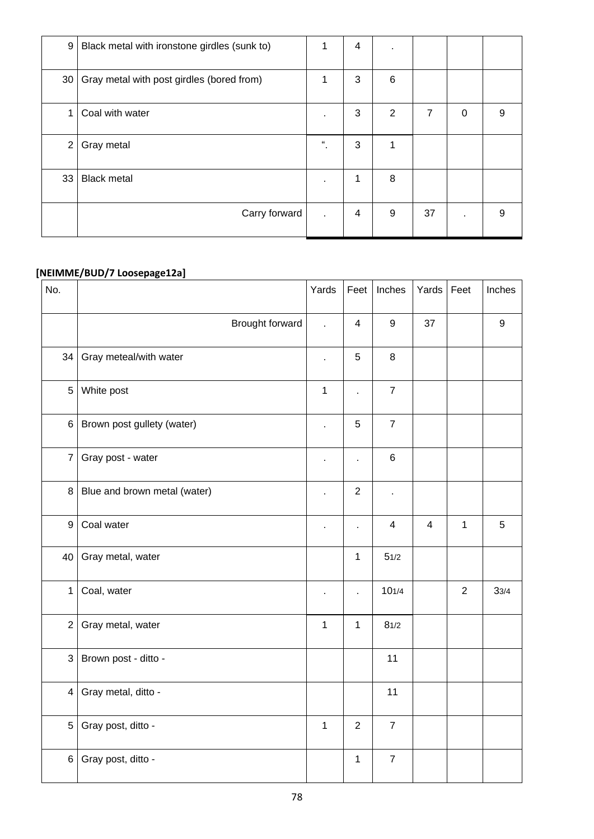| 9  | Black metal with ironstone girdles (sunk to) | 1                          | 4                       | ٠ |    |              |   |
|----|----------------------------------------------|----------------------------|-------------------------|---|----|--------------|---|
| 30 | Gray metal with post girdles (bored from)    | 1                          | 3                       | 6 |    |              |   |
| 1  | Coal with water                              | $\mathbf{r}$               | 3                       | 2 | 7  | $\mathbf{0}$ | 9 |
| 2  | Gray metal                                   | $\mathfrak{c}\mathfrak{c}$ | 3                       | 1 |    |              |   |
| 33 | <b>Black metal</b>                           | $\bullet$                  | 1                       | 8 |    |              |   |
|    | Carry forward                                | $\mathbf{r}$               | $\overline{\mathbf{4}}$ | 9 | 37 |              | 9 |

#### **[NEIMME/BUD/7 Loosepage12a]**

| No.            |                              | Yards          | Feet           | Inches           | Yards          | Feet           | Inches           |
|----------------|------------------------------|----------------|----------------|------------------|----------------|----------------|------------------|
|                | Brought forward              | L.             | $\overline{4}$ | $\boldsymbol{9}$ | 37             |                | $\boldsymbol{9}$ |
| 34             | Gray meteal/with water       | ä,             | 5              | $\,8\,$          |                |                |                  |
| $\overline{5}$ | White post                   | $\mathbf{1}$   | $\overline{a}$ | $\overline{7}$   |                |                |                  |
| $\,6\,$        | Brown post gullety (water)   | l,             | 5              | $\overline{7}$   |                |                |                  |
| $\overline{7}$ | Gray post - water            | ä,             | ä,             | $\,6$            |                |                |                  |
| 8              | Blue and brown metal (water) | ä,             | $\overline{2}$ | $\blacksquare$   |                |                |                  |
| 9              | Coal water                   | ä,             | Ĭ.             | 4                | $\overline{4}$ | $\mathbf{1}$   | 5                |
| 40             | Gray metal, water            |                | $\mathbf 1$    | 51/2             |                |                |                  |
| $\mathbf{1}$   | Coal, water                  | $\blacksquare$ | l,             | 101/4            |                | $\overline{2}$ | 33/4             |
| $\overline{2}$ | Gray metal, water            | $\mathbf{1}$   | $\mathbf 1$    | 81/2             |                |                |                  |
| $\mathbf{3}$   | Brown post - ditto -         |                |                | 11               |                |                |                  |
| $\overline{4}$ | Gray metal, ditto -          |                |                | 11               |                |                |                  |
| 5              | Gray post, ditto -           | $\mathbf{1}$   | $\overline{2}$ | $\overline{7}$   |                |                |                  |
| $6\phantom{.}$ | Gray post, ditto -           |                | $\mathbf{1}$   | $\overline{7}$   |                |                |                  |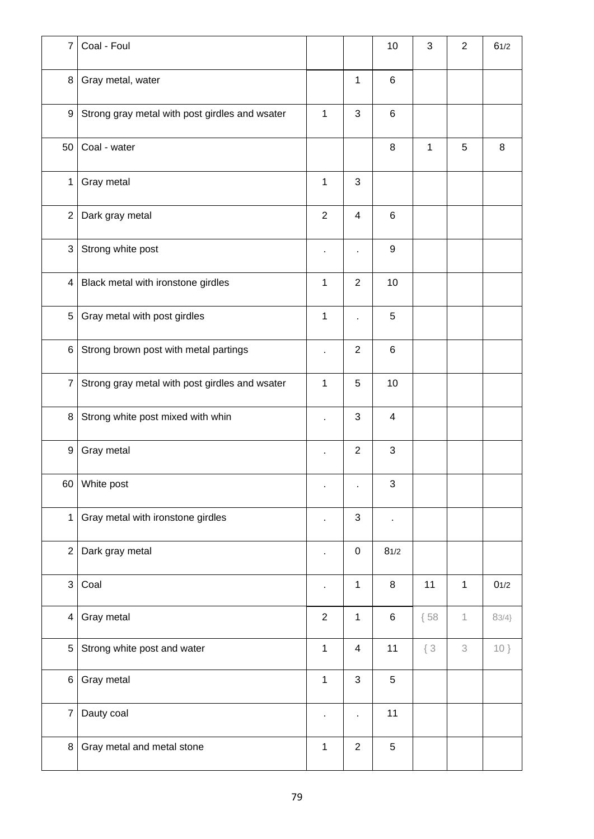| $\overline{7}$   | Coal - Foul                                    |                |                | 10                      | 3      | $\overline{2}$            | 61/2   |
|------------------|------------------------------------------------|----------------|----------------|-------------------------|--------|---------------------------|--------|
| 8                | Gray metal, water                              |                | $\mathbf{1}$   | $\,6$                   |        |                           |        |
| 9                | Strong gray metal with post girdles and wsater | $\mathbf{1}$   | 3              | $\,6$                   |        |                           |        |
| 50               | Coal - water                                   |                |                | $\,8\,$                 | 1      | 5                         | 8      |
| $\mathbf{1}$     | Gray metal                                     | $\mathbf{1}$   | 3              |                         |        |                           |        |
| $\overline{2}$   | Dark gray metal                                | $\overline{2}$ | $\overline{4}$ | $6\phantom{1}6$         |        |                           |        |
| $\mathfrak{S}$   | Strong white post                              |                |                | $\boldsymbol{9}$        |        |                           |        |
| $\overline{4}$   | Black metal with ironstone girdles             | $\mathbf{1}$   | $\overline{2}$ | 10                      |        |                           |        |
| 5                | Gray metal with post girdles                   | 1              |                | 5                       |        |                           |        |
| 6                | Strong brown post with metal partings          | ä,             | $\overline{2}$ | $\,6$                   |        |                           |        |
| $\overline{7}$   | Strong gray metal with post girdles and wsater | $\mathbf{1}$   | 5              | 10                      |        |                           |        |
| 8                | Strong white post mixed with whin              | ä,             | 3              | $\overline{\mathbf{4}}$ |        |                           |        |
| $\boldsymbol{9}$ | Gray metal                                     | ä,             | $\overline{2}$ | $\sqrt{3}$              |        |                           |        |
|                  | 60 White post                                  | $\bullet$      | $\bullet$      | 3                       |        |                           |        |
| $\mathbf{1}$     | Gray metal with ironstone girdles              | ä,             | $\sqrt{3}$     | $\blacksquare$          |        |                           |        |
| $\overline{2}$   | Dark gray metal                                | $\blacksquare$ | $\pmb{0}$      | 81/2                    |        |                           |        |
| $\mathfrak{S}$   | Coal                                           | ×,             | $\mathbf{1}$   | $\,8\,$                 | 11     | $\mathbf{1}$              | 01/2   |
| $\overline{4}$   | Gray metal                                     | $\overline{2}$ | 1              | $\,6$                   | ${58}$ | $\mathbf 1$               | 83/4   |
| 5                | Strong white post and water                    | $\mathbf{1}$   | $\overline{4}$ | 11                      | $\{3$  | $\ensuremath{\mathbf{3}}$ | $10$ } |
| 6                | Gray metal                                     | $\mathbf{1}$   | 3              | $\sqrt{5}$              |        |                           |        |
| $\overline{7}$   | Dauty coal                                     | $\blacksquare$ | $\blacksquare$ | 11                      |        |                           |        |
| 8                | Gray metal and metal stone                     | 1              | $\overline{2}$ | $\sqrt{5}$              |        |                           |        |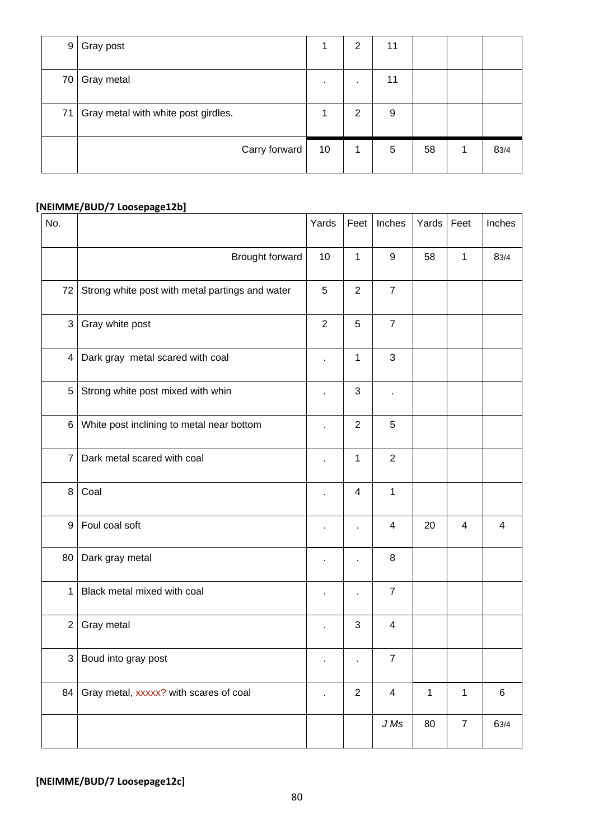| 9 <sub>1</sub> | Gray post                           |              | $\overline{2}$ | 11 |    |      |
|----------------|-------------------------------------|--------------|----------------|----|----|------|
| 70             | Gray metal                          | $\mathbf{r}$ | $\blacksquare$ | 11 |    |      |
| 71             | Gray metal with white post girdles. |              | $\overline{2}$ | 9  |    |      |
|                | Carry forward                       | 10           | 1              | 5  | 58 | 83/4 |

## **[NEIMME/BUD/7 Loosepage12b]**

| No.            |                                                 | Yards          | Feet                     | Inches                  | Yards        | Feet             | Inches  |
|----------------|-------------------------------------------------|----------------|--------------------------|-------------------------|--------------|------------------|---------|
|                | Brought forward                                 | 10             | $\mathbf{1}$             | $\boldsymbol{9}$        | 58           | 1                | 83/4    |
| 72             | Strong white post with metal partings and water | $\sqrt{5}$     | $\overline{2}$           | $\overline{7}$          |              |                  |         |
| 3              | Gray white post                                 | $\overline{2}$ | $\sqrt{5}$               | $\overline{7}$          |              |                  |         |
| 4              | Dark gray metal scared with coal                | $\blacksquare$ | $\mathbf{1}$             | 3                       |              |                  |         |
| 5              | Strong white post mixed with whin               | $\blacksquare$ | 3                        | ×                       |              |                  |         |
| 6              | White post inclining to metal near bottom       | $\blacksquare$ | $\overline{2}$           | 5                       |              |                  |         |
| $\overline{7}$ | Dark metal scared with coal                     |                | 1                        | $\overline{2}$          |              |                  |         |
| 8              | Coal                                            | $\blacksquare$ | $\overline{\mathcal{A}}$ | $\mathbf 1$             |              |                  |         |
| 9              | Foul coal soft                                  | ٠              | í.                       | 4                       | 20           | $\overline{4}$   | 4       |
| 80             | Dark gray metal                                 |                |                          | 8                       |              |                  |         |
| $\mathbf{1}$   | Black metal mixed with coal                     |                |                          | $\boldsymbol{7}$        |              |                  |         |
| $\overline{2}$ | Gray metal                                      |                | $\sqrt{3}$               | $\overline{4}$          |              |                  |         |
| 3              | Boud into gray post                             |                |                          | 7                       |              |                  |         |
| 84             | Gray metal, xxxxx? with scares of coal          |                | $\overline{2}$           | $\overline{\mathbf{4}}$ | $\mathbf{1}$ | $\mathbf{1}$     | $\,6\,$ |
|                |                                                 |                |                          | $J\,Ms$                 | 80           | $\boldsymbol{7}$ | 63/4    |